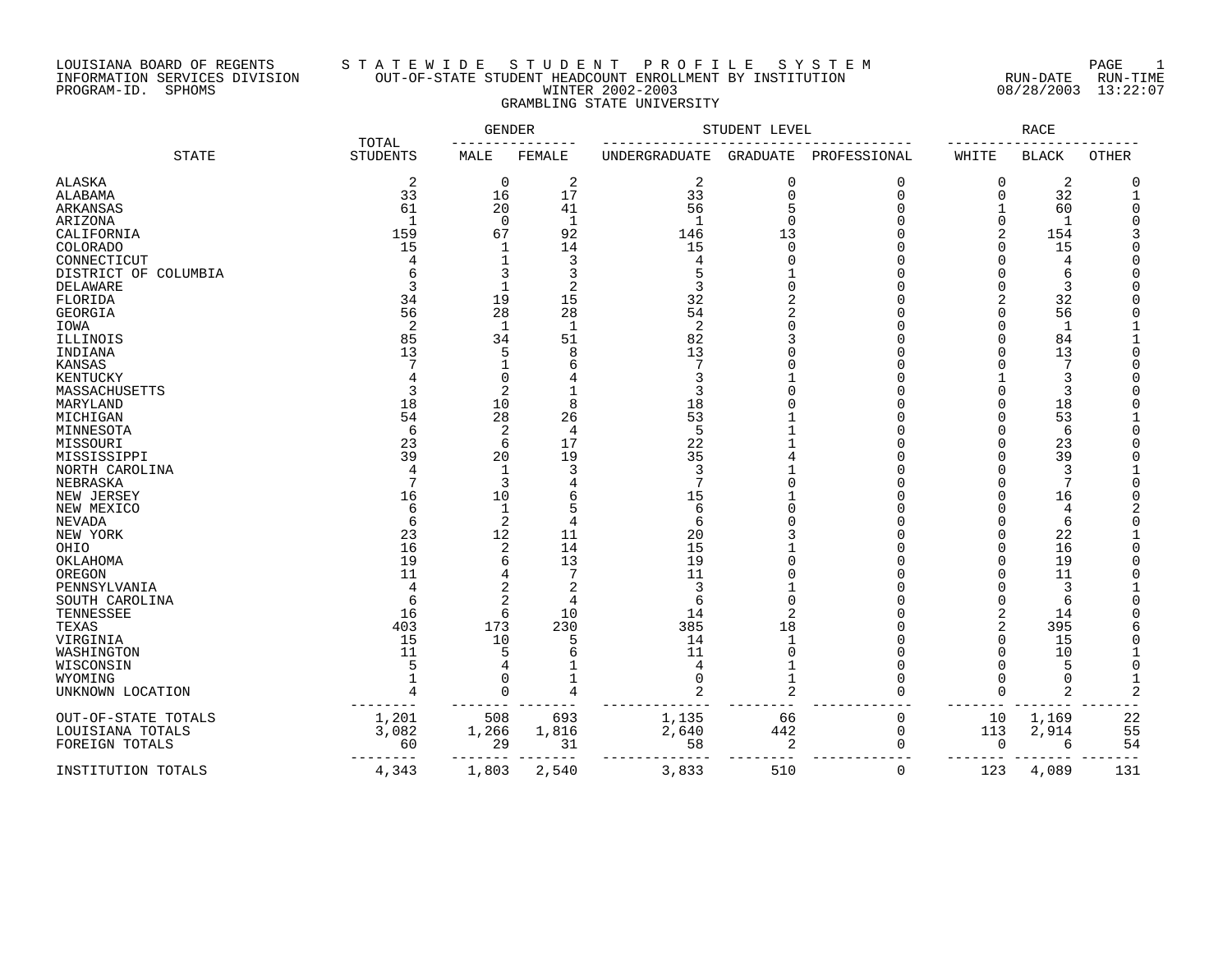## LOUISIANA BOARD OF REGENTS S T A T E W I D E S T U D E N T P R O F I L E S Y S T E M PAGE 1 INFORMATION SERVICES DIVISION OUT-OF-STATE STUDENT HEADCOUNT ENROLLMENT BY INSTITUTION RUN-DATE RUN-TIME PROGRAM-ID. SPHOMS WINTER 2002-2003 08/28/2003 13:22:07 GRAMBLING STATE UNIVERSITY

|                      | TOTAL           | GENDER         |                |                      | STUDENT LEVEL   |              |             | RACE           |              |
|----------------------|-----------------|----------------|----------------|----------------------|-----------------|--------------|-------------|----------------|--------------|
| <b>STATE</b>         | <b>STUDENTS</b> | MALE           | FEMALE         | <b>UNDERGRADUATE</b> | <b>GRADUATE</b> | PROFESSIONAL | WHITE       | <b>BLACK</b>   | <b>OTHER</b> |
| <b>ALASKA</b>        | $\overline{2}$  | 0              | $\overline{2}$ | $\overline{c}$       | 0               | 0            | $\mathbf 0$ | $\overline{a}$ |              |
| ALABAMA              | 33              | 16             | 17             | 33                   | 0               | $\Omega$     | 0           | 32             |              |
| ARKANSAS             | 61              | 20             | 41             | 56                   | 5               | $\cap$       |             | 60             |              |
| ARIZONA              | $\mathbf{1}$    | $\mathbf 0$    | $\mathbf{1}$   | $\mathbf{1}$         | $\Omega$        |              | $\Omega$    | $\mathbf{1}$   |              |
| CALIFORNIA           | 159             | 67             | 92             | 146                  | 13              | ∩            |             | 154            |              |
|                      |                 |                |                | 15                   | $\Omega$        |              |             |                |              |
| <b>COLORADO</b>      | 15              | 1              | 14             |                      |                 |              |             | 15             |              |
| CONNECTICUT          | 4               | 1              | 3              | 4                    | $\Omega$        | r            |             | 4              |              |
| DISTRICT OF COLUMBIA | 6               | 3              | 3              | 5                    |                 |              |             | 6              |              |
| DELAWARE             | ₹               | $\mathbf{1}$   | $\overline{2}$ | 3                    | $\Omega$        | ſ            |             | 3              |              |
| FLORIDA              | 34              | 19             | 15             | 32                   |                 |              |             | 32             |              |
| <b>GEORGIA</b>       | 56              | 28             | 28             | 54                   |                 | r            |             | 56             |              |
| IOWA                 | 2               | 1              | 1              | 2                    |                 |              |             | $\mathbf{1}$   |              |
| ILLINOIS             | 85              | 34             | 51             | 82                   |                 |              |             | 84             |              |
| INDIANA              | 13              | 5              | 8              | 13                   |                 |              |             | 13             |              |
| KANSAS               |                 | 1              | 6              |                      |                 |              |             | 7              |              |
| KENTUCKY             |                 | $\Omega$       |                | 3                    |                 |              |             | 3              |              |
| MASSACHUSETTS        | 3               | 2              |                | 3                    |                 |              |             | 3              |              |
|                      |                 |                |                |                      |                 |              |             |                |              |
| MARYLAND             | 18              | 10             | 8              | 18                   |                 |              |             | 18             |              |
| MICHIGAN             | 54              | 28             | 26             | 53                   |                 |              |             | 53             |              |
| MINNESOTA            | 6               | 2              | $\overline{4}$ | 5                    |                 |              |             | 6              |              |
| MISSOURI             | 23              | 6              | 17             | 22                   |                 |              |             | 23             |              |
| MISSISSIPPI          | 39              | 20             | 19             | 35                   |                 |              |             | 39             |              |
| NORTH CAROLINA       | $\Delta$        | 1              | 3              | 3                    |                 |              |             | 3              |              |
| NEBRASKA             |                 | 3              |                |                      |                 |              |             | 7              |              |
| NEW JERSEY           | 16              | 10             | 6              | 15                   |                 |              |             | 16             |              |
| NEW MEXICO           | 6               | $\mathbf 1$    |                | 6                    |                 |              |             | $\overline{4}$ |              |
| <b>NEVADA</b>        | 6               | 2              | 4              | 6                    |                 |              |             | 6              |              |
| NEW YORK             | 23              | 12             | 11             | 20                   |                 |              |             | 22             |              |
| OHIO                 | 16              | 2              | 14             | 15                   |                 |              |             | 16             |              |
| OKLAHOMA             | 19              | 6              | 13             | 19                   |                 |              |             | 19             |              |
| OREGON               | 11              | 4              | 7              | 11                   |                 |              |             | 11             |              |
|                      | $\overline{4}$  | $\overline{2}$ |                |                      |                 |              |             |                |              |
| PENNSYLVANIA         |                 |                |                | 3                    |                 |              |             | 3              |              |
| SOUTH CAROLINA       | $\sqrt{2}$      | 2              | 4              | 6                    | $\Omega$        |              |             | 6              |              |
| TENNESSEE            | 16              | 6              | 10             | 14                   |                 |              |             | 14             |              |
| TEXAS                | 403             | 173            | 230            | 385                  | 18              |              |             | 395            |              |
| VIRGINIA             | 15              | 10             | 5              | 14                   |                 |              |             | 15             |              |
| WASHINGTON           | 11              | 5              | 6              | 11                   | $\Omega$        |              |             | 10             |              |
| WISCONSIN            | 5               | 4              |                |                      |                 |              |             | 5              |              |
| WYOMING              |                 | $\Omega$       |                |                      |                 |              |             | $\bigcap$      |              |
| UNKNOWN LOCATION     | 4               | $\Omega$       | 4              |                      | $\overline{2}$  | Λ            |             | 2              |              |
| OUT-OF-STATE TOTALS  | 1,201           | 508            | 693            | 1,135                | 66              | 0            | 10          | 1,169          | 22           |
| LOUISIANA TOTALS     | 3,082           | 1,266          | 1,816          | 2,640                | 442             | $\mathbf 0$  | 113         | 2,914          | 55           |
| FOREIGN TOTALS       | 60              | 29             | 31             | 58                   | 2               | $\Omega$     | $\mathbf 0$ | 6              | 54           |
| INSTITUTION TOTALS   | 4,343           | 1,803          | 2,540          | 3,833                | 510             | 0            | 123         | 4,089          | 131          |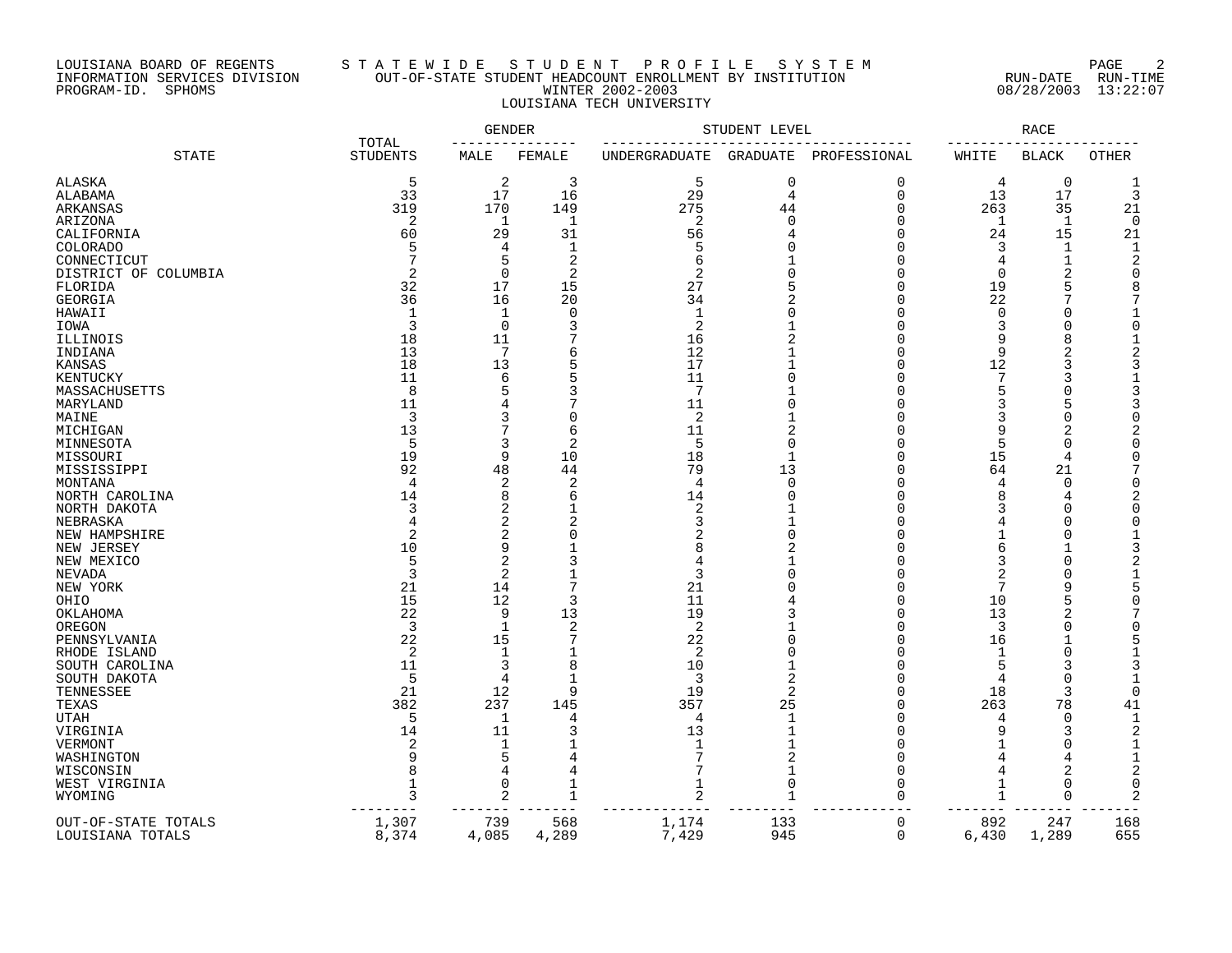## LOUISIANA BOARD OF REGENTS S T A T E W I D E S T U D E N T P R O F I L E S Y S T E M PAGE 2 INFORMATION SERVICES DIVISION OUT-OF-STATE STUDENT HEADCOUNT ENROLLMENT BY INSTITUTION RUN-DATE RUN-TIME PROGRAM-ID. SPHOMS WINTER 2002-2003 08/28/2003 13:22:07 LOUISIANA TECH UNIVERSITY

|                      |                          | GENDER       |                |                | STUDENT LEVEL  |                |                | RACE           |                |
|----------------------|--------------------------|--------------|----------------|----------------|----------------|----------------|----------------|----------------|----------------|
| <b>STATE</b>         | TOTAL<br><b>STUDENTS</b> | MALE         | FEMALE         | UNDERGRADUATE  | GRADUATE       | PROFESSIONAL   | WHITE          | <b>BLACK</b>   | OTHER          |
| ALASKA               | 5                        | 2            | 3              | 5              | $\mathbf 0$    | $\mathbf 0$    | 4              | $\overline{0}$ | $\mathbf{1}$   |
| ALABAMA              | 33                       | 17           | 16             | 29             | 4              | $\overline{0}$ | 13             | 17             | 3              |
| ARKANSAS             | 319                      | 170          | 149            | 275            | 44             | $\Omega$       | 263            | 35             | 21             |
| ARIZONA              | $\overline{2}$           | 1            | $\mathbf 1$    | $\overline{2}$ | $\mathbf 0$    | $\Omega$       | 1              | 1              | $\mathbf 0$    |
| CALIFORNIA           | 60                       | 29           | 31             | 56             | 4              | $\Omega$       | 24             | 15             | 21             |
| COLORADO             | 5                        | 4            | 1              | 5              | $\Omega$       | $\Omega$       | 3              | 1              | $\mathbf{1}$   |
| CONNECTICUT          |                          | 5            | $\overline{2}$ | 6              |                | $\cap$         | 4              | $\mathbf{1}$   | $\overline{c}$ |
| DISTRICT OF COLUMBIA | 2                        | $\Omega$     | $\overline{2}$ | 2              | $\Omega$       | n              | $\Omega$       | 2              | $\Omega$       |
| FLORIDA              | 32                       | 17           | 15             | 27             | 5              | n              | 19             | 5              | 8              |
| GEORGIA              | 36                       | 16           | 20             | 34             | $\overline{2}$ | $\cap$         | 22             | 7              |                |
| HAWAII               |                          | 1            | 0              | $\mathbf 1$    | $\Omega$       | n              | 0              | O              | 1              |
| IOWA                 | 3                        | $\mathbf 0$  | 3              | $\overline{2}$ |                | n              | 3              | $\Omega$       | $\Omega$       |
| ILLINOIS             | 18                       | 11           | 7              | 16             | $\overline{2}$ | n              | 9              | 8              | 1              |
| INDIANA              | 13                       | 7            | 6              | 12             |                |                | 9              | 2              |                |
| KANSAS               | 18                       | 13           | 5              | 17             |                | n              | 12             | 3              |                |
| KENTUCKY             | 11                       | 6            |                | 11             | $\Omega$       | n              | 7              | 3              | 1              |
| MASSACHUSETTS        | 8                        | 5            | 3              | 7              |                |                | 5              | $\Omega$       |                |
| MARYLAND             | 11                       | 4            |                | 11             | $\Omega$       |                | 3              | 5              |                |
| MAINE                | 3                        | 3            |                | 2              | 1              | n              | 3              | $\Omega$       |                |
|                      | 13                       | 7            | 6              | 11             | $\overline{2}$ |                | 9              | 2              |                |
| MICHIGAN             | 5                        | 3            | $\overline{2}$ | 5              | $\mathbf 0$    | $\cap$         | 5              | $\Omega$       |                |
| MINNESOTA            | 19                       | 9            | 10             | 18             | $\mathbf{1}$   | n              | 15             | $\overline{4}$ |                |
| MISSOURI             |                          |              |                |                |                |                |                |                |                |
| MISSISSIPPI          | 92                       | 48           | 44             | 79             | 13             | O<br>$\Omega$  | 64             | 21             |                |
| MONTANA              | 4                        | 2            | $\overline{2}$ | 4              | $\mathbf 0$    |                | 4              | 0              | O              |
| NORTH CAROLINA       | 14                       | 8            | 6              | 14             | $\Omega$       | n              | 8              | 4              |                |
| NORTH DAKOTA         | 3                        | 2            | $\mathbf{1}$   | $\overline{c}$ | $\mathbf 1$    | $\cap$         | 3              | $\Omega$       | $\cap$         |
| NEBRASKA             | 4                        | 2            | $\overline{2}$ | 3              |                | $\cap$         |                | 0              | U              |
| NEW HAMPSHIRE        | 2                        | 2            | $\Omega$       |                | $\Omega$       |                |                | $\Omega$       |                |
| NEW JERSEY           | 10                       | 9            |                | 8              | $\overline{2}$ | n              | 6              | 1              | 3              |
| NEW MEXICO           | 5                        | 2            | 3              | 4              |                | n              | 3              | $\Omega$       |                |
| NEVADA               | 3                        | 2            |                | 3              | $\Omega$       | n              | $\overline{2}$ | $\Omega$       | 1              |
| NEW YORK             | 21                       | 14           | 7              | 21             | $\Omega$       | $\cap$         | 7              | 9              | 5              |
| OHIO                 | 15                       | 12           | २              | 11             |                | n              | 10             | 5              | ∩              |
| OKLAHOMA             | 22                       | 9            | 13             | 19             | 3              | n              | 13             | 2              | 7              |
| OREGON               | 3                        | $\mathbf{1}$ | $\overline{2}$ | 2              |                |                | 3              | 0              | O              |
| PENNSYLVANIA         | 22                       | 15           | 7              | 22             | O              |                | 16             |                | 5              |
| RHODE ISLAND         | 2                        | 1            |                | 2              | $\Omega$       | n              | 1              | $\Omega$       | -1             |
| SOUTH CAROLINA       | 11                       | 3            | 8              | 10             | $\mathbf{1}$   |                | 5              | 3              |                |
| SOUTH DAKOTA         | 5                        | 4            | $\mathbf{1}$   | 3              | $\overline{2}$ |                | 4              | $\Omega$       | 1              |
| TENNESSEE            | 21                       | 12           | 9              | 19             | $\overline{2}$ | n              | 18             | 3              | $\Omega$       |
| TEXAS                | 382                      | 237          | 145            | 357            | 25             | n              | 263            | 78             | 41             |
| UTAH                 | 5                        | 1            | 4              | 4              | $\mathbf 1$    |                | 4              | $\mathbf 0$    | $\mathbf{1}$   |
| VIRGINIA             | 14                       | 11           | 3              | 13             | 1              | n              | 9              | 3              | $\overline{c}$ |
| VERMONT              | $\overline{c}$           | 1            |                | $\mathbf{1}$   | 1              | O              |                | $\Omega$       | $\mathbf{1}$   |
| WASHINGTON           | 9                        | 5            | 4              | 7              | $\overline{2}$ | $\cap$         |                |                | $\mathbf{1}$   |
| WISCONSIN            | 8                        | 4            | 4              |                | 1              | n              | 4              | $\overline{2}$ | $\overline{c}$ |
| WEST VIRGINIA        | $\mathbf{1}$             | 0            | $\mathbf{1}$   |                | $\overline{0}$ | n              | $\mathbf{1}$   | $\Omega$       | $\Omega$       |
| WYOMING              | 3                        | 2            | $\mathbf{1}$   | 2              | 1              | $\Omega$       | $\mathbf 1$    | $\Omega$       | 2              |
|                      |                          |              |                |                |                |                |                |                |                |
| OUT-OF-STATE TOTALS  | 1,307                    | 739          | 568            | 1,174          | 133            | 0              | 892            | 247            | 168            |
| LOUISIANA TOTALS     | 8,374                    | 4,085        | 4,289          | 7,429          | 945            | $\mathbf 0$    | 6,430          | 1,289          | 655            |
|                      |                          |              |                |                |                |                |                |                |                |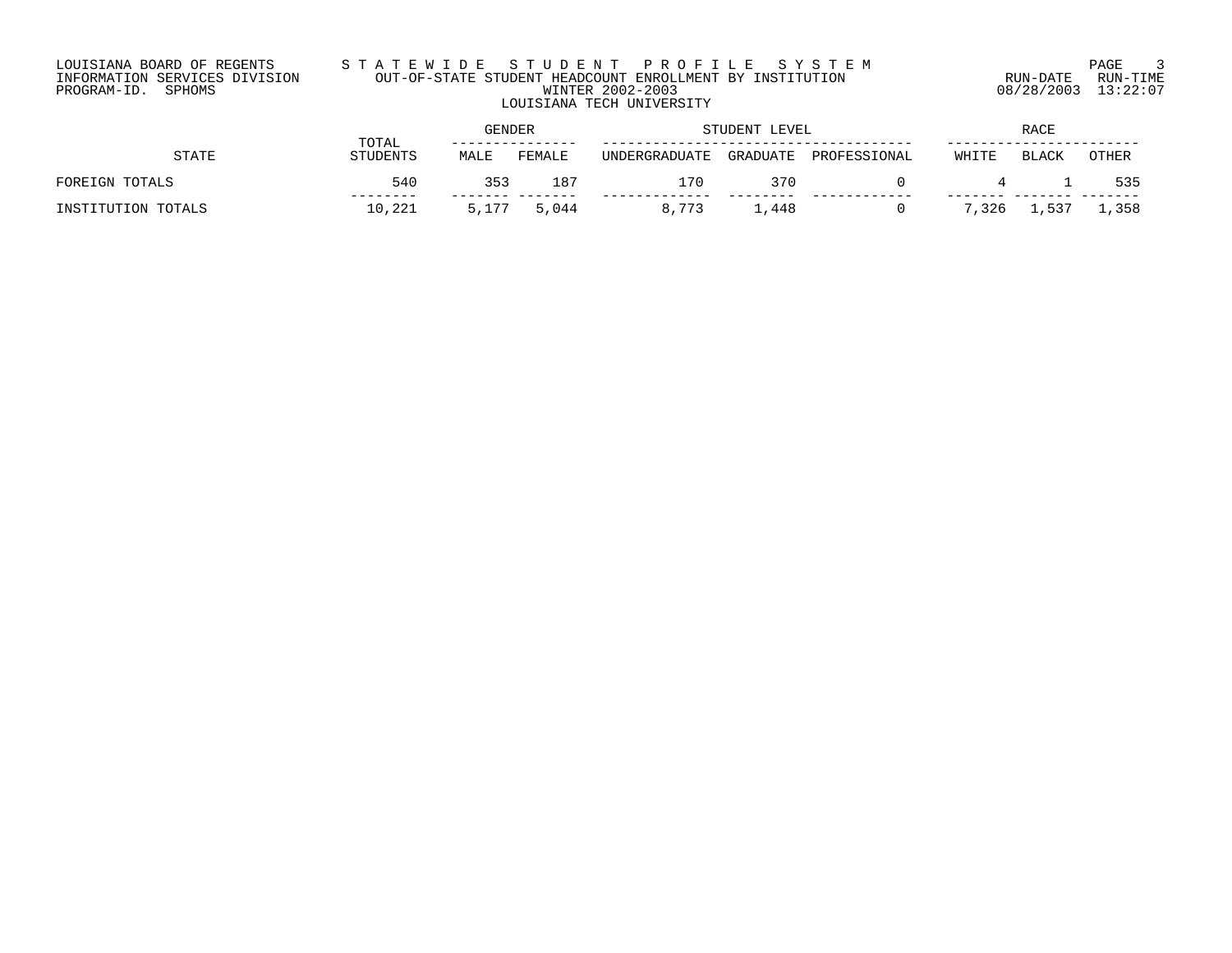## LOUISIANA BOARD OF REGENTS S T A T E W I D E S T U D E N T P R O F I L E S Y S T E M PAGE 3 INFORMATION SERVICES DIVISION OUT-OF-STATE STUDENT HEADCOUNT ENROLLMENT BY INSTITUTION RUN-DATE RUN-TIME PROGRAM-ID. SPHOMS WINTER 2002-2003 08/28/2003 13:22:07 LOUISIANA TECH UNIVERSITY

|                    | TOTAL           | <b>GENDER</b> |        |               | STUDENT LEVEL |              |       | RACE  |       |  |  |
|--------------------|-----------------|---------------|--------|---------------|---------------|--------------|-------|-------|-------|--|--|
| STATE              | <b>STUDENTS</b> | MALE          | FEMALE | UNDERGRADUATE | GRADUATE      | PROFESSIONAL | WHITE | BLACK | OTHER |  |  |
| FOREIGN TOTALS     | 540             | 353           | 187    | 170           | 370           |              | 4     |       | 535   |  |  |
| INSTITUTION TOTALS | 10,221          | 5,177         | 5,044  | 8,773         | . . 448       |              | 7,326 | ,537  | 1,358 |  |  |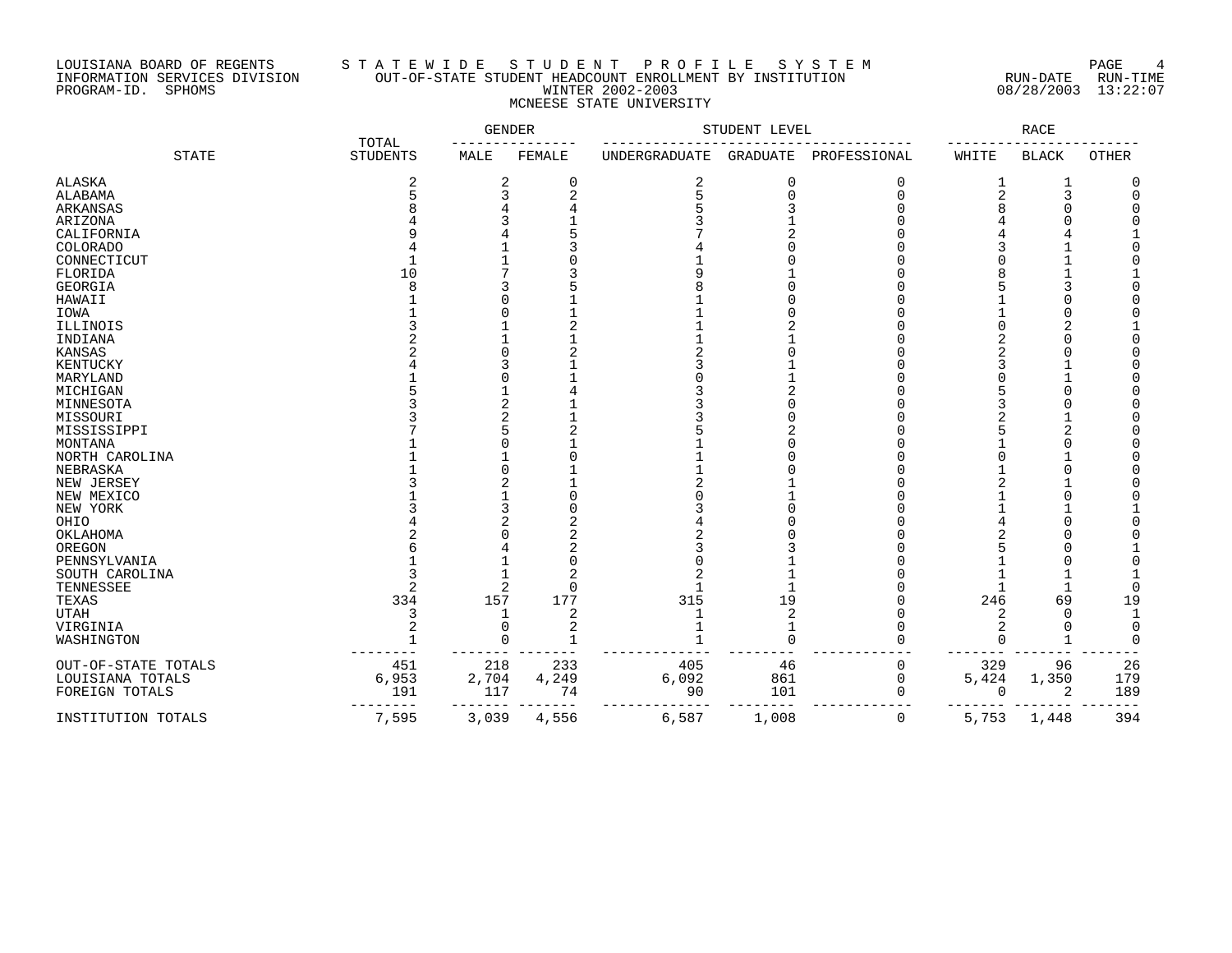## LOUISIANA BOARD OF REGENTS S T A T E W I D E S T U D E N T P R O F I L E S Y S T E M PAGE 4 INFORMATION SERVICES DIVISION OUT-OF-STATE STUDENT HEADCOUNT ENROLLMENT BY INSTITUTION RUN-DATE RUN-TIME PROGRAM-ID. SPHOMS WINTER 2002-2003 08/28/2003 13:22:07 MCNEESE STATE UNIVERSITY

|                     | TOTAL           | GENDER   |                |                      | STUDENT LEVEL |              |                | RACE           |              |
|---------------------|-----------------|----------|----------------|----------------------|---------------|--------------|----------------|----------------|--------------|
| <b>STATE</b>        | <b>STUDENTS</b> | MALE     | FEMALE         | <b>UNDERGRADUATE</b> | GRADUATE      | PROFESSIONAL | WHITE          | <b>BLACK</b>   | <b>OTHER</b> |
| <b>ALASKA</b>       | 2               | 2        | $\mathsf 0$    | 2                    | $\mathbf 0$   | 0            | 1              | $\mathbf 1$    |              |
| ALABAMA             | 5               | 3        | $\overline{2}$ |                      | $\Omega$      | $\Omega$     | $\overline{2}$ | $\overline{3}$ |              |
| <b>ARKANSAS</b>     |                 |          |                |                      |               | U            |                | $\Omega$       |              |
| ARIZONA             |                 |          |                |                      |               |              |                |                |              |
| CALIFORNIA          |                 |          |                |                      |               |              |                |                |              |
| <b>COLORADO</b>     |                 |          |                |                      |               |              |                |                |              |
| CONNECTICUT         |                 |          |                |                      |               |              |                |                |              |
| FLORIDA             | 10              |          |                |                      |               |              |                |                |              |
| <b>GEORGIA</b>      |                 |          |                |                      |               |              |                |                |              |
| HAWAII              |                 |          |                |                      |               |              |                |                |              |
| IOWA                |                 |          |                |                      |               |              |                | 0              |              |
| ILLINOIS            |                 |          |                |                      |               |              |                | 2              |              |
| INDIANA             |                 |          |                |                      |               |              |                | $\Omega$       |              |
| KANSAS              |                 | Λ        | 2              |                      |               |              | 2              |                |              |
| KENTUCKY            |                 | 3        |                |                      |               |              |                |                |              |
| MARYLAND            |                 | ∩        |                |                      |               |              |                |                |              |
| MICHIGAN            |                 |          |                |                      |               |              |                |                |              |
| MINNESOTA           |                 | 2        |                |                      |               |              |                |                |              |
| MISSOURI            |                 | 2        |                |                      |               |              |                |                |              |
| MISSISSIPPI         |                 | 5        |                |                      |               |              |                |                |              |
| MONTANA             |                 | U        |                |                      |               |              |                | U              |              |
| NORTH CAROLINA      |                 |          |                |                      |               |              |                |                |              |
| <b>NEBRASKA</b>     |                 | O        |                |                      |               |              |                |                |              |
| NEW JERSEY          |                 | 2        |                |                      |               |              |                |                |              |
| NEW MEXICO          |                 |          |                |                      |               |              |                |                |              |
| NEW YORK            |                 | 3        |                |                      |               |              |                |                |              |
| OHIO                |                 |          |                |                      |               |              |                |                |              |
| OKLAHOMA            |                 |          |                |                      |               |              |                |                |              |
| OREGON              |                 |          |                |                      |               |              |                |                |              |
| PENNSYLVANIA        |                 |          |                |                      |               |              |                |                |              |
| SOUTH CAROLINA      |                 |          |                |                      |               |              |                |                |              |
| TENNESSEE           | $\mathfrak{D}$  | 2        | $\cap$         |                      |               |              | -1             |                |              |
| TEXAS               | 334             | 157      | 177            | 315                  | 19            |              | 246            | 69             | 19           |
| <b>UTAH</b>         | 3               |          | 2              |                      | 2             | U            | 2              | $\Omega$       |              |
| VIRGINIA            |                 | 0        |                |                      |               |              |                |                |              |
| WASHINGTON          |                 | $\Omega$ |                |                      |               |              |                |                |              |
| OUT-OF-STATE TOTALS | 451             | 218      | 233            | 405                  | 46            | 0            | 329            | 96             | 26           |
| LOUISIANA TOTALS    | 6,953           | 2,704    | 4,249          | 6,092                | 861           | 0            | 5,424          | 1,350          | 179          |
| FOREIGN TOTALS      | 191             | 117      | 74             | 90                   | 101           | O            | $\Omega$       | 2              | 189          |
| INSTITUTION TOTALS  | 7,595           | 3,039    | 4,556          | 6,587                | 1,008         | 0            | 5,753          | 1,448          | 394          |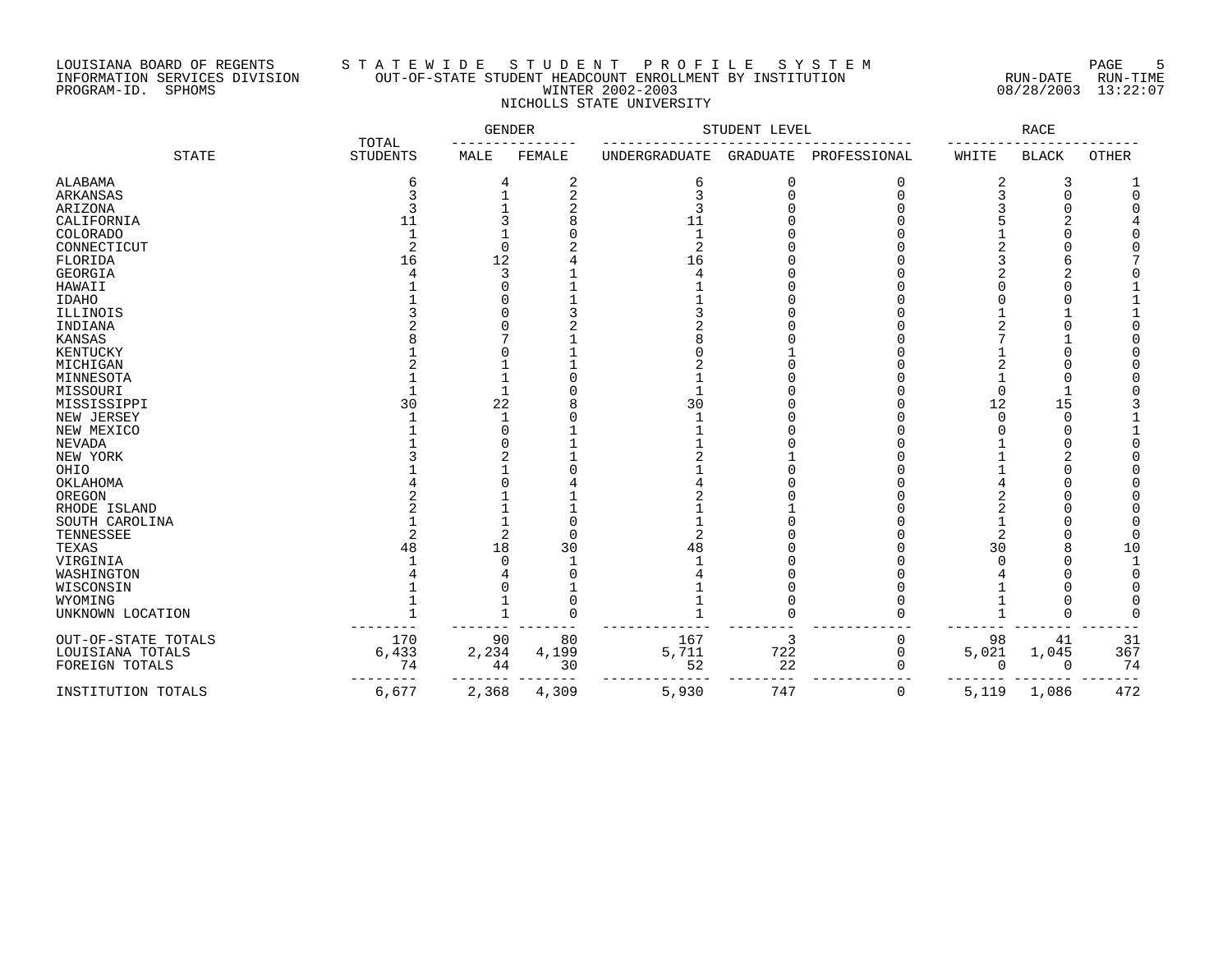## LOUISIANA BOARD OF REGENTS S T A T E W I D E S T U D E N T P R O F I L E S Y S T E M PAGE 5 INFORMATION SERVICES DIVISION OUT-OF-STATE STUDENT HEADCOUNT ENROLLMENT BY INSTITUTION RUN-DATE RUN-TIME PROGRAM-ID. SPHOMS WINTER 2002-2003 08/28/2003 13:22:07 NICHOLLS STATE UNIVERSITY

|                     |                          | GENDER   |                |                | STUDENT LEVEL   |              |          | RACE         |       |  |
|---------------------|--------------------------|----------|----------------|----------------|-----------------|--------------|----------|--------------|-------|--|
| <b>STATE</b>        | TOTAL<br><b>STUDENTS</b> | MALE     | FEMALE         | UNDERGRADUATE  | <b>GRADUATE</b> | PROFESSIONAL | WHITE    | <b>BLACK</b> | OTHER |  |
| ALABAMA             | 6                        |          | 2              | 6              | 0               | 0            | 2        | 3            |       |  |
| ARKANSAS            | 3                        |          | $\overline{c}$ |                | $\Omega$        | $\Omega$     | 3        |              |       |  |
| ARIZONA             |                          |          | 2              |                |                 |              |          |              |       |  |
| CALIFORNIA          | 11                       |          | 8              | 11             |                 |              |          | 2            |       |  |
| <b>COLORADO</b>     | $\mathbf{1}$             |          |                | $\mathbf{1}$   |                 |              |          | ∩            |       |  |
| CONNECTICUT         | $\overline{2}$           | $\Omega$ |                | $\overline{a}$ |                 |              |          |              |       |  |
| FLORIDA             | 16                       | 12       |                | 16             |                 |              |          |              |       |  |
| GEORGIA             |                          | 3        |                |                |                 |              |          |              |       |  |
| HAWAII              |                          | N        |                |                |                 |              |          |              |       |  |
| <b>IDAHO</b>        |                          |          |                |                |                 |              |          |              |       |  |
| ILLINOIS            |                          |          |                |                |                 |              |          |              |       |  |
| INDIANA             |                          |          |                |                |                 |              |          |              |       |  |
| <b>KANSAS</b>       |                          |          |                |                |                 |              |          |              |       |  |
| KENTUCKY            |                          |          |                |                |                 |              |          |              |       |  |
| MICHIGAN            |                          |          |                |                |                 |              |          |              |       |  |
| MINNESOTA           |                          |          |                |                |                 |              |          |              |       |  |
| MISSOURI            |                          |          |                |                |                 |              | $\Omega$ |              |       |  |
| MISSISSIPPI         | 30                       | 22       |                | 30             |                 |              | 12       | 15           |       |  |
| NEW JERSEY          |                          |          |                |                |                 |              | ∩        | $\cap$       |       |  |
|                     |                          | Λ        |                |                |                 |              |          |              |       |  |
| NEW MEXICO          |                          |          |                |                |                 |              |          |              |       |  |
| NEVADA              |                          |          |                |                |                 |              |          |              |       |  |
| NEW YORK            |                          |          |                |                |                 |              |          |              |       |  |
| OHIO                |                          |          |                |                |                 |              |          |              |       |  |
| OKLAHOMA            |                          |          |                |                |                 |              |          |              |       |  |
| OREGON              |                          |          |                |                |                 |              |          |              |       |  |
| RHODE ISLAND        |                          |          |                |                |                 |              |          |              |       |  |
| SOUTH CAROLINA      |                          |          |                |                |                 |              |          |              |       |  |
| TENNESSEE           |                          | 2        | C              |                |                 |              |          |              |       |  |
| TEXAS               | 48                       | 18       | 30             | 48             |                 |              | 30       |              | 10    |  |
| VIRGINIA            |                          | N        |                |                |                 |              |          |              |       |  |
| WASHINGTON          |                          |          | O              |                |                 |              |          |              |       |  |
| WISCONSIN           |                          |          |                |                |                 |              |          |              |       |  |
| WYOMING             |                          |          | $\Omega$       |                |                 |              |          |              |       |  |
| UNKNOWN LOCATION    |                          |          | $\bigcap$      |                | $\sqrt{ }$      | $\Omega$     |          | $\cap$       |       |  |
| OUT-OF-STATE TOTALS | 170                      | 90       | 80             | 167            | 3               | 0            | 98       | 41           | 31    |  |
| LOUISIANA TOTALS    | 6,433                    | 2,234    | 4,199          | 5,711          | 722             | 0            | 5,021    | 1,045        | 367   |  |
| FOREIGN TOTALS      | 74                       | 44       | 30             | 52             | 22              | 0            | $\Omega$ | $\Omega$     | 74    |  |
| INSTITUTION TOTALS  | 6,677                    | 2,368    | 4,309          | 5,930          | 747             | 0            | 5,119    | 1,086        | 472   |  |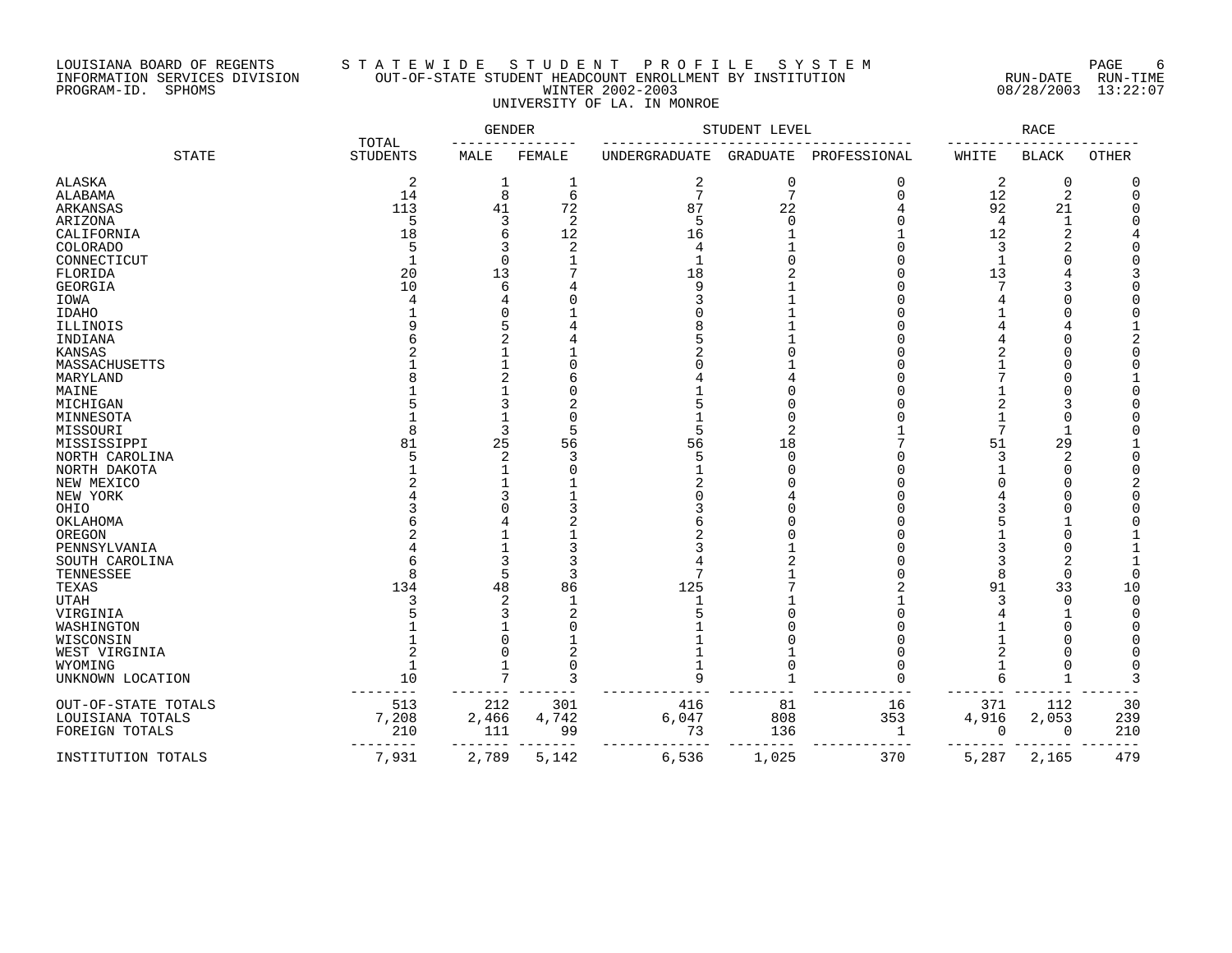## LOUISIANA BOARD OF REGENTS S T A T E W I D E S T U D E N T P R O F I L E S Y S T E M PAGE 6 INFORMATION SERVICES DIVISION OUT-OF-STATE STUDENT HEADCOUNT ENROLLMENT BY INSTITUTION RUN-DATE RUN-TIME PROGRAM-ID. SPHOMS WINTER 2002-2003 08/28/2003 13:22:07 UNIVERSITY OF LA. IN MONROE

|                     | TOTAL        | GENDER          |       |           | STUDENT LEVEL |                 |              | RACE  |              |              |
|---------------------|--------------|-----------------|-------|-----------|---------------|-----------------|--------------|-------|--------------|--------------|
|                     | <b>STATE</b> | <b>STUDENTS</b> | MALE  | FEMALE    | UNDERGRADUATE | GRADUATE        | PROFESSIONAL | WHITE | <b>BLACK</b> | <b>OTHER</b> |
| ALASKA              |              | 2               | 1     | 1         | 2             | 0               | 0            | 2     | 0            |              |
| ALABAMA             |              | 14              | 8     | 6         | 7             | $7\phantom{.0}$ | $\Omega$     | 12    | 2            |              |
| ARKANSAS            |              | 113             | 41    | 72        | 87            | 22              |              | 92    | 21           |              |
| ARIZONA             |              | 5               | 3     | 2         | 5             | $\Omega$        | Ω            | 4     | $\mathbf 1$  |              |
| CALIFORNIA          |              | 18              | 6     | 12        | 16            |                 |              | 12    | 2            |              |
| COLORADO            |              | 5               | 3     | 2         | 4             |                 |              | 3     |              |              |
| CONNECTICUT         |              | 1               | 0     |           |               |                 |              | -1    |              |              |
| FLORIDA             |              | 20              | 13    |           | 18            |                 |              | 13    |              |              |
| <b>GEORGIA</b>      |              | 10              | 6     |           | q             |                 |              | 7     |              |              |
| IOWA                |              |                 |       |           |               |                 |              |       |              |              |
| <b>IDAHO</b>        |              |                 |       |           |               |                 |              |       |              |              |
| ILLINOIS            |              |                 | 5     |           |               |                 |              |       |              |              |
| INDIANA             |              |                 |       |           |               |                 |              |       |              |              |
| KANSAS              |              |                 |       |           |               |                 |              |       |              |              |
| MASSACHUSETTS       |              |                 |       |           |               |                 |              |       |              |              |
| MARYLAND            |              |                 |       |           |               |                 |              |       |              |              |
| MAINE               |              |                 |       |           |               |                 |              |       |              |              |
| MICHIGAN            |              |                 |       |           |               |                 |              |       |              |              |
| MINNESOTA           |              |                 |       |           |               |                 |              |       | C            |              |
| MISSOURI            |              |                 | 3     |           |               | 2               |              |       |              |              |
| MISSISSIPPI         |              | 81              | 25    | 56        | 56            | 18              |              | 51    | 29           |              |
| NORTH CAROLINA      |              |                 | 2     |           |               | $\cap$          |              | 3     | 2            |              |
| NORTH DAKOTA        |              |                 |       |           |               |                 |              |       | $\Omega$     |              |
| NEW MEXICO          |              |                 |       |           |               |                 |              |       | $\cap$       |              |
| NEW YORK            |              |                 |       |           |               |                 |              |       |              |              |
| OHIO                |              |                 |       |           |               |                 |              |       |              |              |
| OKLAHOMA            |              |                 |       |           |               |                 |              |       |              |              |
| OREGON              |              |                 |       |           |               |                 |              |       |              |              |
| PENNSYLVANIA        |              |                 |       |           |               |                 |              |       | $\cap$       |              |
| SOUTH CAROLINA      |              | F               | 3     |           |               |                 |              |       | 2            |              |
| TENNESSEE           |              | 8               | 5     | 3         |               |                 |              | 8     | $\mathbf 0$  |              |
| TEXAS               |              | 134             | 48    | 86        | 125           |                 | 2            | 91    | 33           | 10           |
| <b>UTAH</b>         |              | 3               | 2     |           |               |                 |              | 3     | $\Omega$     | $\Omega$     |
| VIRGINIA            |              |                 | 3     |           |               |                 |              |       |              |              |
|                     |              |                 |       |           |               |                 |              |       | $\Omega$     |              |
| WASHINGTON          |              |                 |       |           |               |                 |              |       | $\cap$       |              |
| WISCONSIN           |              |                 |       |           |               |                 |              |       |              |              |
| WEST VIRGINIA       |              |                 |       |           |               |                 |              |       |              |              |
| WYOMING             |              |                 | 7     | $\bigcap$ |               | $\sqrt{ }$      | $\cap$       |       | $\bigcap$    |              |
| UNKNOWN LOCATION    |              | 10              |       | 3         |               |                 |              |       |              |              |
| OUT-OF-STATE TOTALS |              | 513             | 212   | 301       | 416           | 81              | 16           | 371   | 112          | 30           |
| LOUISIANA TOTALS    |              | 7,208           | 2,466 | 4,742     | 6,047         | 808             | 353          | 4,916 | 2,053        | 239          |
| FOREIGN TOTALS      |              | 210             | 111   | 99        | 73            | 136             | 1            | 0     | 0            | 210          |
| INSTITUTION TOTALS  |              | 7,931           | 2,789 | 5,142     | 6,536         | 1,025           | 370          | 5,287 | 2,165        | 479          |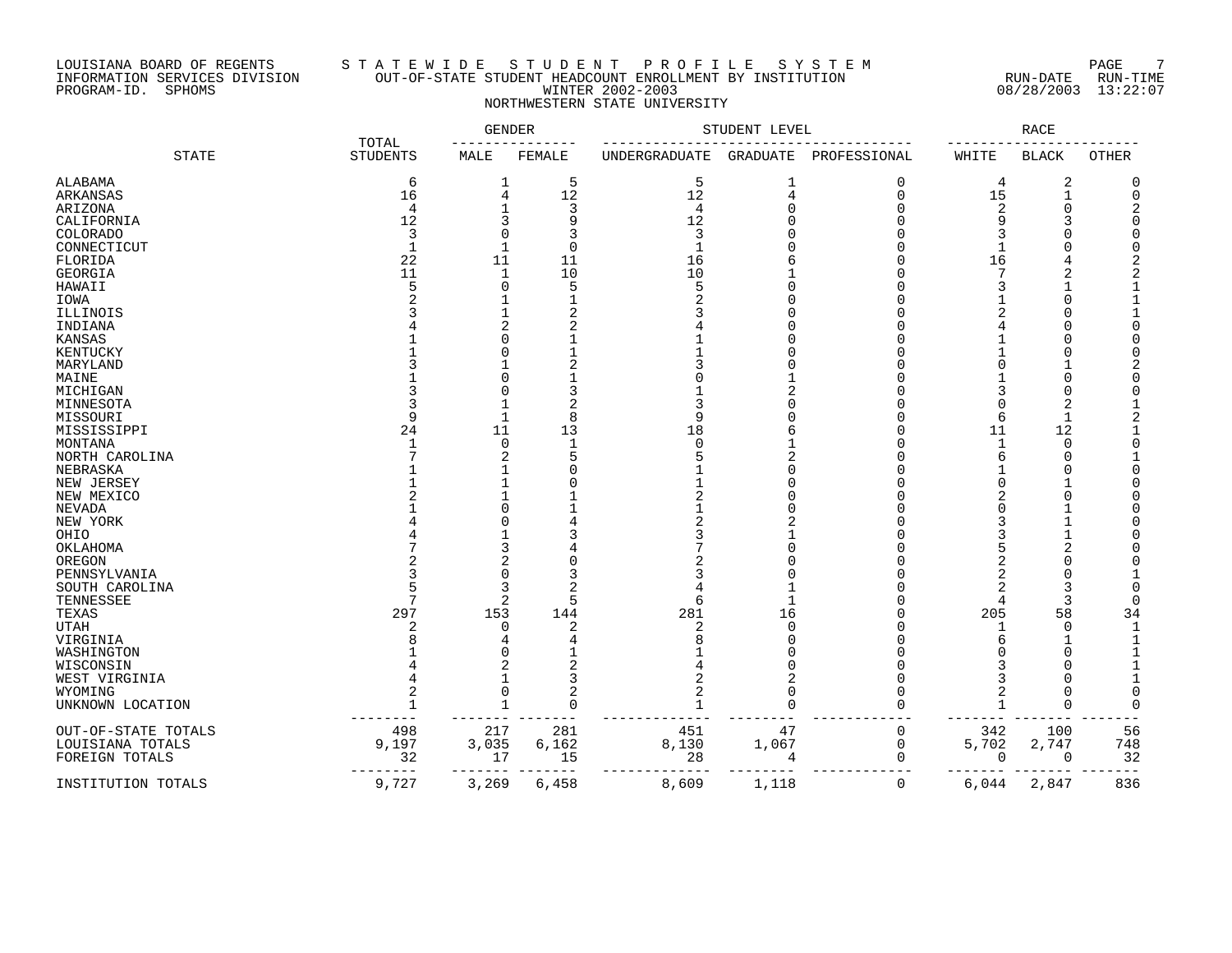#### LOUISIANA BOARD OF REGENTS S T A T E W I D E S T U D E N T P R O F I L E S Y S T E M PAGE 7 INFORMATION SERVICES DIVISION OUT-OF-STATE STUDENT HEADCOUNT ENROLLMENT BY INSTITUTION RUN-DATE RUN-TIME PROGRAM-ID. SPHOMS WINTER 2002-2003 08/28/2003 13:22:07 NORTHWESTERN STATE UNIVERSITY

|                     |                          | <b>GENDER</b> |          |                      | STUDENT LEVEL   |              |       | RACE           |              |
|---------------------|--------------------------|---------------|----------|----------------------|-----------------|--------------|-------|----------------|--------------|
| <b>STATE</b>        | TOTAL<br><b>STUDENTS</b> | MALE          | FEMALE   | <b>UNDERGRADUATE</b> | <b>GRADUATE</b> | PROFESSIONAL | WHITE | <b>BLACK</b>   | <b>OTHER</b> |
| ALABAMA             | 6                        | 1             | 5        | 5                    | 1               | 0            | 4     | 2              |              |
| ARKANSAS            | 16                       | 4             | 12       | 12                   | $\overline{4}$  | $\Omega$     | 15    | $\mathbf{1}$   |              |
| ARIZONA             | 4                        |               | 3        | $\overline{4}$       |                 | $\cap$       | 2     | C              |              |
| CALIFORNIA          | 12                       | 3             |          | 12                   |                 |              |       |                |              |
| COLORADO            | 3                        | $\Omega$      | 3        | 3                    |                 |              |       |                |              |
|                     | $\mathbf{1}$             |               | $\Omega$ | $\mathbf{1}$         |                 |              |       |                |              |
| CONNECTICUT         |                          |               |          |                      |                 |              |       |                |              |
| FLORIDA             | 22                       | 11            | 11       | 16                   |                 |              | 16    |                |              |
| GEORGIA             | 11                       | $\mathbf 1$   | 10       | 10                   |                 |              |       |                |              |
| HAWAII              |                          | 0             | 5        |                      |                 |              |       |                |              |
| IOWA                |                          |               |          |                      |                 |              |       |                |              |
| ILLINOIS            |                          |               | 2        |                      |                 |              |       |                |              |
| INDIANA             |                          |               |          |                      |                 |              |       |                |              |
| KANSAS              |                          |               |          |                      |                 |              |       |                |              |
| KENTUCKY            |                          |               |          |                      |                 |              |       |                |              |
| MARYLAND            |                          |               |          |                      |                 |              |       |                |              |
| MAINE               |                          |               |          |                      |                 |              |       | C              |              |
| MICHIGAN            |                          |               | 3        |                      |                 |              |       | C              |              |
| MINNESOTA           |                          |               |          |                      |                 |              |       | $\overline{2}$ |              |
|                     | 9                        |               | 8        |                      |                 |              |       | $\mathbf{1}$   |              |
| MISSOURI            |                          | 1             |          |                      |                 |              | 6     |                |              |
| MISSISSIPPI         | 24                       | 11            | 13       | 18                   |                 |              | 11    | 12             |              |
| MONTANA             |                          | $\Omega$      | -1       |                      |                 |              | 1     | $\mathbf 0$    |              |
| NORTH CAROLINA      |                          | 2             |          |                      |                 |              |       | $\Omega$       |              |
| NEBRASKA            |                          |               |          |                      |                 |              |       | $\Omega$       |              |
| NEW JERSEY          |                          |               |          |                      |                 |              |       |                |              |
| NEW MEXICO          |                          |               |          |                      |                 |              |       | $\bigcap$      |              |
| NEVADA              |                          |               |          |                      |                 |              |       |                |              |
| NEW YORK            |                          |               |          |                      |                 |              |       |                |              |
| OHIO                |                          |               |          |                      |                 |              |       |                |              |
| OKLAHOMA            |                          |               |          |                      |                 |              |       |                |              |
| OREGON              |                          |               |          |                      |                 |              |       | $\Omega$       |              |
| PENNSYLVANIA        |                          |               |          |                      |                 |              |       | O              |              |
|                     | 5                        | 3             |          |                      |                 |              |       | 3              |              |
| SOUTH CAROLINA      | 7                        |               |          |                      |                 |              |       |                |              |
| TENNESSEE           |                          | 2             | 5        | 6                    | $\mathbf{1}$    |              | 4     | 3              |              |
| TEXAS               | 297                      | 153           | 144      | 281                  | 16              |              | 205   | 58             | 34           |
| <b>UTAH</b>         | 2                        | O             | 2        | 2                    | O               |              |       | $\Omega$       |              |
| VIRGINIA            |                          |               |          |                      |                 |              |       |                |              |
| WASHINGTON          |                          |               |          |                      |                 |              |       | $\mathbf 0$    |              |
| WISCONSIN           |                          |               |          |                      |                 |              |       | $\bigcap$      |              |
| WEST VIRGINIA       |                          |               | 3        |                      |                 |              |       |                |              |
| WYOMING             | $\overline{2}$           | 0             | 2        |                      | 0               |              |       | C              |              |
| UNKNOWN LOCATION    |                          |               | $\Omega$ |                      | $\Omega$        | $\Omega$     |       | $\Omega$       |              |
| OUT-OF-STATE TOTALS | 498                      | 217           | 281      | 451                  | 47              | 0            | 342   | 100            | 56           |
| LOUISIANA TOTALS    | 9,197                    | 3,035         | 6,162    | 8,130                | 1,067           | 0            | 5,702 | 2,747          | 748          |
| FOREIGN TOTALS      | 32                       | 17            | 15       | 28                   | 4               | 0            | 0     | 0              | 32           |
| INSTITUTION TOTALS  | $------$<br>9,727        | 3,269         | 6,458    | 8,609                | 1,118           | 0            | 6,044 | 2,847          | 836          |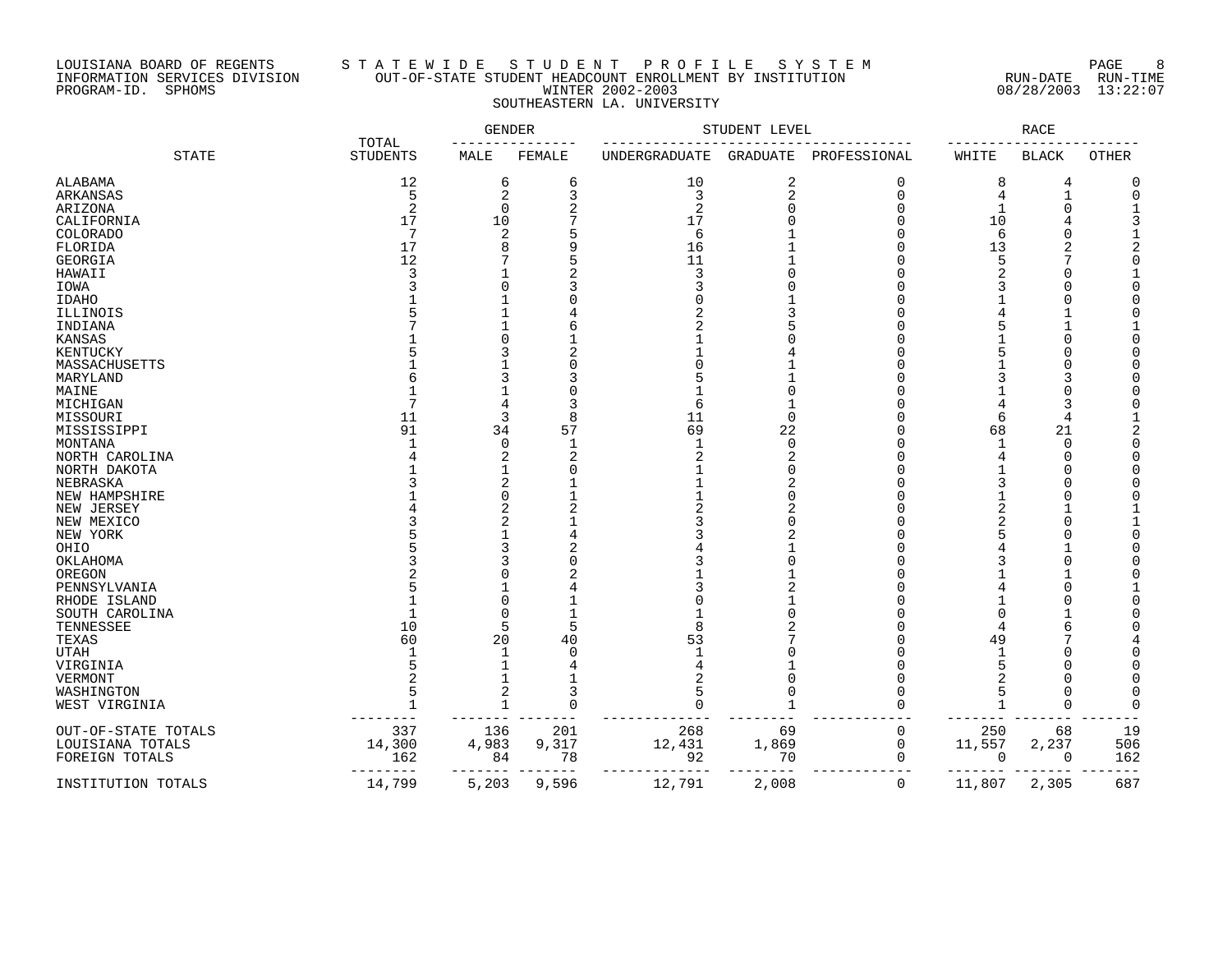#### LOUISIANA BOARD OF REGENTS S T A T E W I D E S T U D E N T P R O F I L E S Y S T E M PAGE 8 INFORMATION SERVICES DIVISION OUT-OF-STATE STUDENT HEADCOUNT ENROLLMENT BY INSTITUTION RUN-DATE RUN-TIME PROGRAM-ID. SPHOMS WINTER 2002-2003 08/28/2003 13:22:07 SOUTHEASTERN LA. UNIVERSITY

| TOTAL<br><b>STATE</b><br><b>STUDENTS</b><br>FEMALE<br><b>GRADUATE</b><br>PROFESSIONAL<br>WHITE<br>MALE<br>UNDERGRADUATE | <b>BLACK</b><br><b>OTHER</b> |     |
|-------------------------------------------------------------------------------------------------------------------------|------------------------------|-----|
|                                                                                                                         |                              |     |
| 12<br>10<br>2<br>ALABAMA<br>6<br>6<br>$\Omega$<br>8                                                                     | 4                            | U   |
| 2<br>2<br>5<br>3<br>3<br>ARKANSAS<br>$\Omega$<br>4                                                                      | $\mathbf 1$                  | ∩   |
| 2<br>$\Omega$<br>ARIZONA<br>2<br>U<br>Λ                                                                                 |                              |     |
| 17<br>10<br>10<br>17<br>CALIFORNIA                                                                                      |                              |     |
| 7<br>2<br>COLORADO<br>6<br>6                                                                                            |                              |     |
| 17<br>8<br>16<br>13                                                                                                     |                              |     |
| FLORIDA                                                                                                                 |                              |     |
| 12<br><b>GEORGIA</b><br>11<br>5                                                                                         |                              |     |
| HAWAII<br>3<br>3                                                                                                        |                              |     |
| IOWA<br>N<br>3                                                                                                          |                              |     |
| <b>IDAHO</b>                                                                                                            |                              |     |
| ILLINOIS                                                                                                                |                              |     |
| INDIANA                                                                                                                 |                              |     |
| KANSAS<br>O                                                                                                             |                              |     |
| KENTUCKY<br>3                                                                                                           |                              |     |
| MASSACHUSETTS                                                                                                           |                              |     |
| MARYLAND<br>3                                                                                                           | 3                            |     |
| MAINE                                                                                                                   |                              |     |
|                                                                                                                         |                              |     |
| MICHIGAN<br>4<br>3<br>6<br>4                                                                                            | 3                            |     |
| 11<br>3<br>MISSOURI<br>8<br>11<br>$\Omega$<br>6                                                                         | 4                            |     |
| 91<br>69<br>22<br>MISSISSIPPI<br>34<br>57<br>68                                                                         | 21                           |     |
| 0<br>$\Omega$<br>MONTANA                                                                                                | $\Omega$                     |     |
| 2<br>NORTH CAROLINA                                                                                                     | U                            |     |
| NORTH DAKOTA                                                                                                            |                              |     |
| 2<br>NEBRASKA<br>3                                                                                                      |                              |     |
| NEW HAMPSHIRE<br>0                                                                                                      |                              |     |
| 2<br>2<br>NEW JERSEY                                                                                                    |                              |     |
| 2<br>NEW MEXICO<br>2                                                                                                    |                              |     |
|                                                                                                                         |                              |     |
| NEW YORK                                                                                                                |                              |     |
| 3<br>OHIO                                                                                                               |                              |     |
| 3<br>OKLAHOMA                                                                                                           |                              |     |
| OREGON                                                                                                                  |                              |     |
| PENNSYLVANIA                                                                                                            |                              |     |
| RHODE ISLAND<br>O                                                                                                       |                              |     |
| SOUTH CAROLINA<br>$\Omega$<br>$\Omega$                                                                                  |                              |     |
| 5<br>10<br>5<br>TENNESSEE<br>4                                                                                          | 6                            |     |
| 60<br>20<br>TEXAS<br>40<br>53<br>49                                                                                     |                              |     |
| $\bigcap$<br>UTAH<br>$\mathbf{1}$                                                                                       |                              |     |
| VIRGINIA                                                                                                                |                              |     |
| U                                                                                                                       |                              |     |
| VERMONT                                                                                                                 |                              |     |
| 2<br>WASHINGTON<br>5                                                                                                    |                              |     |
| 1<br>$\mathbf 0$<br>WEST VIRGINIA<br>O                                                                                  | $\Omega$                     | 0   |
| 337<br>136<br>201<br>268<br>69<br>$\mathbf 0$<br>250<br>OUT-OF-STATE TOTALS                                             | 68                           | 19  |
| 14,300<br>4,983<br>9,317<br>12,431<br>1,869<br>11,557<br>LOUISIANA TOTALS<br>0                                          | 2,237                        | 506 |
| 162<br>84<br>70<br>FOREIGN TOTALS<br>78<br>92<br>0<br>0                                                                 | 0                            | 162 |
| -------<br>---<br>14,799<br>0<br>5,203<br>9,596<br>12,791<br>2,008<br>11,807<br>INSTITUTION TOTALS                      | 2,305                        | 687 |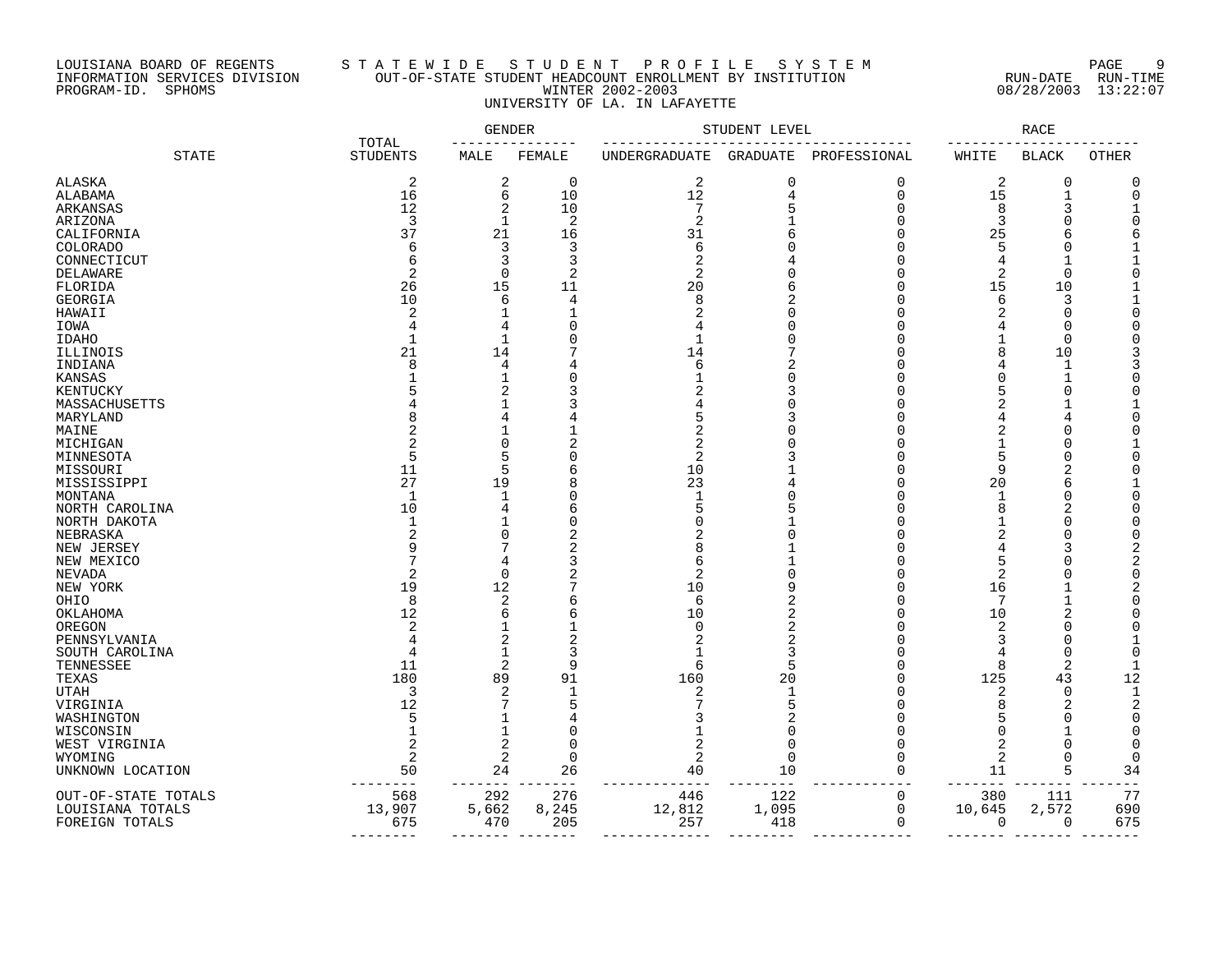#### LOUISIANA BOARD OF REGENTS S T A T E W I D E S T U D E N T P R O F I L E S Y S T E M PAGE 9 INFORMATION SERVICES DIVISION OUT-OF-STATE STUDENT HEADCOUNT ENROLLMENT BY INSTITUTION RUN-DATE RUN-TIME PROGRAM-ID. SPHOMS WINTER 2002-2003 08/28/2003 13:22:07 UNIVERSITY OF LA. IN LAFAYETTE

|                           |                          |                   | <b>GENDER</b>  |                | STUDENT LEVEL  |              |                |                |              |
|---------------------------|--------------------------|-------------------|----------------|----------------|----------------|--------------|----------------|----------------|--------------|
| <b>STATE</b>              | TOTAL<br><b>STUDENTS</b> | MALE              | FEMALE         | UNDERGRADUATE  | GRADUATE       | PROFESSIONAL | WHITE          | <b>BLACK</b>   | <b>OTHER</b> |
| ALASKA                    | $\overline{2}$           | 2                 | 0              | $\overline{c}$ | $\overline{0}$ | 0            | 2              | 0              |              |
| ALABAMA                   | 16                       | 6                 | 10             | 12             | 4              | $\Omega$     | 15             | $\mathbf{1}$   |              |
| ARKANSAS                  | 12                       | 2                 | 10             | 7              | 5              | $\Omega$     | 8              | 3              |              |
| ARIZONA                   | 3                        | $\mathbf 1$       | $\overline{2}$ | $\overline{2}$ |                | $\Omega$     | 3              | $\Omega$       |              |
| CALIFORNIA                | 37                       | 21                | 16             | 31             | 6              | $\cap$       | 25             | 6              |              |
| <b>COLORADO</b>           | 6                        | 3                 | 3              | 6              | $\cap$         | ∩            | 5              | $\Omega$       |              |
| CONNECTICUT               | 6                        | 3                 | 3              | $\overline{2}$ |                | Ω            | 4              | 1              |              |
| DELAWARE                  | $\overline{2}$           | $\mathbf 0$       | $\overline{2}$ | 2              | $\Omega$       | Ω            | 2              | $\mathbf 0$    |              |
| FLORIDA                   | 26                       | 15                | 11             | 20             | 6              | $\cap$       | 15             | 10             |              |
| <b>GEORGIA</b>            | 10                       | 6                 | 4              | 8              |                | ∩            | 6              | 3              |              |
| HAWAII                    | 2                        | 1                 | $\mathbf{1}$   | 2              | $\Omega$       | Ω            | $\overline{c}$ | $\mathbf 0$    |              |
| IOWA                      | 4                        | 4                 | $\bigcap$      |                | $\cap$         | Λ            |                | $\Omega$       |              |
| <b>IDAHO</b>              | $\mathbf{1}$             | 1                 | $\Omega$       |                | $\Omega$       | ſ            |                | $\mathbf 0$    |              |
| ILLINOIS                  | 21                       | 14                | 7              | 14             |                | r            | 8              | 10             |              |
| INDIANA                   | $\mathsf{R}$             | 4                 | 4              | 6              | 2              | ſ            |                | $\mathbf 1$    |              |
| KANSAS                    |                          | 1                 | C              |                | $\Omega$       |              | $\Omega$       | $\mathbf{1}$   |              |
| KENTUCKY                  |                          | $\overline{2}$    |                |                |                | r            | 5              | $\Omega$       |              |
| MASSACHUSETTS             |                          |                   |                |                | $\sqrt{ }$     |              |                |                |              |
| MARYLAND                  |                          | 4                 |                |                |                |              |                | 4              |              |
| MAINE                     |                          |                   |                |                |                |              | 2              | $\cap$         |              |
| MICHIGAN                  |                          | $\Omega$          |                | 2              |                |              |                | $\bigcap$      |              |
| MINNESOTA                 | 5                        | 5                 |                | 2              |                |              | 5              | $\bigcap$      |              |
| MISSOURI                  | 11<br>27                 | 5                 | 6<br>8         | 10<br>23       |                | ſ            | 9              | 2<br>6         |              |
| MISSISSIPPI               | $\mathbf{1}$             | 19<br>$\mathbf 1$ | O              | $\mathbf{1}$   | Ω              | r            | 20<br>1        | $\Omega$       |              |
| MONTANA<br>NORTH CAROLINA | 10                       | 4                 | 6              |                |                |              | 8              | 2              |              |
| NORTH DAKOTA              | $\mathbf 1$              | 1                 | $\Omega$       |                |                |              |                | $\Omega$       |              |
| NEBRASKA                  | $\overline{2}$           | $\Omega$          | 2              |                |                | r            | 2              | $\bigcap$      |              |
| NEW JERSEY                | q                        | 7                 |                |                |                |              | 4              |                |              |
| NEW MEXICO                | 7                        | 4                 | 3              | 6              |                |              | 5              | $\bigcap$      |              |
| <b>NEVADA</b>             | $\overline{c}$           | 0                 | 2              | 2              | $\Omega$       |              | $\overline{2}$ | $\bigcap$      |              |
| NEW YORK                  | 19                       | 12                |                | 10             | 9              | r            | 16             |                |              |
| OHIO                      | 8                        | 2                 | 6              | 6              | 2              | $\cap$       | 7              | $\mathbf{1}$   |              |
| OKLAHOMA                  | 12                       | 6                 | 6              | 10             | $\overline{2}$ | Ω            | 10             | 2              |              |
| OREGON                    | $\overline{2}$           | 1                 |                | $\Omega$       | $\overline{2}$ |              | 2              | $\Omega$       |              |
| PENNSYLVANIA              | $\overline{4}$           | 2                 | $\overline{2}$ | $\overline{c}$ | $\overline{2}$ | $\cap$       | 3              | $\bigcap$      |              |
| SOUTH CAROLINA            | $\overline{4}$           | 1                 | 3              |                | 3              | n            | $\overline{4}$ | $\mathbf 0$    |              |
| TENNESSEE                 | 11                       | 2                 | 9              | 6              | 5              | O            | 8              | $\overline{2}$ |              |
| TEXAS                     | 180                      | 89                | 91             | 160            | 20             | $\Omega$     | 125            | 43             | 12           |
| <b>UTAH</b>               | 3                        | 2                 |                | 2              |                | Ω            | 2              | $\mathbf 0$    |              |
| VIRGINIA                  | 12                       | 7                 | 5              |                | 5              | n            | 8              | $\overline{c}$ |              |
| WASHINGTON                | 5                        |                   | 4              |                | 2              | ſ            |                | $\Omega$       |              |
| WISCONSIN                 |                          | 1                 | C              |                | $\Omega$       |              | $\Omega$       |                |              |
| WEST VIRGINIA             | $\overline{2}$           | 2                 | $\mathbf 0$    |                | $\Omega$       | ∩            | 2              | $\Omega$       |              |
| WYOMING                   | 2                        | 2                 | $\mathbf 0$    | 2              | $\overline{0}$ | Ω            | 2              | O              |              |
| UNKNOWN LOCATION          | 50                       | 24                | 26<br>$=$ $-$  | 40             | 10             | $\Omega$     | 11             | 5              | 34           |
| OUT-OF-STATE TOTALS       | 568                      | 292               | 276            | 446            | 122            | $\mathbf 0$  | 380            | 111            | 77           |
| LOUISIANA TOTALS          | 13,907                   | 5,662             | 8,245          | 12,812         | 1,095          | $\mathbf 0$  | 10,645         | 2,572          | 690          |
| FOREIGN TOTALS            | 675                      | 470               | 205            | 257            | 418            | $\mathbf 0$  | 0              | 0              | 675          |
|                           |                          |                   |                |                |                |              |                |                |              |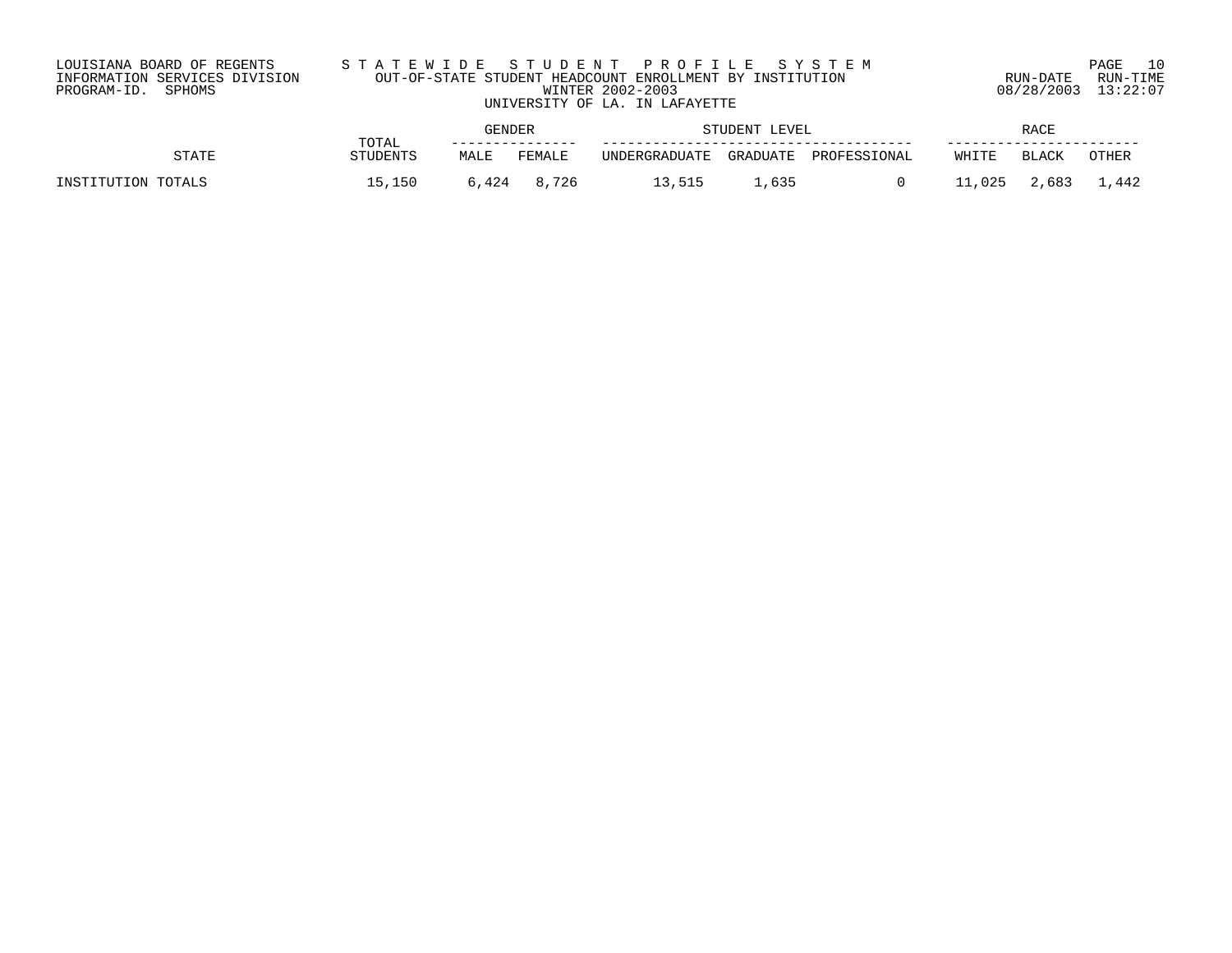| LOUISIANA BOARD OF REGENTS    | STATEWIDE STUDENT PROFILE SYSTEM                         |                     | PAGE 10  |
|-------------------------------|----------------------------------------------------------|---------------------|----------|
| INFORMATION SERVICES DIVISION | OUT-OF-STATE STUDENT HEADCOUNT ENROLLMENT BY INSTITUTION | RUN-DATE            | RUN-TIME |
| PROGRAM-ID. SPHOMS            | WINTER 2002-2003                                         | 08/28/2003 13:22:07 |          |
|                               | UNIVERSITY OF LA. IN LAFAYETTE                           |                     |          |
|                               |                                                          |                     |          |

|                    | TOTAL    |       | GENDER<br>STUDENT LEVEL |               |          |              |       |              |       |
|--------------------|----------|-------|-------------------------|---------------|----------|--------------|-------|--------------|-------|
| STATE              | STUDENTS | MALE  | FEMALE                  | UNDERGRADUATE | GRADUATE | PROFESSIONAL | WHITE | <b>BLACK</b> | OTHER |
| INSTITUTION TOTALS | 15,150   | 6,424 | 8,726                   | 3515          | 1,635    |              | ,025  | 2,683        | ,442  |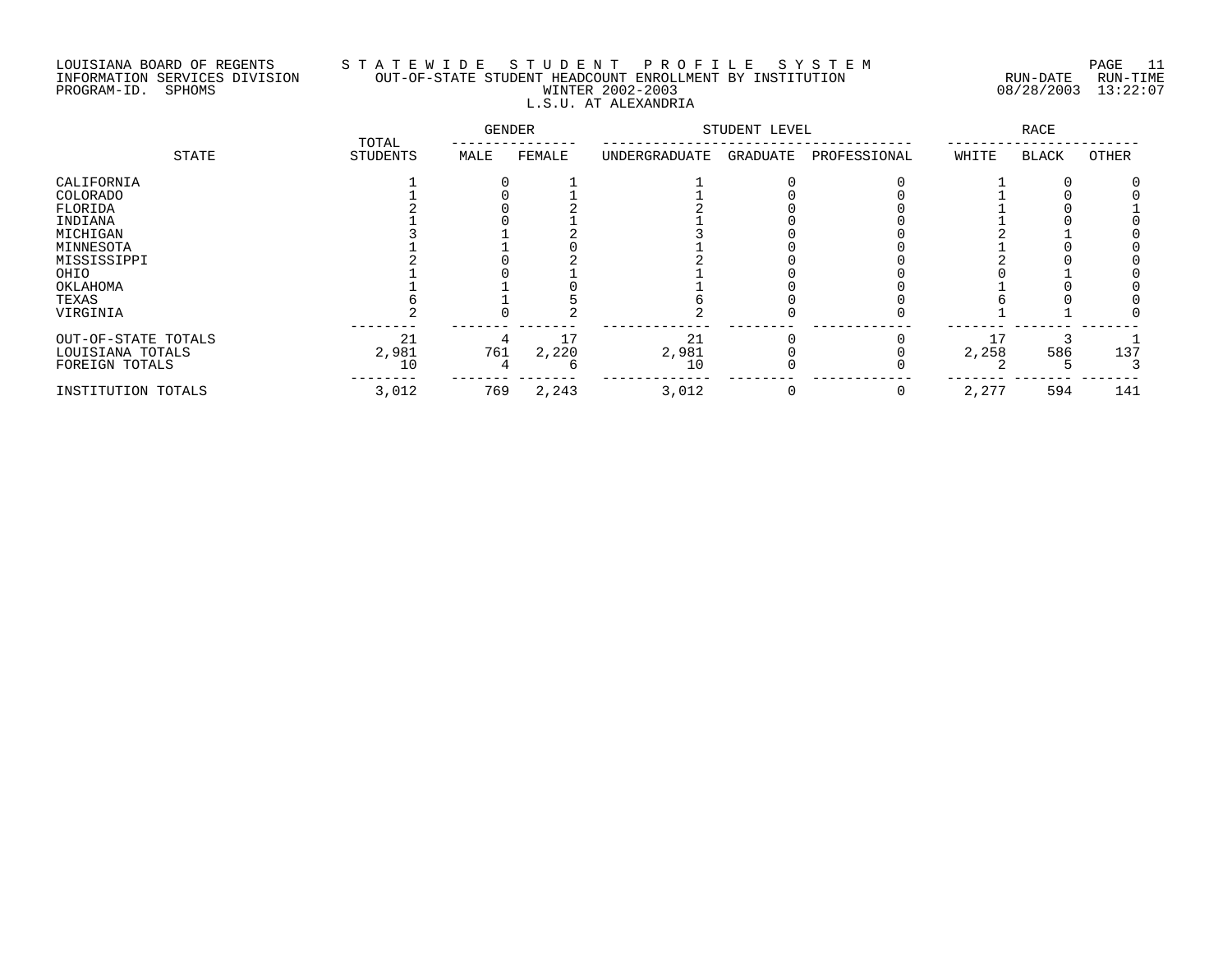# LOUISIANA BOARD OF REGENTS S T A T E W I D E S T U D E N T P R O F I L E S Y S T E M PAGE 11 INFORMATION SERVICES DIVISION OUT-OF-STATE STUDENT HEADCOUNT ENROLLMENT BY INSTITUTION RUN-DATE RUN-TIME PROGRAM-ID. SPHOMS WINTER 2002-2003 08/28/2003 13:22:07 L.S.U. AT ALEXANDRIA

| STATE               | TOTAL           | <b>GENDER</b> |        |               | STUDENT LEVEL |              | <b>RACE</b> |              |       |  |  |
|---------------------|-----------------|---------------|--------|---------------|---------------|--------------|-------------|--------------|-------|--|--|
|                     | <b>STUDENTS</b> | MALE          | FEMALE | UNDERGRADUATE | GRADUATE      | PROFESSIONAL | WHITE       | <b>BLACK</b> | OTHER |  |  |
| CALIFORNIA          |                 |               |        |               |               |              |             |              |       |  |  |
| COLORADO            |                 |               |        |               |               |              |             |              |       |  |  |
| FLORIDA             |                 |               |        |               |               |              |             |              |       |  |  |
| INDIANA             |                 |               |        |               |               |              |             |              |       |  |  |
| MICHIGAN            |                 |               |        |               |               |              |             |              |       |  |  |
| MINNESOTA           |                 |               |        |               |               |              |             |              |       |  |  |
| MISSISSIPPI         |                 |               |        |               |               |              |             |              |       |  |  |
| OHIO                |                 |               |        |               |               |              |             |              |       |  |  |
| OKLAHOMA            |                 |               |        |               |               |              |             |              |       |  |  |
| TEXAS               |                 |               |        |               |               |              |             |              |       |  |  |
| VIRGINIA            |                 |               |        |               |               |              |             |              |       |  |  |
| OUT-OF-STATE TOTALS | 21              |               | 17     | 21            |               |              | 17          |              |       |  |  |
| LOUISIANA TOTALS    | 2,981           | 761           | 2,220  | 2,981         |               |              | 2,258       | 586          | 137   |  |  |
| FOREIGN TOTALS      | 10              |               |        | 10            |               |              |             |              |       |  |  |
| INSTITUTION TOTALS  | 3,012           | 769           | 2,243  | 3,012         |               |              | 2,277       | 594          | 141   |  |  |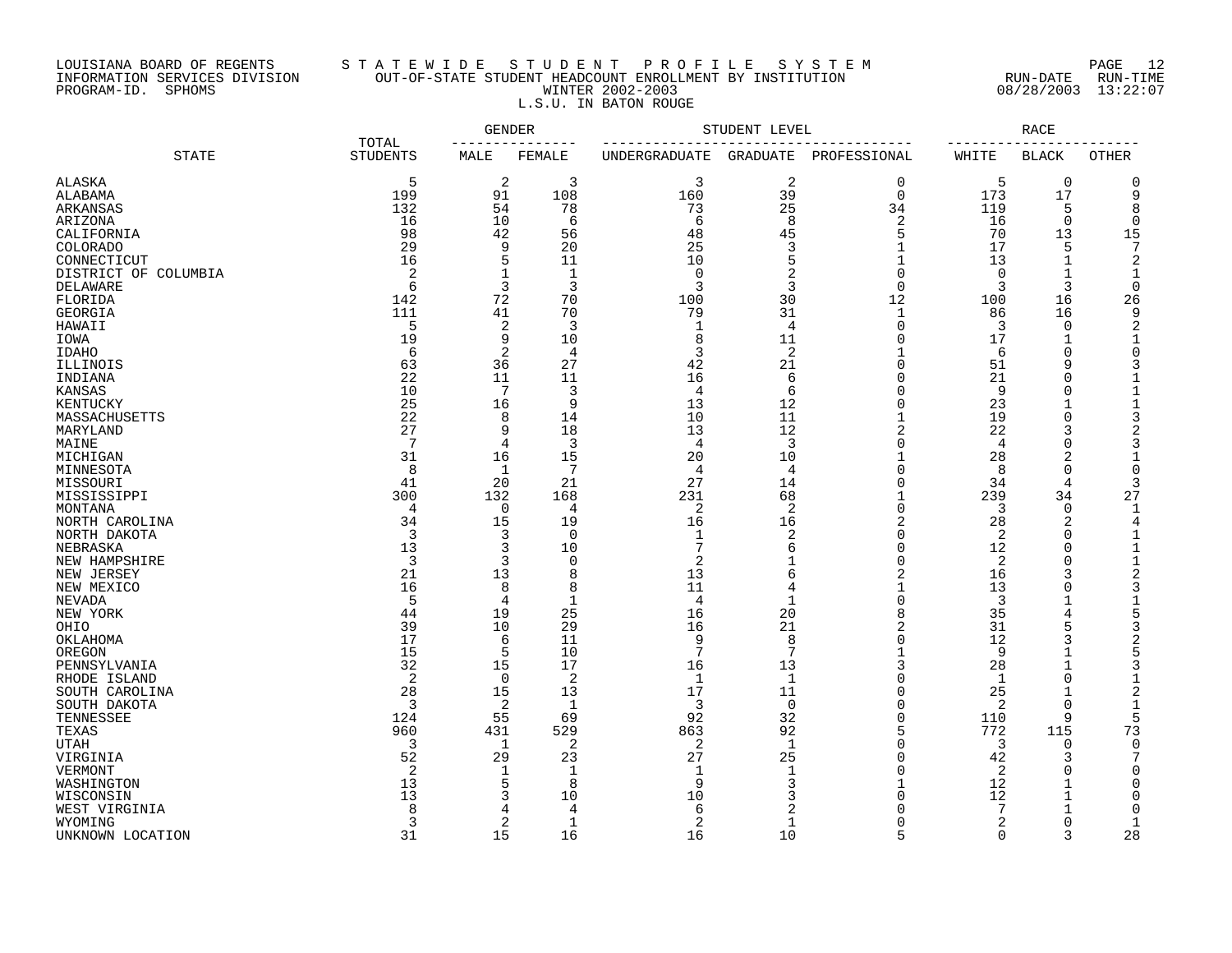# LOUISIANA BOARD OF REGENTS S T A T E W I D E S T U D E N T P R O F I L E S Y S T E M PAGE 12 INFORMATION SERVICES DIVISION OUT-OF-STATE STUDENT HEADCOUNT ENROLLMENT BY INSTITUTION RUN-DATE RUN-TIME PROGRAM-ID. SPHOMS WINTER 2002-2003 08/28/2003 13:22:07 L.S.U. IN BATON ROUGE

|                      |                          |             | GENDER           |                                     | STUDENT LEVEL  |                |                | RACE         |              |
|----------------------|--------------------------|-------------|------------------|-------------------------------------|----------------|----------------|----------------|--------------|--------------|
| <b>STATE</b>         | TOTAL<br><b>STUDENTS</b> | MALE        | ------<br>FEMALE | UNDERGRADUATE GRADUATE PROFESSIONAL |                |                | WHITE          | BLACK        | <b>OTHER</b> |
| ALASKA               | 5                        | 2           | 3                | 3                                   | $\overline{2}$ | $\mathbf 0$    | 5              | $\mathbf 0$  | 0            |
| ALABAMA              | 199                      | 91          | 108              | 160                                 | 39             | $\mathbf 0$    | 173            | 17           | 9            |
| <b>ARKANSAS</b>      | 132                      | 54          | 78               | 73                                  | 25             | 34             | 119            | 5            | 8            |
| ARIZONA              | 16                       | 10          | 6                | 6                                   | 8              | 2              | 16             | $\mathbf 0$  | ∩            |
| CALIFORNIA           | 98                       | 42          | 56               | 48                                  | 45             | 5              | 70             | 13           | 15           |
| <b>COLORADO</b>      | 29                       | 9           | 20               | 25                                  | 3              | 1              | 17             | 5            | 7            |
| CONNECTICUT          | 16                       | 5           | 11               | 10                                  | 5              | 1              | 13             | 1            |              |
| DISTRICT OF COLUMBIA | 2                        | 1           | -1               | $\Omega$                            |                | $\Omega$       | $\Omega$       |              |              |
| DELAWARE             | 6                        | 3           | 3                | 3                                   | 3              | $\mathbf 0$    | 3              | 3            | 0            |
| FLORIDA              | 142                      | 72          | 70               | 100                                 | 30             | 12             | 100            | 16           | 26           |
| GEORGIA              | 111                      | 41          | 70               | 79                                  | 31             | 1              | 86             | 16           | 9            |
| HAWAII               | 5                        | 2           | 3                | 1                                   | 4              | $\Omega$       | 3              | $\Omega$     |              |
| IOWA                 | 19                       | 9           | 10               | 8                                   | 11             | $\Omega$       | 17             | -1           |              |
| IDAHO                | 6                        | 2           | 4                | 3                                   | 2              | 1              | 6              | $\Omega$     |              |
| ILLINOIS             | 63                       | 36          | 27               | 42                                  | 21             | $\Omega$       | 51             | 9            |              |
| INDIANA              | 22                       | 11          | 11               | 16                                  | 6              | $\Omega$       | 21             |              |              |
| KANSAS               | 10                       | 7           | 3                | 4                                   | 6              | $\Omega$       | 9              | $\cap$       |              |
| KENTUCKY             | 25                       | 16          | 9                | 13                                  | 12             | $\Omega$       | 23             |              |              |
| MASSACHUSETTS        | 22                       | 8           | 14               | 10                                  | 11             |                | 19             | $\cap$       |              |
| MARYLAND             | 27                       | 9           | 18               | 13                                  | 12             | $\overline{2}$ | 22             | 3            |              |
| MAINE                | 7                        | 4           | 3                | 4                                   | 3              | $\Omega$       | 4              | $\cap$       |              |
| MICHIGAN             | 31                       | 16          | 15               | 20                                  | 10             | $\mathbf{1}$   | 28             | 2            |              |
| MINNESOTA            | 8                        | 1           | $\overline{7}$   | 4                                   | 4              | $\Omega$       | 8              | $\Omega$     |              |
| MISSOURI             | 41                       | 20          | 21               | 27                                  | 14             | $\Omega$       | 34             | 4            | 3            |
| MISSISSIPPI          | 300                      | 132         | 168              | 231                                 | 68             | 1              | 239            | 34           | 27           |
| MONTANA              | $\overline{4}$           | $\mathbf 0$ | 4                | 2                                   | $\overline{a}$ | $\mathbf 0$    | 3              | $\mathbf 0$  |              |
| NORTH CAROLINA       | 34                       | 15          | 19               | 16                                  | 16             | 2              | 28             | 2            |              |
| NORTH DAKOTA         | 3                        | 3           | $\mathbf 0$      | $\mathbf{1}$                        | $\overline{2}$ | $\mathbf 0$    | 2              | $\Omega$     |              |
| NEBRASKA             | 13                       | 3           | 10               | 7                                   | 6              | $\mathbf 0$    | 12             | $\Omega$     |              |
| NEW HAMPSHIRE        | 3                        | 3           | $\Omega$         | $\mathfrak{D}$                      | $\mathbf 1$    | $\Omega$       | 2              | $\Omega$     |              |
| NEW JERSEY           | 21                       | 13          | 8                | 13                                  | 6              | 2              | 16             | 3            |              |
| NEW MEXICO           | 16                       | 8           | 8                | 11                                  | 4              | 1              | 13             | $\cap$       |              |
| NEVADA               | 5                        | 4           | -1               | 4                                   | 1              | $\Omega$       | 3              |              |              |
| NEW YORK             | 44                       | 19          | 25               | 16                                  | 20             | 8              | 35             |              |              |
| OHIO                 | 39                       | 10          | 29               | 16                                  | 21             |                | 31             |              |              |
| OKLAHOMA             | 17                       | 6           | 11               | 9                                   | 8              | $\Omega$       | 12             |              |              |
| OREGON               | 15                       | 5           | 10               | 7                                   | 7              |                | 9              |              |              |
| PENNSYLVANIA         | 32                       | 15          | 17               | 16                                  | 13             |                | 28             |              |              |
| RHODE ISLAND         | $\overline{2}$           | 0           | $\overline{2}$   | $\mathbf{1}$                        | $\mathbf{1}$   | $\Omega$       | $\mathbf{1}$   | $\Omega$     |              |
| SOUTH CAROLINA       | 28                       | 15          | 13               | 17                                  | 11             | $\Omega$       | 25             | -1           |              |
| SOUTH DAKOTA         | 3                        | 2           | -1               | 3                                   | $\overline{0}$ | $\Omega$       | 2              | $\Omega$     |              |
| TENNESSEE            | 124                      | 55          | 69               | 92                                  | 32             | $\Omega$       | 110            | 9            | 5            |
| TEXAS                | 960                      | 431         | 529              | 863                                 | 92             | 5              | 772            | 115          | 73           |
| <b>UTAH</b>          | 3                        | 1           | 2                | 2                                   | 1              | $\Omega$       | 3              | $\Omega$     | ∩            |
| VIRGINIA             | 52                       | 29          | 23               | 27                                  | 25             | $\Omega$       | 42             | 3            |              |
| VERMONT              | 2                        | -1          | 1                | -1                                  |                | $\Omega$       | $\overline{2}$ | $\Omega$     |              |
| WASHINGTON           | 13                       | 5           | 8                | 9                                   | 3              | $\mathbf{1}$   | 12             | 1            |              |
| WISCONSIN            | 13                       | 3           | 10               | 10                                  |                | $\Omega$       | 12             | $\mathbf{1}$ |              |
| WEST VIRGINIA        | 8                        | 4           | 4                | 6                                   |                |                | 7              |              | ∩            |
| WYOMING              | 3                        | 2           | 1                | 2                                   | 1              | $\Omega$       | 2              | 0            |              |
| UNKNOWN LOCATION     | 31                       | 15          | 16               | 16                                  | 10             | 5              | $\Omega$       | ₹            | 28           |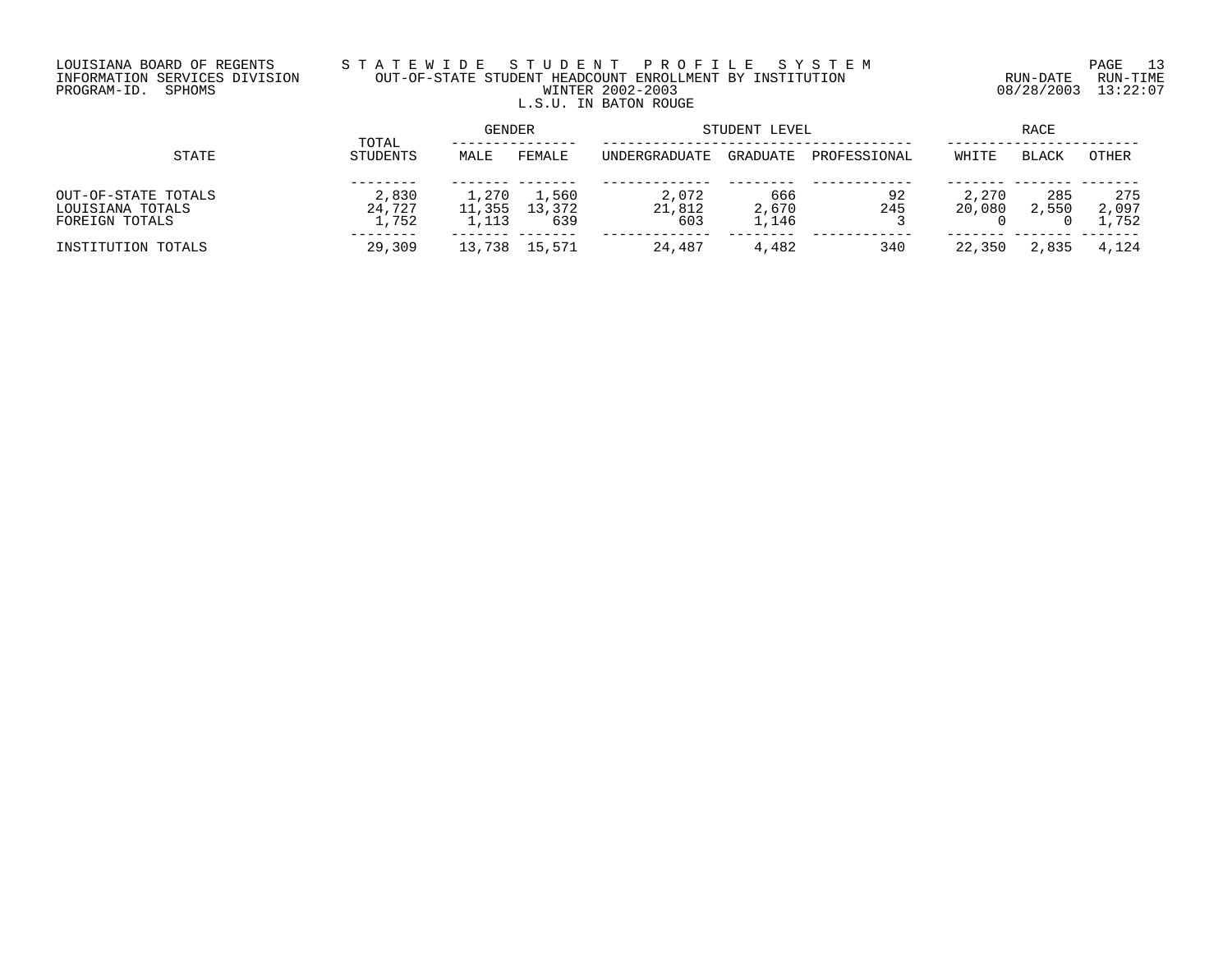# LOUISIANA BOARD OF REGENTS S T A T E W I D E S T U D E N T P R O F I L E S Y S T E M PAGE 13 INFORMATION SERVICES DIVISION OUT-OF-STATE STUDENT HEADCOUNT ENROLLMENT BY INSTITUTION RUN-DATE RUN-TIME PROGRAM-ID. SPHOMS WINTER 2002-2003 08/28/2003 13:22:07 L.S.U. IN BATON ROUGE

| STATE               |                   | <b>GENDER</b> |        | STUDENT LEVEL | RACE     |              |        |              |         |
|---------------------|-------------------|---------------|--------|---------------|----------|--------------|--------|--------------|---------|
|                     | TOTAL<br>STUDENTS | MALE          | FEMALE | UNDERGRADUATE | GRADUATE | PROFESSIONAL | WHITE  | <b>BLACK</b> | OTHER   |
|                     |                   |               |        |               |          |              |        |              |         |
| OUT-OF-STATE TOTALS | 2,830             | 1,270         | 1,560  | 2,072         | 666      | 92           | 2,270  | 285          | 275     |
| LOUISIANA TOTALS    | 24,727            | 11,355        | 13,372 | 21,812        | 2,670    | 245          | 20,080 | 2,550        | 2,097   |
| FOREIGN TOTALS      | 1,752             | 1,113         | 639    | 603           | 1,146    |              |        |              | . . 752 |
| INSTITUTION TOTALS  | 29,309            | 13,738        | 15,571 | 24,487        | 4,482    | 340          | 22,350 | 2,835        | 4,124   |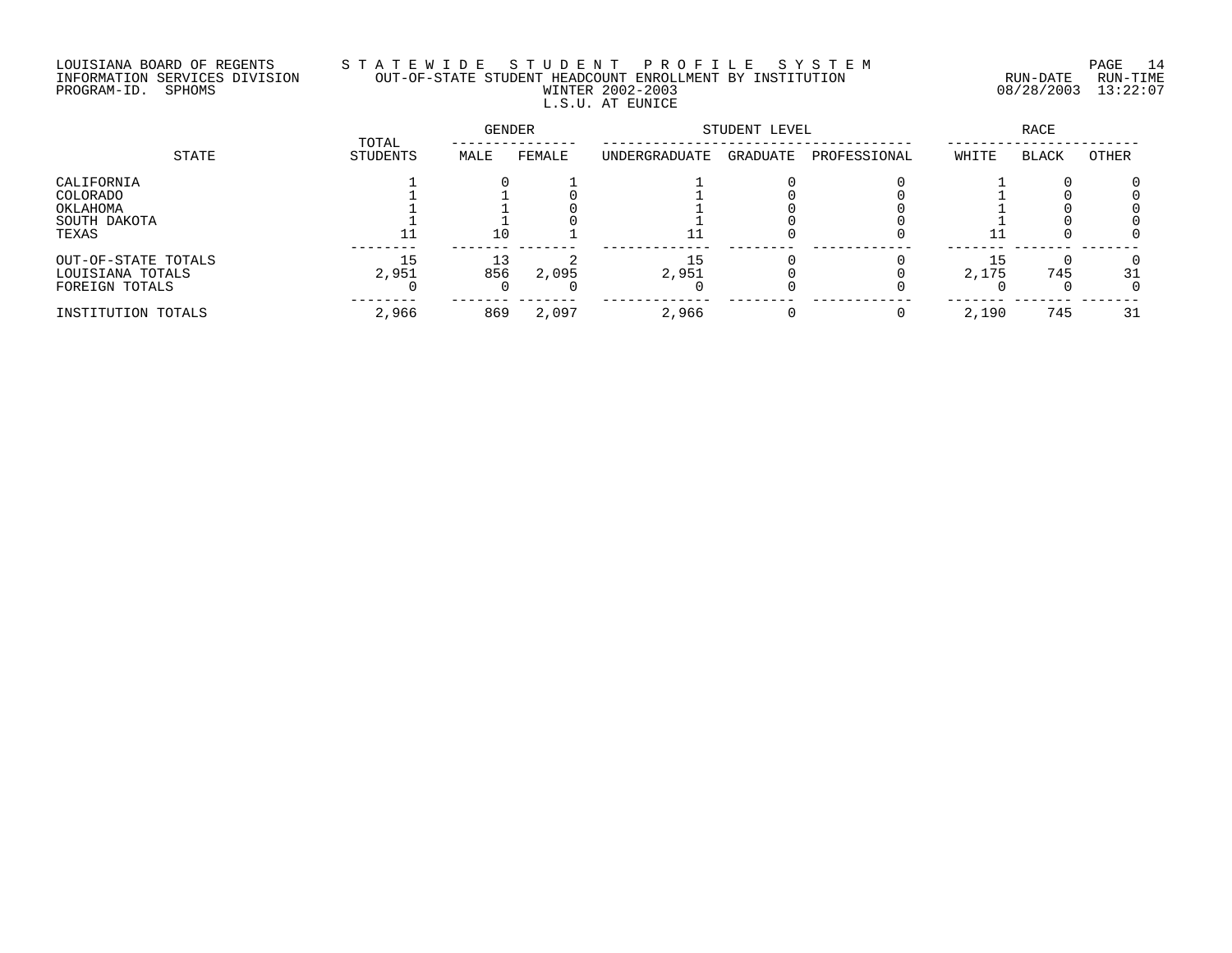# LOUISIANA BOARD OF REGENTS S T A T E W I D E S T U D E N T P R O F I L E S Y S T E M PAGE 14 INFORMATION SERVICES DIVISION OUT-OF-STATE STUDENT HEADCOUNT ENROLLMENT BY INSTITUTION RUN-DATE RUN-TIME PROGRAM-ID. SPHOMS WINTER 2002-2003 08/28/2003 13:22:07 L.S.U. AT EUNICE

|                                                             |                   | GENDER |        | STUDENT LEVEL | RACE     |              |       |              |       |
|-------------------------------------------------------------|-------------------|--------|--------|---------------|----------|--------------|-------|--------------|-------|
| STATE                                                       | TOTAL<br>STUDENTS | MALE   | FEMALE | UNDERGRADUATE | GRADUATE | PROFESSIONAL | WHITE | <b>BLACK</b> | OTHER |
| CALIFORNIA<br>COLORADO<br>OKLAHOMA<br>SOUTH DAKOTA<br>TEXAS |                   | 10     |        |               |          |              |       |              |       |
| OUT-OF-STATE TOTALS<br>LOUISIANA TOTALS<br>FOREIGN TOTALS   | 15<br>2,951       | 856    | 2,095  | 15<br>2,951   |          |              | 2,175 | 745          | 31    |
| INSTITUTION TOTALS                                          | 2,966             | 869    | 2,097  | 2,966         |          |              | 2,190 | 745          | 31    |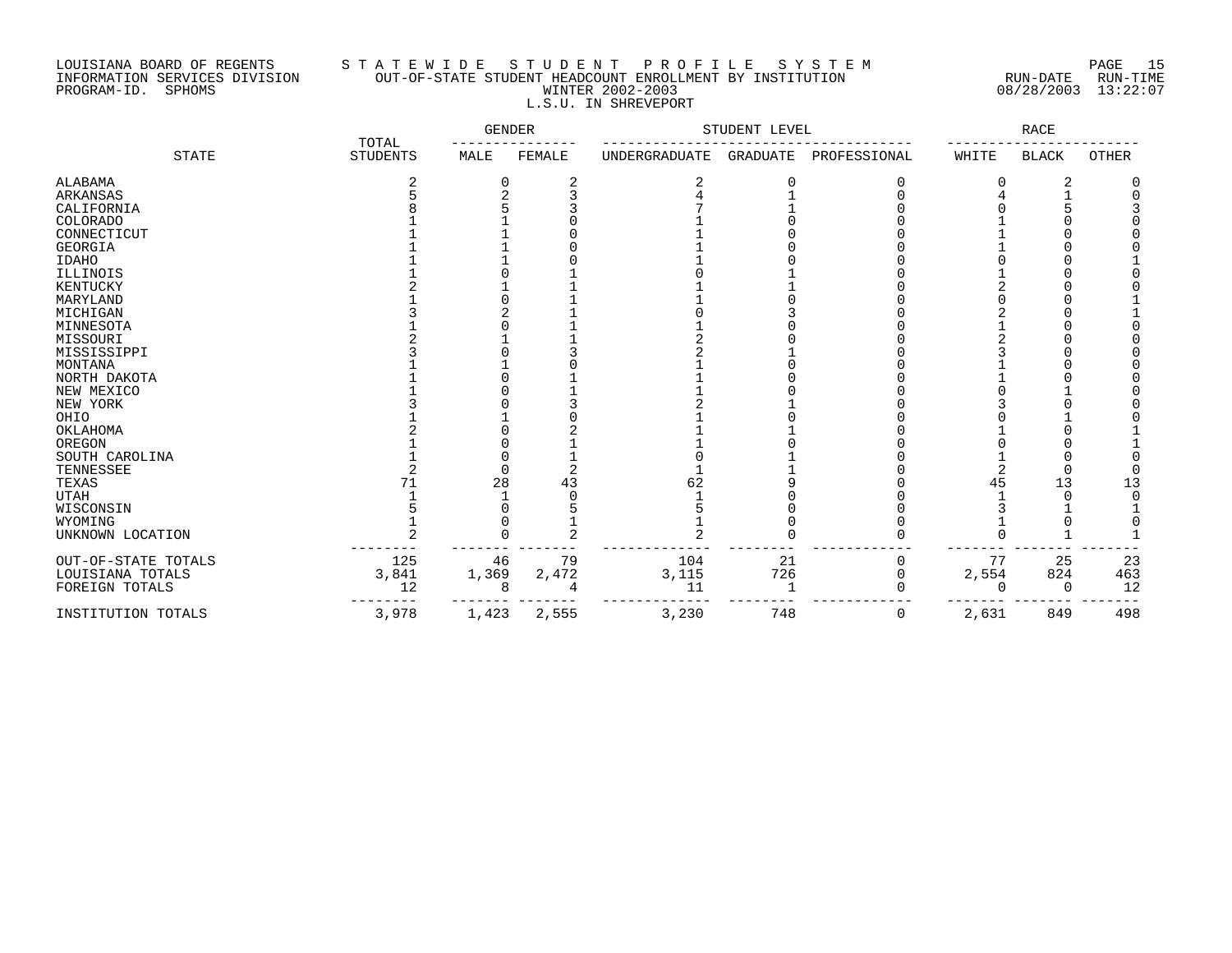# LOUISIANA BOARD OF REGENTS S T A T E W I D E S T U D E N T P R O F I L E S Y S T E M PAGE 15 INFORMATION SERVICES DIVISION OUT-OF-STATE STUDENT HEADCOUNT ENROLLMENT BY INSTITUTION RUN-DATE RUN-TIME PROGRAM-ID. SPHOMS WINTER 2002-2003 08/28/2003 13:22:07 L.S.U. IN SHREVEPORT

|                     | TOTAL           | GENDER |        | STUDENT LEVEL | RACE            |              |       |              |              |
|---------------------|-----------------|--------|--------|---------------|-----------------|--------------|-------|--------------|--------------|
| <b>STATE</b>        | <b>STUDENTS</b> | MALE   | FEMALE | UNDERGRADUATE | <b>GRADUATE</b> | PROFESSIONAL | WHITE | <b>BLACK</b> | <b>OTHER</b> |
| ALABAMA             | 2               | 0      | 2      | 2             | 0               | 0            | Ω     | 2            |              |
| ARKANSAS            |                 |        |        |               |                 | U            |       |              |              |
| CALIFORNIA          |                 |        |        |               |                 |              |       |              |              |
| <b>COLORADO</b>     |                 |        |        |               |                 |              |       |              |              |
| CONNECTICUT         |                 |        |        |               |                 |              |       |              |              |
| GEORGIA             |                 |        |        |               |                 |              |       | O            |              |
| <b>IDAHO</b>        |                 |        |        |               |                 |              |       | O            |              |
| ILLINOIS            |                 |        |        |               |                 |              |       | $\Omega$     |              |
| KENTUCKY            |                 |        |        |               |                 |              |       | O            |              |
| MARYLAND            |                 |        |        |               |                 |              |       | O            |              |
| MICHIGAN            |                 |        |        |               |                 |              |       | $\Omega$     |              |
| MINNESOTA           |                 |        |        |               |                 |              |       | $\Omega$     |              |
| MISSOURI            |                 |        |        |               |                 |              |       | $\Omega$     |              |
| MISSISSIPPI         |                 |        |        |               |                 |              |       | $\Omega$     |              |
| MONTANA             |                 |        |        |               |                 |              |       |              |              |
| NORTH DAKOTA        |                 |        |        |               |                 |              |       |              |              |
| NEW MEXICO          |                 |        |        |               |                 |              |       |              |              |
| NEW YORK            |                 |        |        |               |                 |              |       |              |              |
| OHIO                |                 |        |        |               |                 |              |       |              |              |
| OKLAHOMA            |                 |        |        |               |                 |              |       |              |              |
| OREGON              |                 |        |        |               |                 |              |       |              |              |
| SOUTH CAROLINA      |                 |        |        |               |                 |              |       |              |              |
| TENNESSEE           |                 |        |        |               |                 |              |       | 0            |              |
| TEXAS               | 71              | 28     | 43     | 62            |                 |              | 45    | 13           | 13           |
| <b>UTAH</b>         |                 |        |        |               |                 |              |       | $\Omega$     |              |
| WISCONSIN           |                 |        |        |               |                 |              |       |              |              |
| WYOMING             |                 |        |        |               |                 |              |       | 0            |              |
| UNKNOWN LOCATION    |                 |        |        |               |                 |              |       | 1            |              |
| OUT-OF-STATE TOTALS | 125             | 46     | 79     | 104           | 21              | 0            | 77    | 25           | 23           |
| LOUISIANA TOTALS    | 3,841           | 1,369  | 2,472  | 3,115         | 726             | $\Omega$     | 2,554 | 824          | 463          |
| FOREIGN TOTALS      | 12              | 8      |        | 11            |                 | U            |       | $\Omega$     | 12           |
| INSTITUTION TOTALS  | 3,978           | 1,423  | 2,555  | 3,230         | 748             | 0            | 2,631 | 849          | 498          |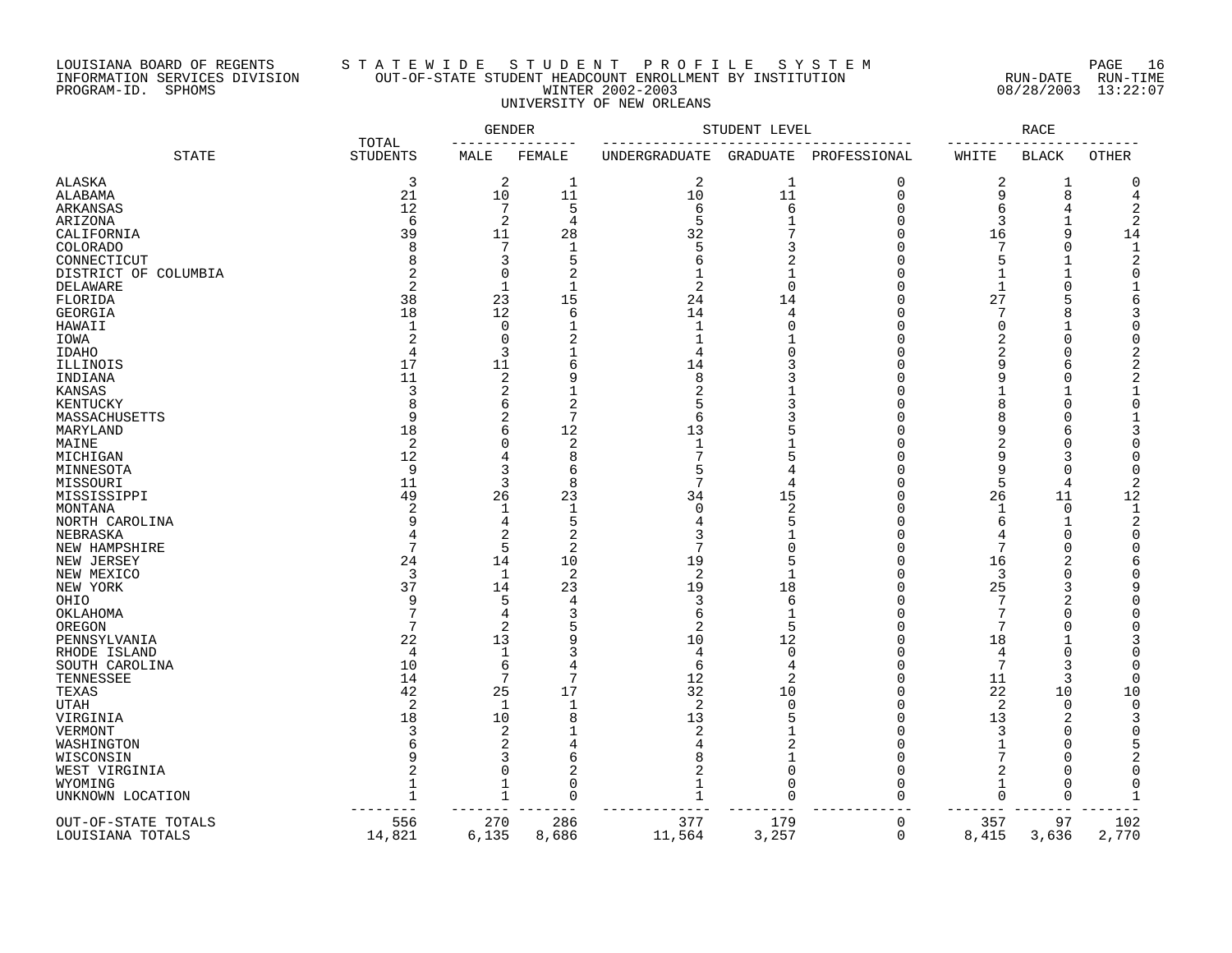## LOUISIANA BOARD OF REGENTS S T A T E W I D E S T U D E N T P R O F I L E S Y S T E M PAGE 16 INFORMATION SERVICES DIVISION OUT-OF-STATE STUDENT HEADCOUNT ENROLLMENT BY INSTITUTION RUN-DATE RUN-TIME PROGRAM-ID. SPHOMS WINTER 2002-2003 08/28/2003 13:22:07 UNIVERSITY OF NEW ORLEANS

|                      |                          | GENDER         |                     |                | STUDENT LEVEL  |                | RACE           |                      |                |  |
|----------------------|--------------------------|----------------|---------------------|----------------|----------------|----------------|----------------|----------------------|----------------|--|
| <b>STATE</b>         | TOTAL<br><b>STUDENTS</b> | MALE           | FEMALE              | UNDERGRADUATE  | GRADUATE       | PROFESSIONAL   | WHITE          | <b>BLACK</b>         | OTHER          |  |
| ALASKA               | 3                        | 2              | $\mathbf{1}$        | $\overline{2}$ | $\mathbf 1$    | $\mathbf 0$    | 2              | 1                    | $\Omega$       |  |
| ALABAMA              | 21                       | 10             | 11                  | 10             | 11             | $\overline{0}$ | 9              | 8                    | 4              |  |
| ARKANSAS             | 12                       | 7              | 5                   | 6              | $\epsilon$     | $\Omega$       | 6              | $\overline{4}$       | $\overline{2}$ |  |
| ARIZONA              | 6                        | 2              | $\overline{4}$      | 5              | $\mathbf{1}$   | $\Omega$       | 3              | 1                    | 2              |  |
| CALIFORNIA           | 39                       | 11             | 28                  | 32             | 7              | n              | 16             | 9                    | 14             |  |
| COLORADO             | 8                        | 7              | 1                   | 5              | 3              | n              | 7              | $\Omega$             | $\mathbf{1}$   |  |
| CONNECTICUT          | 8                        | 3              | 5                   | 6              | $\overline{2}$ | n              | 5              | 1                    | 2              |  |
| DISTRICT OF COLUMBIA |                          | $\Omega$       | 2                   |                |                | n              | 1              |                      | $\Omega$       |  |
| DELAWARE             | 2                        | $\mathbf 1$    | $\mathbf{1}$        | 2              | $\mathbf 0$    | n              | 1              | $\Omega$             | $\mathbf{1}$   |  |
| FLORIDA              | 38                       | 23             | 15                  | 24             | 14             | n              | 27             | 5                    | 6              |  |
| GEORGIA              | 18                       | 12             | 6                   | 14             | 4              | n              | 7              | 8                    |                |  |
| HAWAII               | 1                        | $\mathbf 0$    | $\mathbf{1}$        | $\mathbf 1$    | O              | n              | $\Omega$       | $\mathbf{1}$         | $\Omega$       |  |
| IOWA                 | 2                        | 0              | $\overline{c}$      | $\mathbf{1}$   |                |                | $\overline{2}$ | $\Omega$             | U              |  |
| <b>IDAHO</b>         | 4                        | 3              |                     | 4              | O              |                |                | $\Omega$             |                |  |
| ILLINOIS             | 17                       | 11             | 6                   | 14             |                |                | 9              | 6                    |                |  |
| INDIANA              | 11                       | 2              | 9                   | 8              |                |                | 9              | $\Omega$             |                |  |
| KANSAS               | 3                        | 2              |                     |                |                |                |                |                      | 1              |  |
| KENTUCKY             | 8                        | 6              | $\overline{2}$      |                |                |                | 8              | $\Omega$             | $\Omega$       |  |
| MASSACHUSETTS        | q                        | $\overline{2}$ | 7                   | 6              |                |                | 8              | ∩                    | $\mathbf{1}$   |  |
| MARYLAND             | 18                       | 6              | 12                  | 13             |                |                | 9              | 6                    |                |  |
| MAINE                | $\overline{2}$           | 0              | $\overline{2}$      | $\mathbf{1}$   |                |                | $\overline{2}$ | 0                    | $\Omega$       |  |
| MICHIGAN             | 12                       | 4              | 8                   |                | 5              |                | 9              | 3                    | ∩              |  |
| MINNESOTA            | 9                        | 3              | 6                   | 5              | 4              |                | 9              | $\Omega$             | $\Omega$       |  |
| MISSOURI             | 11                       | 3              | 8                   | 7              | 4              | n              | 5              | $\overline{4}$       | 2              |  |
| MISSISSIPPI          | 49                       | 26             | 23                  | 34             | 15             | n              | 26             | 11                   | 12             |  |
| MONTANA              | $\overline{2}$           | 1              | $\mathbf{1}$        | $\Omega$       | $\overline{2}$ | n              | $\mathbf{1}$   | $\mathbf 0$          | $\mathbf{1}$   |  |
| NORTH CAROLINA       | 9                        | 4              | 5                   |                | 5              | n              | 6              | 1                    | 2              |  |
| NEBRASKA             | $\overline{4}$           | 2              | 2                   |                |                |                | 4              | $\Omega$             | $\Omega$       |  |
| NEW HAMPSHIRE        | 7                        | 5              | $\overline{2}$      |                | $\mathbf 0$    | $\cap$         | 7              | $\Omega$             | $\Omega$       |  |
| NEW JERSEY           | 24                       | 14             | 10                  | 19             | 5              | n              | 16             | 2                    | 6              |  |
| NEW MEXICO           | 3                        | 1              | $\overline{2}$      | 2              | $\mathbf 1$    | n              | 3              | $\overline{0}$       | $\Omega$       |  |
| NEW YORK             | 37                       | 14             | 23                  | 19             | 18             | $\cap$         | 25             | 3                    | 9              |  |
| OHIO                 | 9                        | 5              | $\overline{4}$      | 3              | 6              | n              |                | 2                    |                |  |
| OKLAHOMA             | 7                        | 4              | 3                   | 6              | $\mathbf 1$    | n              | 7              | $\Omega$             | U              |  |
| OREGON               | 7                        | 2              | 5                   | 2              | 5              | $\cap$         | 7              | $\Omega$             | U              |  |
| PENNSYLVANIA         | 22                       | 13             | 9                   | 10             | 12             |                | 18             |                      |                |  |
| RHODE ISLAND         | 4                        | 1              | 3                   | 4              | $\mathbf 0$    | n              | 4              | $\Omega$             | $\Omega$       |  |
| SOUTH CAROLINA       | 10                       | 6              | 4                   | 6              | $\overline{4}$ | $\cap$         | 7              | 3                    | ∩              |  |
| TENNESSEE            | 14                       | 7              | 7                   | 12             | $\overline{2}$ |                | 11             | 3                    | ∩              |  |
| TEXAS                | 42                       | 25             | 17                  | 32             | 10             | n              | 22             | 10                   | 10             |  |
| <b>UTAH</b>          | 2                        | 1              | $\mathbf{1}$        | 2              | $\mathbf 0$    | n              | 2              | 0                    | $\Omega$       |  |
| VIRGINIA             | 18                       | 10             | 8                   | 13             | 5              |                | 13             | 2                    | 3              |  |
| VERMONT              | 3                        | 2              |                     | 2              |                | n              | 3              | $\Omega$             | C              |  |
|                      |                          | 2              | 4                   |                | $\overline{2}$ | n              | 1              | $\Omega$             |                |  |
| WASHINGTON           | 6<br>9                   | 3              |                     |                |                | n              | 7              | $\Omega$             |                |  |
| WISCONSIN            | $\overline{c}$           | 0              | 6<br>$\overline{2}$ |                | $\overline{0}$ | n              | $\overline{2}$ |                      | C              |  |
| WEST VIRGINIA        | $\mathbf{1}$             |                | $\Omega$            |                | $\mathbf 0$    | n              | $\mathbf{1}$   | $\Omega$<br>$\Omega$ | O              |  |
| WYOMING              |                          | 1              |                     |                |                |                |                |                      | $\mathbf{1}$   |  |
| UNKNOWN LOCATION     | $\mathbf{1}$             | $\mathbf 1$    | $\mathbf 0$         | $\mathbf{1}$   | $\mathbf 0$    | $\Omega$       | $\mathbf 0$    | $\Omega$             |                |  |
| OUT-OF-STATE TOTALS  | 556                      | 270            | 286                 | 377            | 179            | 0              | 357            | 97                   | 102            |  |
| LOUISIANA TOTALS     | 14,821                   | 6,135          | 8,686               | 11,564         | 3,257          | $\mathbf 0$    | 8,415          | 3,636                | 2,770          |  |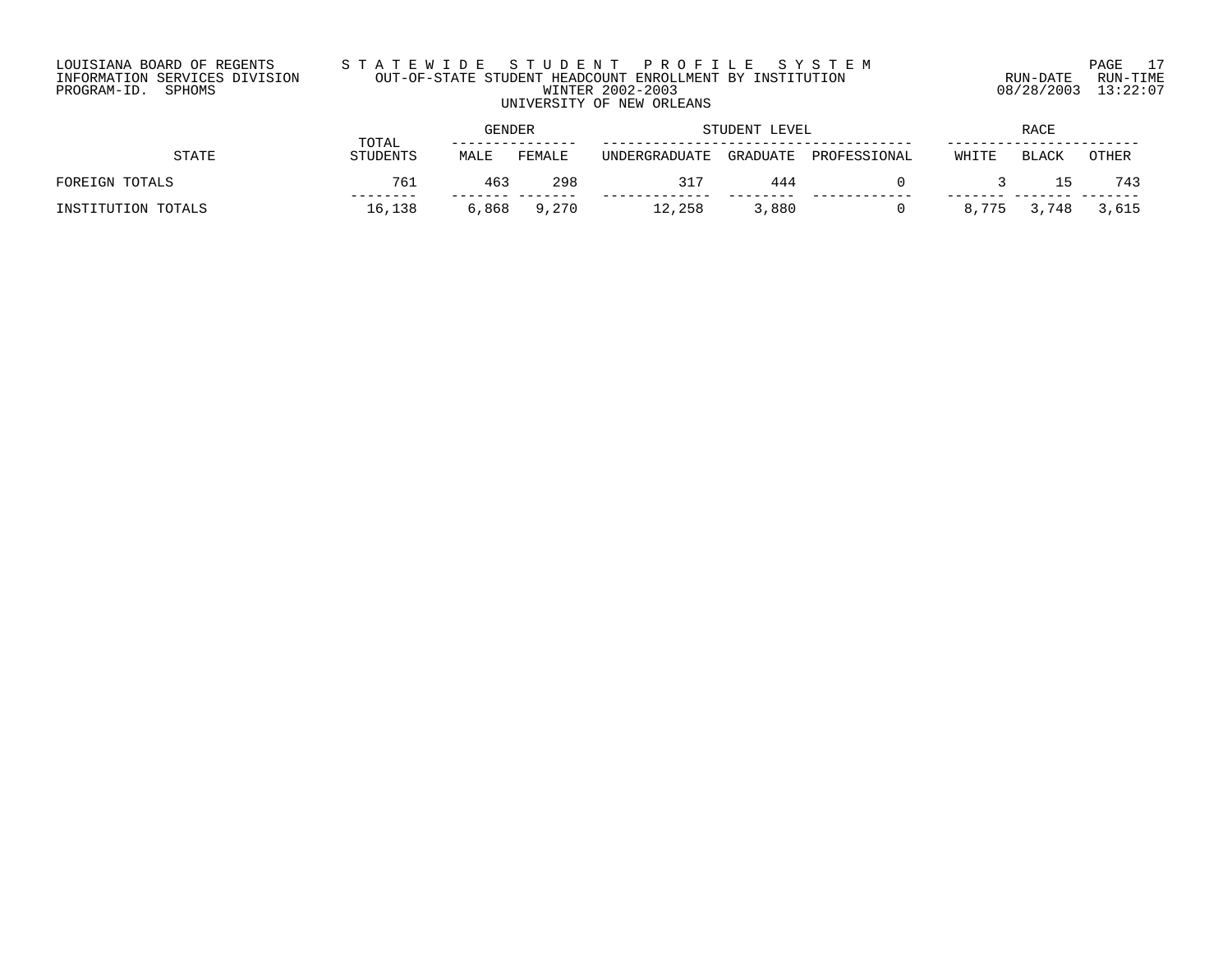## LOUISIANA BOARD OF REGENTS S T A T E W I D E S T U D E N T P R O F I L E S Y S T E M PAGE 17 INFORMATION SERVICES DIVISION OUT-OF-STATE STUDENT HEADCOUNT ENROLLMENT BY INSTITUTION RUN-DATE RUN-TIME PROGRAM-ID. SPHOMS WINTER 2002-2003 08/28/2003 13:22:07 UNIVERSITY OF NEW ORLEANS

|                    | TOTAL           | GENDER |             | STUDENT LEVEL |          | <b>RACE</b>  |       |       |       |
|--------------------|-----------------|--------|-------------|---------------|----------|--------------|-------|-------|-------|
| STATE              | <b>STUDENTS</b> | MALE   | FEMALE      | UNDERGRADUATE | GRADUATE | PROFESSIONAL | WHITE | BLACK | OTHER |
| FOREIGN TOTALS     | 761             | 463    | 298         | 317           | 444      |              |       | 15    | 743   |
| INSTITUTION TOTALS | 16,138          |        | 6,868 9,270 | 12,258        | 3,880    |              | 8.775 | 3,748 | 3,615 |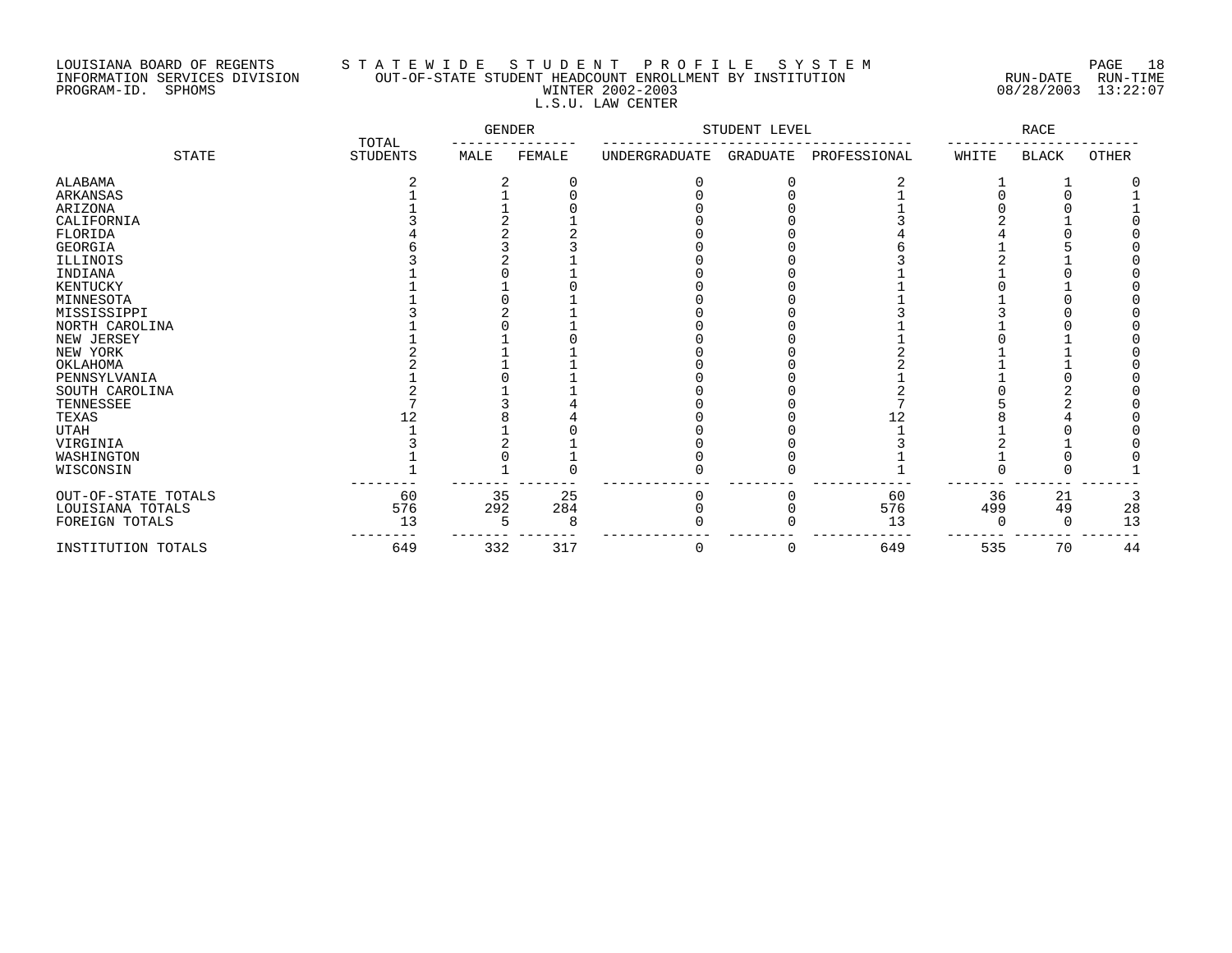# LOUISIANA BOARD OF REGENTS S T A T E W I D E S T U D E N T P R O F I L E S Y S T E M PAGE 18 INFORMATION SERVICES DIVISION OUT-OF-STATE STUDENT HEADCOUNT ENROLLMENT BY INSTITUTION RUN-DATE RUN-TIME PROGRAM-ID. SPHOMS WINTER 2002-2003 08/28/2003 13:22:07 L.S.U. LAW CENTER

|                     | TOTAL           | GENDER |        | STUDENT LEVEL |          |                | RACE  |              |       |
|---------------------|-----------------|--------|--------|---------------|----------|----------------|-------|--------------|-------|
| <b>STATE</b>        | <b>STUDENTS</b> | MALE   | FEMALE | UNDERGRADUATE | GRADUATE | PROFESSIONAL   | WHITE | <b>BLACK</b> | OTHER |
| ALABAMA             |                 |        |        |               |          |                |       |              |       |
| ARKANSAS            |                 |        |        |               |          |                |       |              |       |
| ARIZONA             |                 |        |        |               |          |                |       |              |       |
| CALIFORNIA          |                 |        |        |               |          |                |       |              |       |
| FLORIDA             |                 |        |        |               |          |                |       |              |       |
| GEORGIA             |                 |        |        |               |          |                |       |              |       |
| ILLINOIS            |                 |        |        |               |          |                |       |              |       |
| INDIANA             |                 |        |        |               |          |                |       |              |       |
| KENTUCKY            |                 |        |        |               |          |                |       |              |       |
| MINNESOTA           |                 |        |        |               |          |                |       |              |       |
| MISSISSIPPI         |                 |        |        |               |          |                |       |              |       |
| NORTH CAROLINA      |                 |        |        |               |          |                |       |              |       |
| NEW JERSEY          |                 |        |        |               |          |                |       |              |       |
| NEW YORK            |                 |        |        |               |          |                |       |              |       |
| OKLAHOMA            |                 |        |        |               |          |                |       |              |       |
| PENNSYLVANIA        |                 |        |        |               |          |                |       |              |       |
| SOUTH CAROLINA      |                 |        |        |               |          |                |       |              |       |
| TENNESSEE           |                 |        |        |               |          |                |       |              |       |
| TEXAS               |                 |        |        |               |          | $\overline{2}$ |       |              |       |
| <b>UTAH</b>         |                 |        |        |               |          |                |       |              |       |
| VIRGINIA            |                 |        |        |               |          |                |       |              |       |
| WASHINGTON          |                 |        |        |               |          |                |       |              |       |
| WISCONSIN           |                 |        |        |               |          |                |       |              |       |
| OUT-OF-STATE TOTALS | 60              | 35     | 25     |               |          | 60             | 36    | 21           |       |
| LOUISIANA TOTALS    | 576             | 292    | 284    |               |          | 576            | 499   | 49           | 28    |
| FOREIGN TOTALS      | 13              | 5      | 8      |               |          | 13             |       | ∩            | 13    |
| INSTITUTION TOTALS  | 649             | 332    | 317    | 0             | 0        | 649            | 535   | 70           | 44    |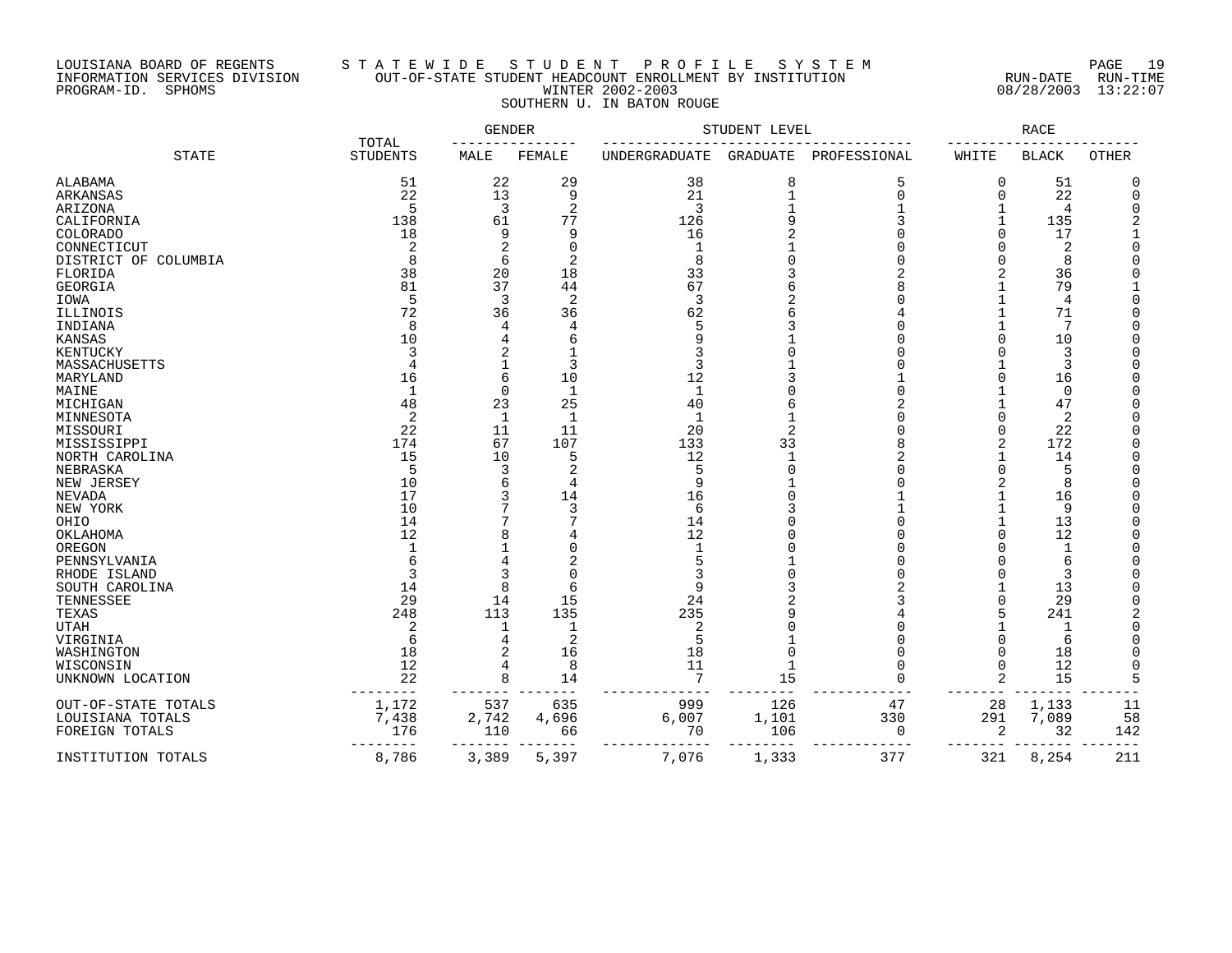# LOUISIANA BOARD OF REGENTS S T A T E W I D E S T U D E N T P R O F I L E S Y S T E M PAGE 19 INFORMATION SERVICES DIVISION OUT-OF-STATE STUDENT HEADCOUNT ENROLLMENT BY INSTITUTION RUN-DATE RUN-TIME PROGRAM-ID. SPHOMS WINTER 2002-2003 08/28/2003 13:22:07 SOUTHERN U. IN BATON ROUGE

|                               | TOTAL           | GENDER      |              |               | STUDENT LEVEL   |              |       | RACE           |              |
|-------------------------------|-----------------|-------------|--------------|---------------|-----------------|--------------|-------|----------------|--------------|
| <b>STATE</b>                  | <b>STUDENTS</b> | MALE        | FEMALE       | UNDERGRADUATE | <b>GRADUATE</b> | PROFESSIONAL | WHITE | <b>BLACK</b>   | <b>OTHER</b> |
| ALABAMA                       | 51              | 22          | 29           | 38            | 8               | 5            | 0     | 51             |              |
| ARKANSAS                      | 22              | 13          | 9            | 21            |                 | C            | O     | 22             |              |
| ARIZONA                       | 5               | 3           | 2            | 3             |                 |              |       | $\overline{4}$ |              |
| CALIFORNIA                    | 138             | 61          | 77           | 126           |                 |              |       | 135            |              |
| COLORADO                      | 18              | 9           | 9            | 16            |                 |              |       | 17             |              |
| CONNECTICUT                   | 2               | 2           | $\Omega$     | -1            |                 |              |       | 2              |              |
| DISTRICT OF COLUMBIA          | 8               | 6           | 2            | 8             |                 |              |       | 8              |              |
| FLORIDA                       | 38              | 20          | 18           | 33            |                 |              |       | 36             |              |
| GEORGIA                       | 81              | 37          | 44           | 67            |                 |              |       | 79             |              |
| IOWA                          | .5              | 3           | 2            | 3             |                 |              |       | $\overline{4}$ |              |
| ILLINOIS                      | 72              | 36          | 36           | 62            | 6               |              |       | 71             |              |
| INDIANA                       | 8               | 4           | 4            | 5             |                 |              |       | 7              |              |
| KANSAS                        | 10              | 4           | 6            | q             |                 |              |       | 10             |              |
| KENTUCKY                      | 3               |             |              |               |                 |              |       | 3              |              |
| MASSACHUSETTS                 | 4               | $\mathbf 1$ | 3            | 3             |                 |              |       | 3              |              |
| MARYLAND                      | 16              | 6           | 10           | 12            |                 |              |       | 16             |              |
| MAINE                         | $\mathbf{1}$    | $\mathbf 0$ | $\mathbf{1}$ | $\mathbf 1$   |                 |              |       | $\mathbf 0$    |              |
| MICHIGAN                      | 48              | 23          | 25           | 40            |                 |              |       | 47             |              |
| MINNESOTA                     | $\overline{2}$  | $\mathbf 1$ | 1            | 1             |                 |              |       | 2              |              |
| MISSOURI                      | 22              | 11          | 11           | 20            | 2               |              |       | 22             |              |
| MISSISSIPPI                   | 174             | 67          | 107          | 133           | 33              |              |       | 172            |              |
| NORTH CAROLINA                | 15              | 10          | 5            | 12            |                 |              |       | 14             |              |
| NEBRASKA                      | 5               | 3           |              | q             |                 |              |       | 5              |              |
| NEW JERSEY                    | 10              | 6           |              |               |                 |              |       | 8              |              |
| <b>NEVADA</b>                 | 17<br>10        | ζ<br>7      | 14<br>3      | 16            |                 |              |       | 16<br>9        |              |
| NEW YORK                      | 14              |             |              | 6<br>14       |                 |              |       | 13             |              |
| OHIO                          |                 |             |              |               |                 |              | n     |                |              |
| OKLAHOMA                      | 12              | 8           | ſ            | 12            |                 |              |       | 12             |              |
| OREGON                        | 6               |             |              |               |                 |              |       |                |              |
| PENNSYLVANIA                  | 3               | 4<br>3      | $\sqrt{ }$   |               |                 |              |       | 6<br>3         |              |
| RHODE ISLAND                  | 14              | 8           | 6            | q             |                 |              |       | 13             |              |
| SOUTH CAROLINA                | 29              |             |              |               |                 |              |       | 29             |              |
| TENNESSEE                     | 248             | 14<br>113   | 15<br>135    | 24<br>235     |                 |              |       | 241            |              |
| TEXAS<br><b>UTAH</b>          |                 | 1           |              | 2             |                 |              |       |                |              |
|                               | 2<br>6          | 4           | 2            | 5             |                 |              |       | 6              |              |
| VIRGINIA<br>WASHINGTON        | 18              |             | 16           | 18            | O               |              |       | 18             |              |
|                               | 12              |             | 8            | 11            |                 |              |       | 12             |              |
| WISCONSIN<br>UNKNOWN LOCATION | 22              | 8           |              | 7             | 15              |              |       | 15             |              |
|                               |                 |             | 14           |               |                 |              |       |                |              |
| OUT-OF-STATE TOTALS           | 1,172           | 537         | 635          | 999           | 126             | 47           | 28    | 1,133          | 11           |
| LOUISIANA TOTALS              | 7,438           | 2,742       | 4,696        | 6,007         | 1,101           | 330          | 291   | 7,089          | 58           |
| FOREIGN TOTALS                | 176             | 110         | 66           | 70            | 106             | $\Omega$     | 2     | 32             | 142          |
| INSTITUTION TOTALS            | 8,786           | 3,389       | 5,397        | 7,076         | 1,333           | 377          | 321   | 8,254          | 211          |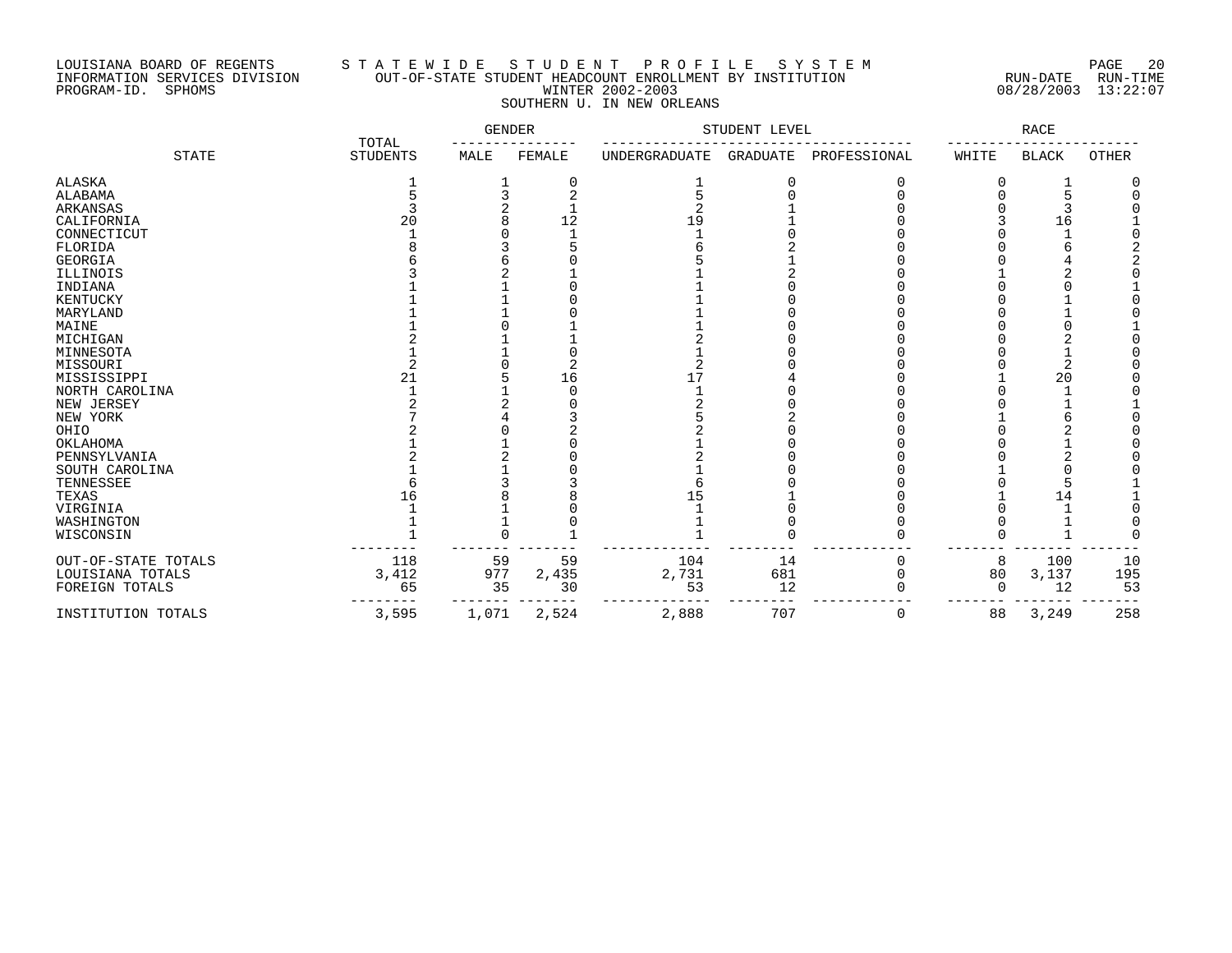## LOUISIANA BOARD OF REGENTS S T A T E W I D E S T U D E N T P R O F I L E S Y S T E M PAGE 20 INFORMATION SERVICES DIVISION OUT-OF-STATE STUDENT HEADCOUNT ENROLLMENT BY INSTITUTION RUN-DATE RUN-TIME PROGRAM-ID. SPHOMS WINTER 2002-2003 08/28/2003 13:22:07 SOUTHERN U. IN NEW ORLEANS

|                     | TOTAL           | <b>GENDER</b> |        |               | STUDENT LEVEL   |              |              | <b>RACE</b>  |              |
|---------------------|-----------------|---------------|--------|---------------|-----------------|--------------|--------------|--------------|--------------|
| <b>STATE</b>        | <b>STUDENTS</b> | MALE          | FEMALE | UNDERGRADUATE | <b>GRADUATE</b> | PROFESSIONAL | WHITE        | <b>BLACK</b> | <b>OTHER</b> |
| ALASKA              |                 |               | 0      |               | 0               | 0            | $\Omega$     |              |              |
| ALABAMA             |                 |               |        |               |                 |              |              |              |              |
| ARKANSAS            |                 |               |        |               |                 |              |              |              |              |
| CALIFORNIA          | 20              |               | 12     | 19            |                 |              |              | 16           |              |
| CONNECTICUT         |                 |               |        |               |                 |              |              |              |              |
| FLORIDA             |                 |               |        |               |                 |              |              |              |              |
| GEORGIA             |                 |               |        |               |                 |              |              |              |              |
| ILLINOIS            |                 |               |        |               |                 |              |              |              |              |
| INDIANA             |                 |               |        |               |                 |              |              |              |              |
| KENTUCKY            |                 |               |        |               |                 |              |              |              |              |
| MARYLAND            |                 |               |        |               |                 |              |              |              |              |
| MAINE               |                 |               |        |               |                 |              |              |              |              |
| MICHIGAN            |                 |               |        |               |                 |              |              |              |              |
| MINNESOTA           |                 |               |        |               |                 |              |              |              |              |
| MISSOURI            |                 |               |        |               |                 |              |              | 2            |              |
| MISSISSIPPI         | 21              |               | 16     | 17            |                 |              |              | 20           |              |
| NORTH CAROLINA      |                 |               | C      |               |                 |              |              |              |              |
| NEW JERSEY          |                 |               |        |               |                 |              |              |              |              |
| NEW YORK            |                 |               |        |               |                 |              |              |              |              |
| OHIO                |                 |               |        |               |                 |              |              |              |              |
| OKLAHOMA            |                 |               |        |               |                 |              |              |              |              |
| PENNSYLVANIA        |                 |               |        |               |                 |              |              |              |              |
| SOUTH CAROLINA      |                 |               |        |               |                 |              |              |              |              |
| TENNESSEE           |                 |               |        |               |                 |              |              |              |              |
| TEXAS               | 16              |               |        | 15            |                 |              |              | 14           |              |
| VIRGINIA            |                 |               |        |               |                 |              |              |              |              |
| WASHINGTON          |                 |               |        |               |                 |              |              |              |              |
| WISCONSIN           |                 |               |        |               |                 |              |              |              |              |
| OUT-OF-STATE TOTALS | 118             | 59            | 59     | 104           | 14              | 0            | 8            | 100          | 10           |
| LOUISIANA TOTALS    | 3,412           | 977           | 2,435  | 2,731         | 681             | $\Omega$     | 80           | 3,137        | 195          |
| FOREIGN TOTALS      | 65              | 35            | 30     | 53            | 12              |              | <sup>0</sup> | 12           | 53           |
| INSTITUTION TOTALS  | 3,595           | 1,071         | 2,524  | 2,888         | 707             | 0            | 88           | 3,249        | 258          |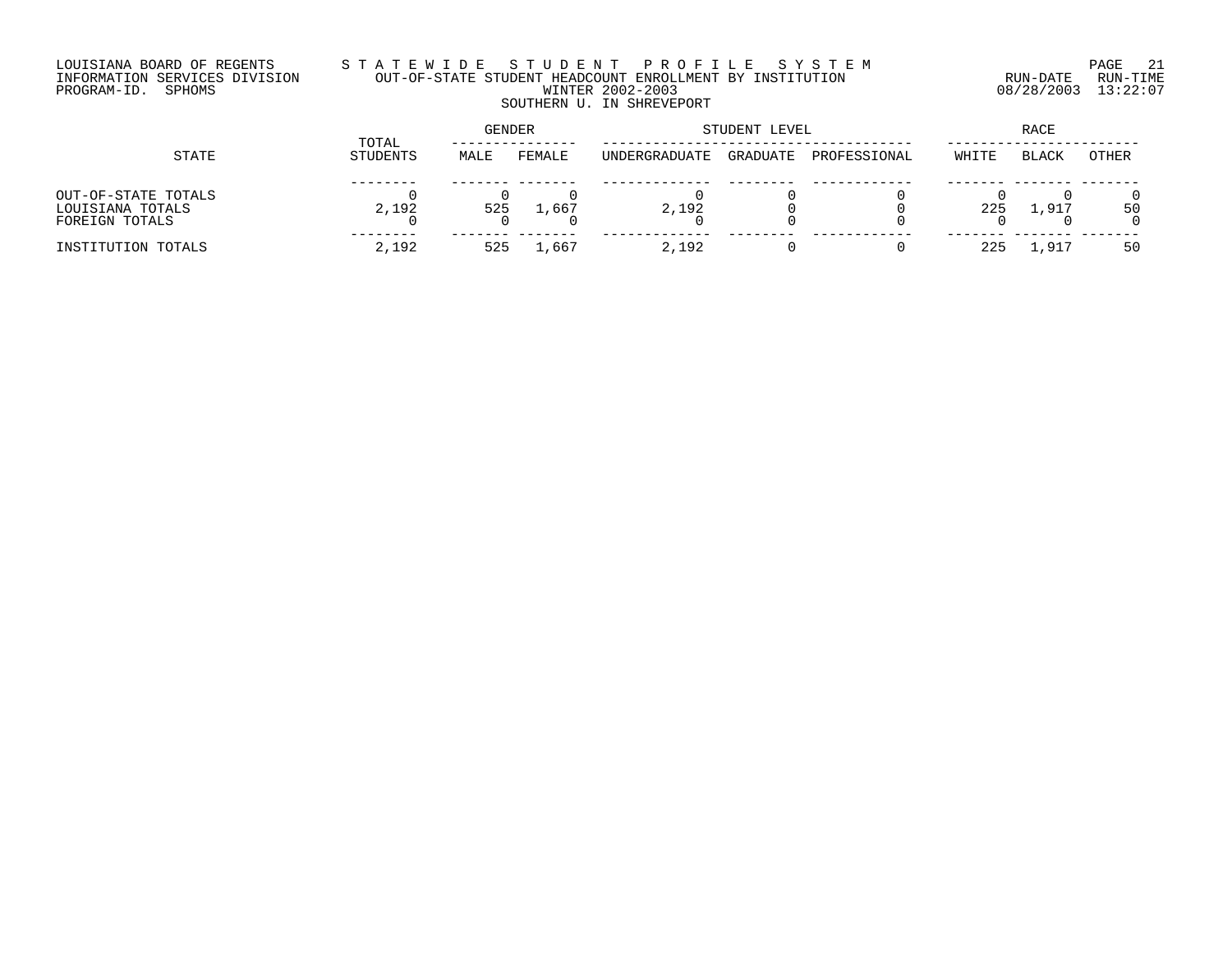## LOUISIANA BOARD OF REGENTS S T A T E W I D E S T U D E N T P R O F I L E S Y S T E M PAGE 21 INFORMATION SERVICES DIVISION OUT-OF-STATE STUDENT HEADCOUNT ENROLLMENT BY INSTITUTION RUN-DATE RUN-TIME PROGRAM-ID. SPHOMS WINTER 2002-2003 08/28/2003 13:22:07 SOUTHERN U. IN SHREVEPORT

| STATE                                                     |                   | GENDER |        | STUDENT LEVEL | RACE     |              |       |              |       |
|-----------------------------------------------------------|-------------------|--------|--------|---------------|----------|--------------|-------|--------------|-------|
|                                                           | TOTAL<br>STUDENTS | MALE   | FEMALE | UNDERGRADUATE | GRADUATE | PROFESSIONAL | WHITE | <b>BLACK</b> | OTHER |
| OUT-OF-STATE TOTALS<br>LOUISIANA TOTALS<br>FOREIGN TOTALS | 2,192             | 525    | ⊥,667  | 2,192         |          |              | 225   | . . 917      | 50    |
| INSTITUTION TOTALS                                        | 2,192             | 525    | .667   | 2,192         |          |              | 225   | 1,917        | 50    |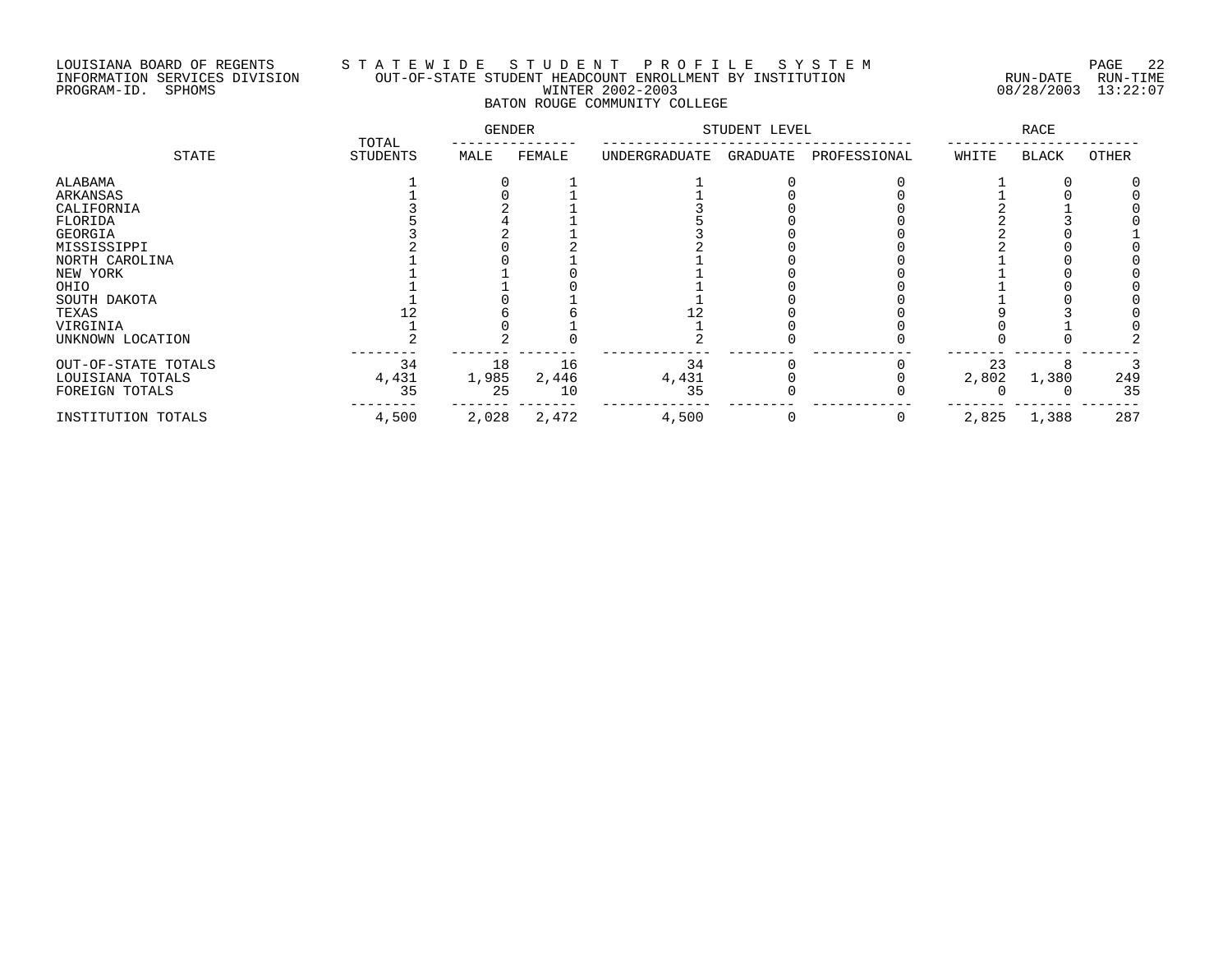## LOUISIANA BOARD OF REGENTS S T A T E W I D E S T U D E N T P R O F I L E S Y S T E M PAGE 22 INFORMATION SERVICES DIVISION OUT-OF-STATE STUDENT HEADCOUNT ENROLLMENT BY INSTITUTION RUN-DATE RUN-TIME PROGRAM-ID. SPHOMS WINTER 2002-2003 08/28/2003 13:22:07 BATON ROUGE COMMUNITY COLLEGE

|                     | TOTAL           |       | <b>GENDER</b> | STUDENT LEVEL |          |              | <b>RACE</b> |              |       |
|---------------------|-----------------|-------|---------------|---------------|----------|--------------|-------------|--------------|-------|
| STATE               | <b>STUDENTS</b> | MALE  | FEMALE        | UNDERGRADUATE | GRADUATE | PROFESSIONAL | WHITE       | <b>BLACK</b> | OTHER |
| ALABAMA             |                 |       |               |               |          |              |             |              |       |
| ARKANSAS            |                 |       |               |               |          |              |             |              |       |
| CALIFORNIA          |                 |       |               |               |          |              |             |              |       |
| FLORIDA             |                 |       |               |               |          |              |             |              |       |
| GEORGIA             |                 |       |               |               |          |              |             |              |       |
| MISSISSIPPI         |                 |       |               |               |          |              |             |              |       |
| NORTH CAROLINA      |                 |       |               |               |          |              |             |              |       |
| NEW YORK            |                 |       |               |               |          |              |             |              |       |
| OHIO                |                 |       |               |               |          |              |             |              |       |
| SOUTH DAKOTA        |                 |       |               |               |          |              |             |              |       |
| TEXAS               |                 |       |               | ⊥∠            |          |              |             |              |       |
| VIRGINIA            |                 |       |               |               |          |              |             |              |       |
| UNKNOWN LOCATION    |                 |       |               |               |          |              |             |              |       |
| OUT-OF-STATE TOTALS | 34              | 18    | 16            | 34            |          |              | 23          |              |       |
| LOUISIANA TOTALS    | 4,431           | 1,985 | 2,446         | 4,431         |          |              | 2,802       | 1,380        | 249   |
| FOREIGN TOTALS      | 35              | 25    | 10            | 35            |          |              |             |              | 35    |
| INSTITUTION TOTALS  | 4,500           | 2,028 | 2,472         | 4,500         | 0        | 0            | 2,825       | 1,388        | 287   |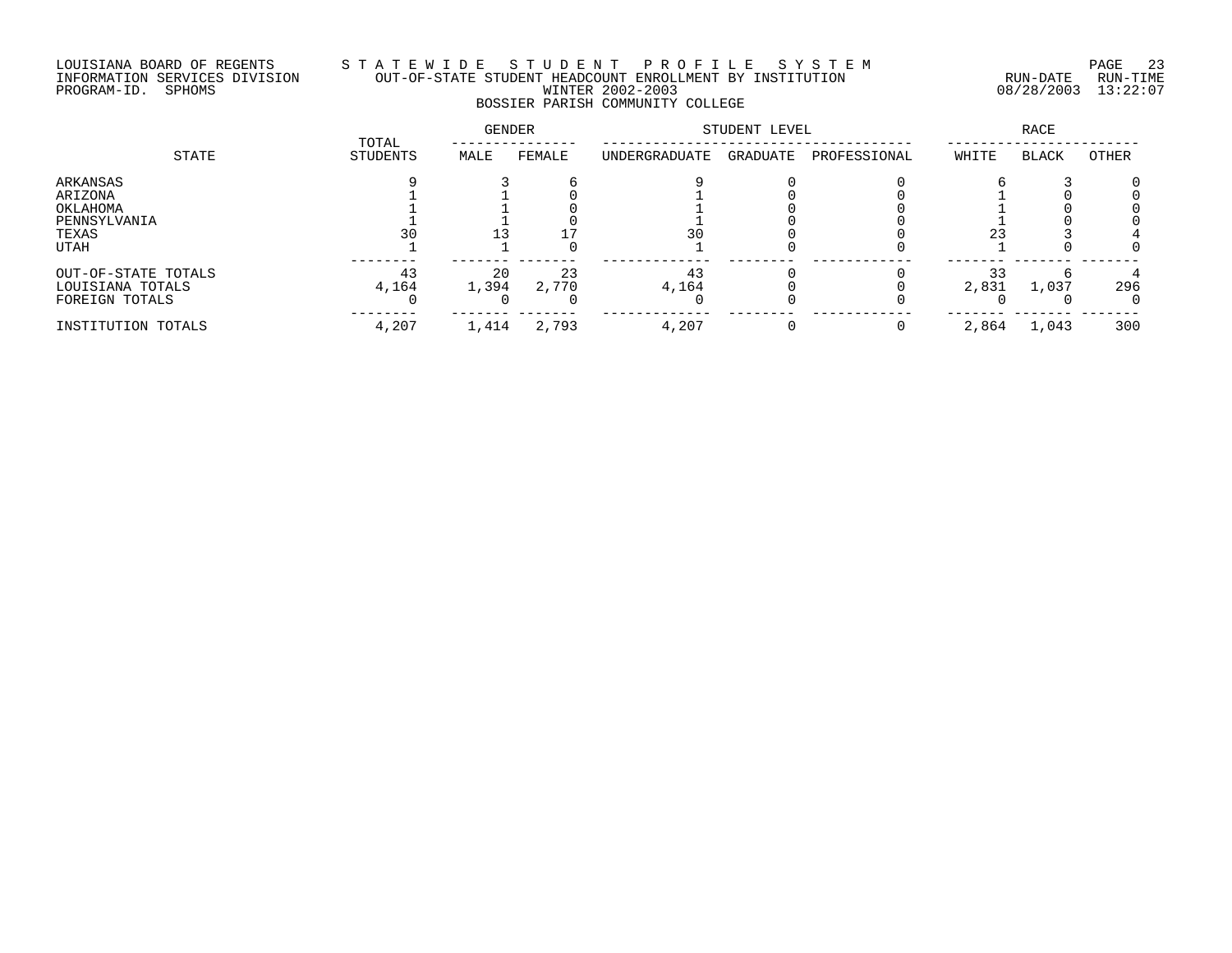# LOUISIANA BOARD OF REGENTS S T A T E W I D E S T U D E N T P R O F I L E S Y S T E M PAGE 23 INFORMATION SERVICES DIVISION OUT-OF-STATE STUDENT HEADCOUNT ENROLLMENT BY INSTITUTION RUN-DATE RUN-TIME PROGRAM-ID. SPHOMS WINTER 2002-2003 08/28/2003 13:22:07 BOSSIER PARISH COMMUNITY COLLEGE

| STATE                                                            | TOTAL       | GENDER      |             | STUDENT LEVEL |          | RACE         |       |              |       |
|------------------------------------------------------------------|-------------|-------------|-------------|---------------|----------|--------------|-------|--------------|-------|
|                                                                  | STUDENTS    | MALE        | FEMALE      | UNDERGRADUATE | GRADUATE | PROFESSIONAL | WHITE | <b>BLACK</b> | OTHER |
| ARKANSAS<br>ARIZONA<br>OKLAHOMA<br>PENNSYLVANIA<br>TEXAS<br>UTAH |             |             |             | 30            |          |              |       |              |       |
| OUT-OF-STATE TOTALS<br>LOUISIANA TOTALS<br>FOREIGN TOTALS        | 43<br>4,164 | 20<br>1,394 | 23<br>2,770 | 43<br>4,164   |          |              | 2,831 | 1,037        | 296   |
| INSTITUTION TOTALS                                               | 4,207       | 1,414       | 2,793       | 4,207         |          |              | 2,864 | 1,043        | 300   |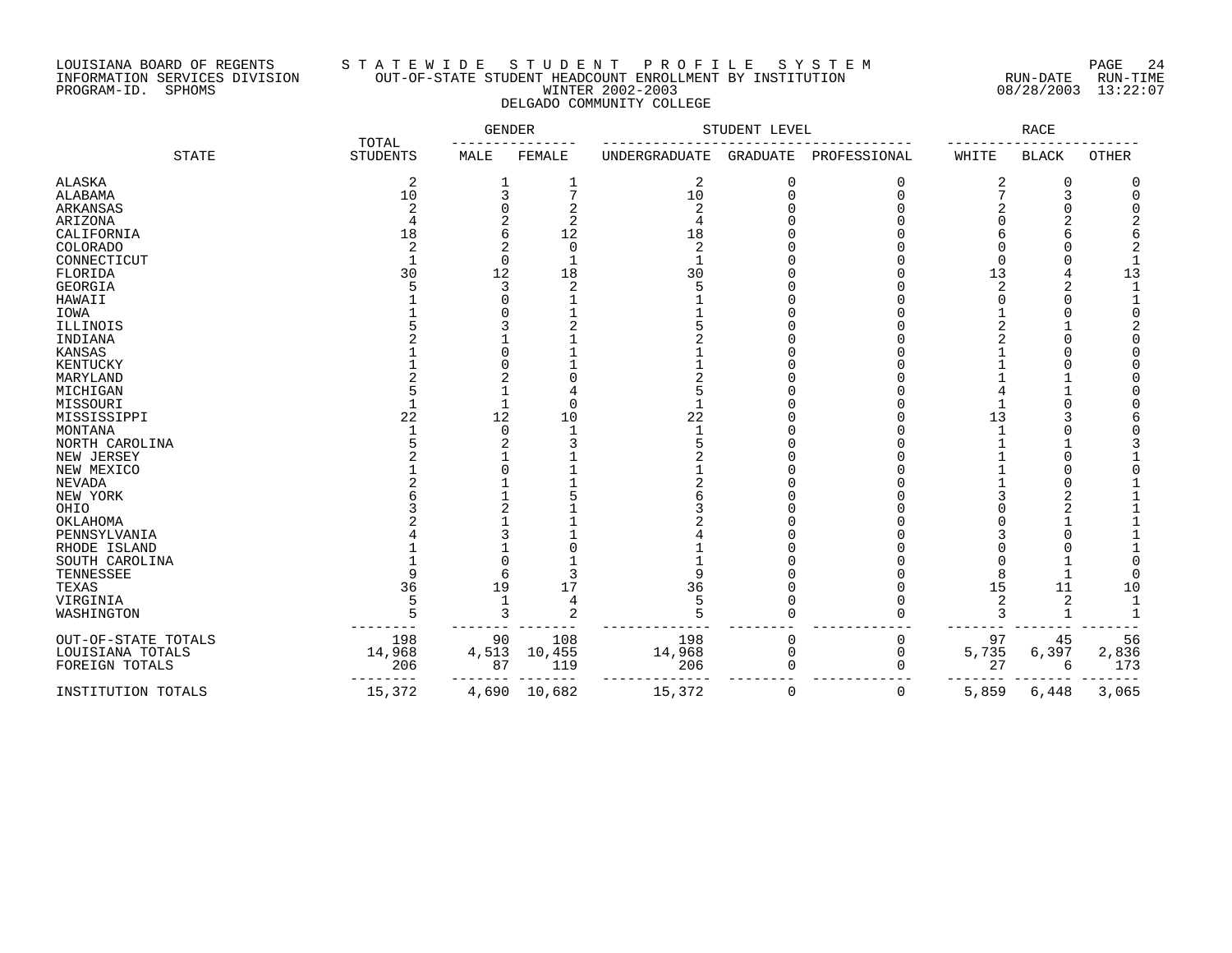## LOUISIANA BOARD OF REGENTS S T A T E W I D E S T U D E N T P R O F I L E S Y S T E M PAGE 24 INFORMATION SERVICES DIVISION OUT-OF-STATE STUDENT HEADCOUNT ENROLLMENT BY INSTITUTION RUN-DATE RUN-TIME PROGRAM-ID. SPHOMS WINTER 2002-2003 08/28/2003 13:22:07 DELGADO COMMUNITY COLLEGE

|                     |                          | <b>GENDER</b> |              | STUDENT LEVEL | <b>RACE</b>     |              |       |              |       |
|---------------------|--------------------------|---------------|--------------|---------------|-----------------|--------------|-------|--------------|-------|
| <b>STATE</b>        | TOTAL<br><b>STUDENTS</b> | MALE          | FEMALE       | UNDERGRADUATE | <b>GRADUATE</b> | PROFESSIONAL | WHITE | <b>BLACK</b> | OTHER |
| ALASKA              | 2                        |               | 1            | 2             | 0               | 0            | 2     | O            | 0     |
| ALABAMA             | 10                       | 3             | 7            | 10            | $\Omega$        | O            |       | 3            |       |
| ARKANSAS            | $\overline{2}$           |               | 2            | 2             |                 |              |       |              |       |
| ARIZONA             |                          |               | 2            |               |                 |              |       |              |       |
| CALIFORNIA          | 18                       | 6             | 12           | 18            |                 |              |       | 6            |       |
| <b>COLORADO</b>     | 2                        | 2             | $\mathbf 0$  | 2             |                 |              |       |              |       |
| CONNECTICUT         | $\mathbf{1}$             | $\Omega$      | $\mathbf{1}$ |               |                 |              | n     |              |       |
| FLORIDA             | 30                       | 12            | 18           | 30            |                 |              | 13    |              | 13    |
| GEORGIA             |                          | 3             | 2            |               |                 |              |       | 2            |       |
| HAWAII              |                          |               |              |               |                 |              |       |              |       |
| IOWA                |                          |               |              |               |                 |              |       |              |       |
| ILLINOIS            |                          |               |              |               |                 |              |       |              |       |
| INDIANA             |                          |               |              |               |                 |              |       |              |       |
| <b>KANSAS</b>       |                          |               |              |               |                 |              |       |              |       |
| KENTUCKY            |                          |               |              |               |                 |              |       |              |       |
| MARYLAND            |                          |               |              |               |                 |              |       |              |       |
| MICHIGAN            |                          |               |              |               |                 |              |       |              |       |
| MISSOURI            |                          |               | $\cap$       |               |                 |              |       |              |       |
| MISSISSIPPI         | 22                       | 12            | 10           | 22            |                 |              | 13    |              |       |
| MONTANA             |                          | $\Omega$      |              |               |                 |              |       |              |       |
| NORTH CAROLINA      |                          |               |              |               |                 |              |       |              |       |
| NEW JERSEY          |                          |               |              |               |                 |              |       |              |       |
| NEW MEXICO          |                          |               |              |               |                 |              |       |              |       |
| <b>NEVADA</b>       |                          |               |              |               |                 |              |       |              |       |
| NEW YORK            |                          |               |              |               |                 |              |       |              |       |
| OHIO                |                          |               |              |               |                 |              |       |              |       |
| OKLAHOMA            |                          |               |              |               |                 |              |       |              |       |
| PENNSYLVANIA        |                          |               |              |               |                 |              |       |              |       |
| RHODE ISLAND        |                          |               |              |               |                 |              |       |              |       |
| SOUTH CAROLINA      |                          | 0             |              |               |                 |              |       |              |       |
| TENNESSEE           |                          | 6             |              |               |                 |              | 8     |              |       |
| TEXAS               | 36                       | 19            | 17           | 36            |                 |              | 15    | 11           | 10    |
| VIRGINIA            | 5                        |               | 4            |               |                 |              |       | 2            |       |
| WASHINGTON          |                          | 3             | 2            |               |                 |              |       | $\mathbf{1}$ |       |
|                     |                          |               |              |               |                 |              |       |              |       |
| OUT-OF-STATE TOTALS | 198                      | 90            | 108          | 198           | 0               | 0            | 97    | 45           | 56    |
| LOUISIANA TOTALS    | 14,968                   | 4,513         | 10,455       | 14,968        | 0               | 0            | 5,735 | 6,397        | 2,836 |
| FOREIGN TOTALS      | 206                      | 87            | 119          | 206           | 0               | $\Omega$     | 27    | 6            | 173   |
| INSTITUTION TOTALS  | 15,372                   | 4,690         | 10,682       | 15,372        | $\Omega$        | 0            | 5,859 | 6,448        | 3,065 |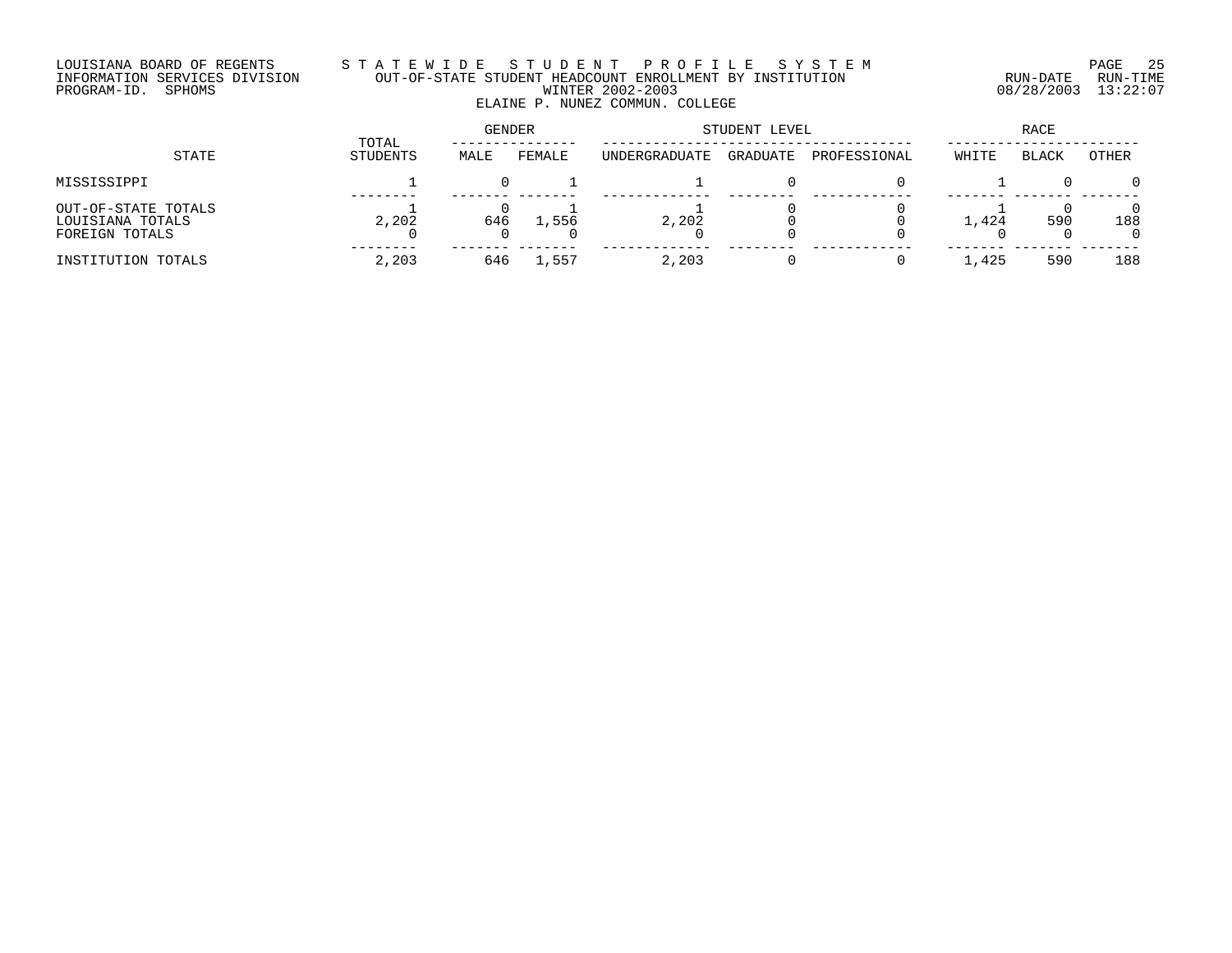## LOUISIANA BOARD OF REGENTS S T A T E W I D E S T U D E N T P R O F I L E S Y S T E M PAGE 25 INFORMATION SERVICES DIVISION OUT-OF-STATE STUDENT HEADCOUNT ENROLLMENT BY INSTITUTION RUN-DATE RUN-TIME PROGRAM-ID. SPHOMS WINTER 2002-2003 08/28/2003 13:22:07 ELAINE P. NUNEZ COMMUN. COLLEGE

|                                                           |                   | GENDER |               | STUDENT LEVEL | RACE     |              |       |       |       |
|-----------------------------------------------------------|-------------------|--------|---------------|---------------|----------|--------------|-------|-------|-------|
| STATE                                                     | TOTAL<br>STUDENTS | MALE   | FEMALE        | UNDERGRADUATE | GRADUATE | PROFESSIONAL | WHITE | BLACK | OTHER |
| MISSISSIPPI                                               |                   |        |               |               |          | $\Omega$     |       |       |       |
| OUT-OF-STATE TOTALS<br>LOUISIANA TOTALS<br>FOREIGN TOTALS | 2,202             | 646    | 1,556         | 2,202         |          |              | 1,424 | 590   | 188   |
| INSTITUTION TOTALS                                        | 2,203             | 646    | $\perp$ , 557 | 2,203         |          | 0            | 1,425 | 590   | 188   |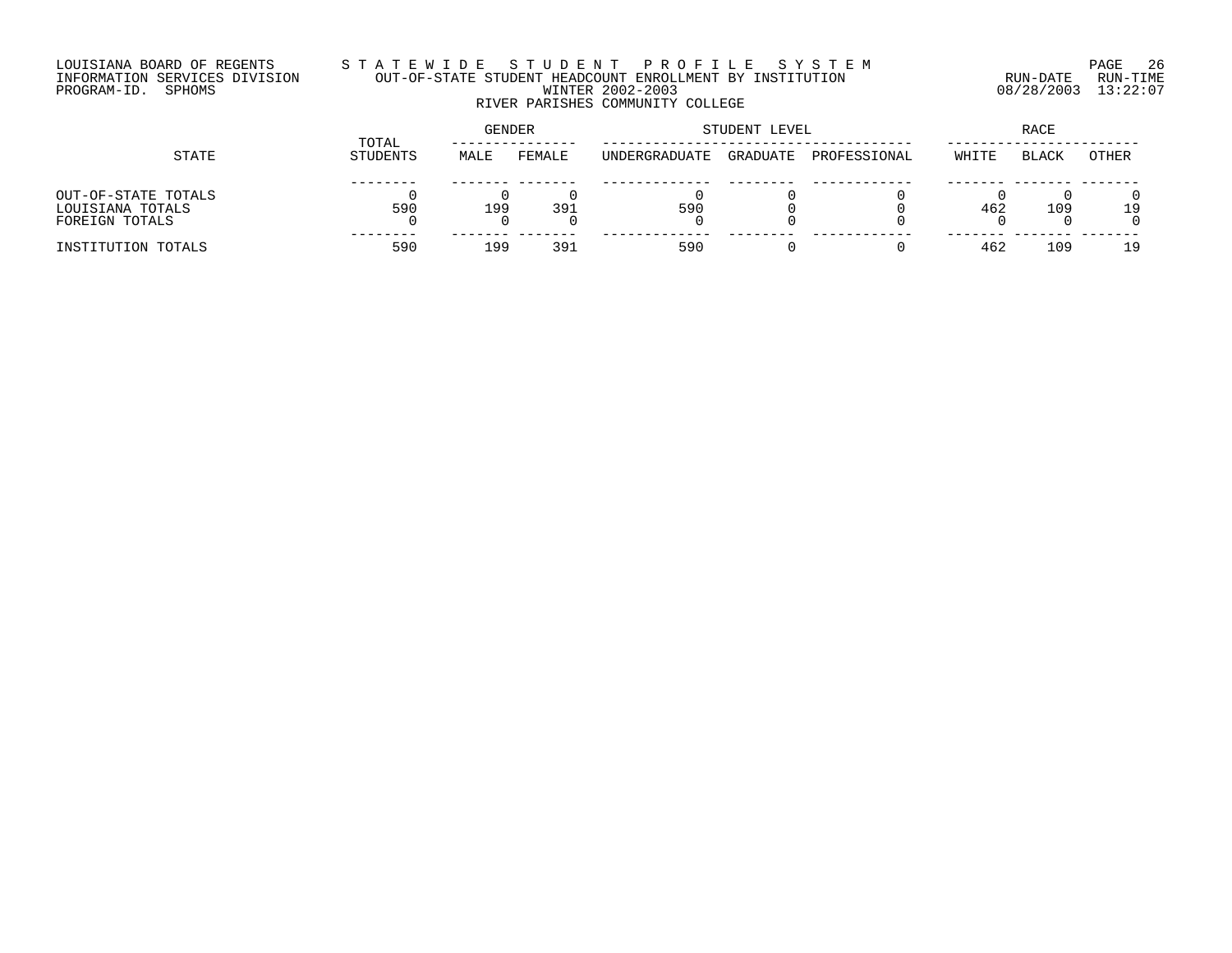## LOUISIANA BOARD OF REGENTS S T A T E W I D E S T U D E N T P R O F I L E S Y S T E M PAGE 26 INFORMATION SERVICES DIVISION OUT-OF-STATE STUDENT HEADCOUNT ENROLLMENT BY INSTITUTION RUN-DATE RUN-TIME PROGRAM-ID. SPHOMS WINTER 2002-2003 08/28/2003 13:22:07 RIVER PARISHES COMMUNITY COLLEGE

| STATE               |                   | GENDER |        | STUDENT LEVEL | RACE     |              |       |              |       |
|---------------------|-------------------|--------|--------|---------------|----------|--------------|-------|--------------|-------|
|                     | TOTAL<br>STUDENTS | MALE   | FEMALE | UNDERGRADUATE | GRADUATE | PROFESSIONAL | WHITE | <b>BLACK</b> | OTHER |
|                     |                   |        |        |               |          |              |       |              |       |
| OUT-OF-STATE TOTALS |                   |        |        |               |          |              |       |              |       |
| LOUISIANA TOTALS    | 590               | 199    | 391    | 590           |          |              | 462   | 109          | 19    |
| FOREIGN TOTALS      |                   |        |        |               |          |              |       |              |       |
| INSTITUTION TOTALS  | 590               | 199    | 391    | 590           |          |              | 462   | 109          | 19    |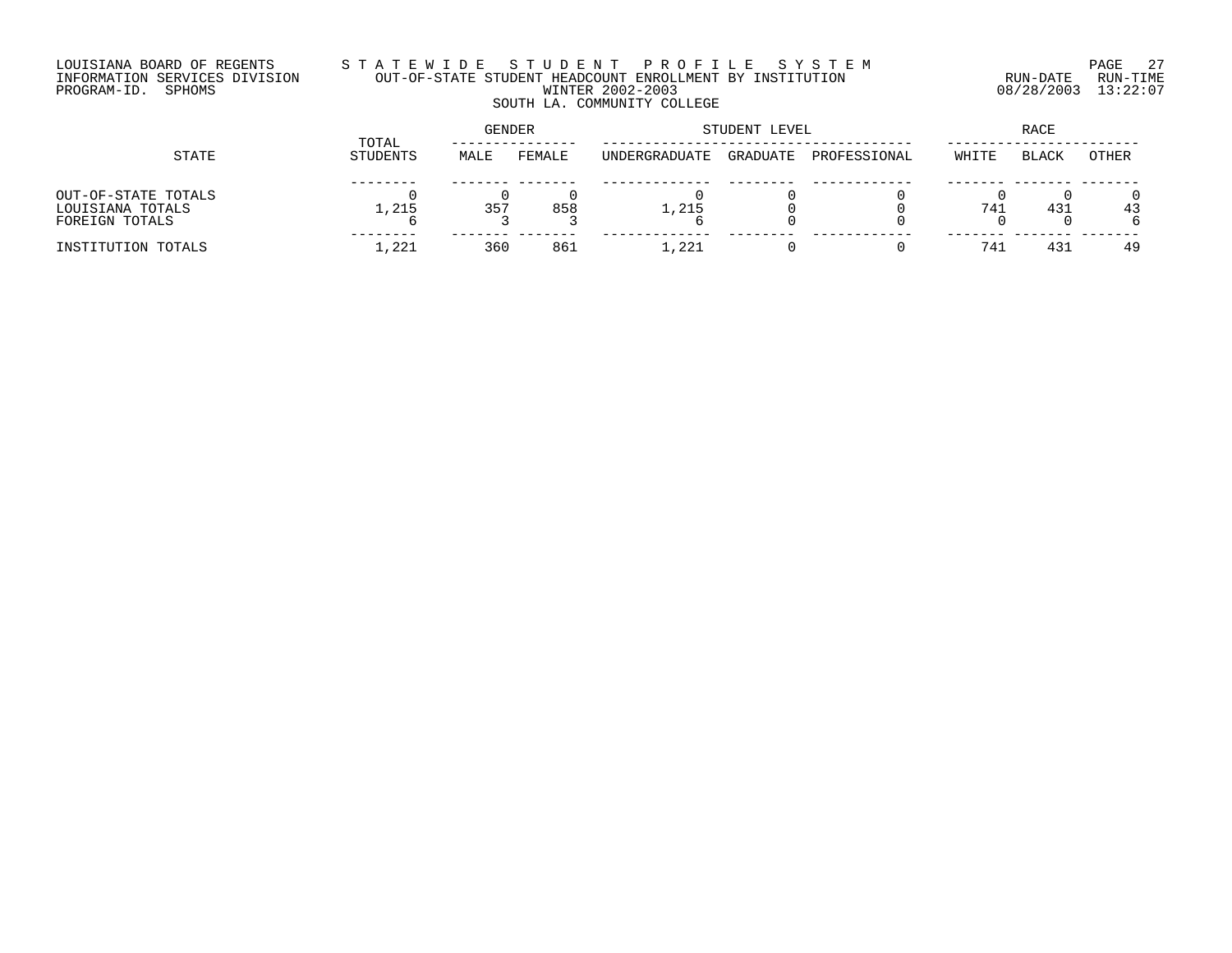## LOUISIANA BOARD OF REGENTS S T A T E W I D E S T U D E N T P R O F I L E S Y S T E M PAGE 27 INFORMATION SERVICES DIVISION OUT-OF-STATE STUDENT HEADCOUNT ENROLLMENT BY INSTITUTION RUN-DATE RUN-TIME PROGRAM-ID. SPHOMS WINTER 2002-2003 08/28/2003 13:22:07 SOUTH LA. COMMUNITY COLLEGE

| STATE                                                     |                   | GENDER |        | STUDENT LEVEL | RACE     |              |       |              |       |
|-----------------------------------------------------------|-------------------|--------|--------|---------------|----------|--------------|-------|--------------|-------|
|                                                           | TOTAL<br>STUDENTS | MALE   | FEMALE | UNDERGRADUATE | GRADUATE | PROFESSIONAL | WHITE | <b>BLACK</b> | OTHER |
| OUT-OF-STATE TOTALS<br>LOUISIANA TOTALS<br>FOREIGN TOTALS | 1,215             | 357    | 858    | 1,215         |          |              | 741   | 431          | 43    |
| INSTITUTION TOTALS                                        | 1,221             | 360    | 861    | . . 221       |          |              | 741   | 431          | 49    |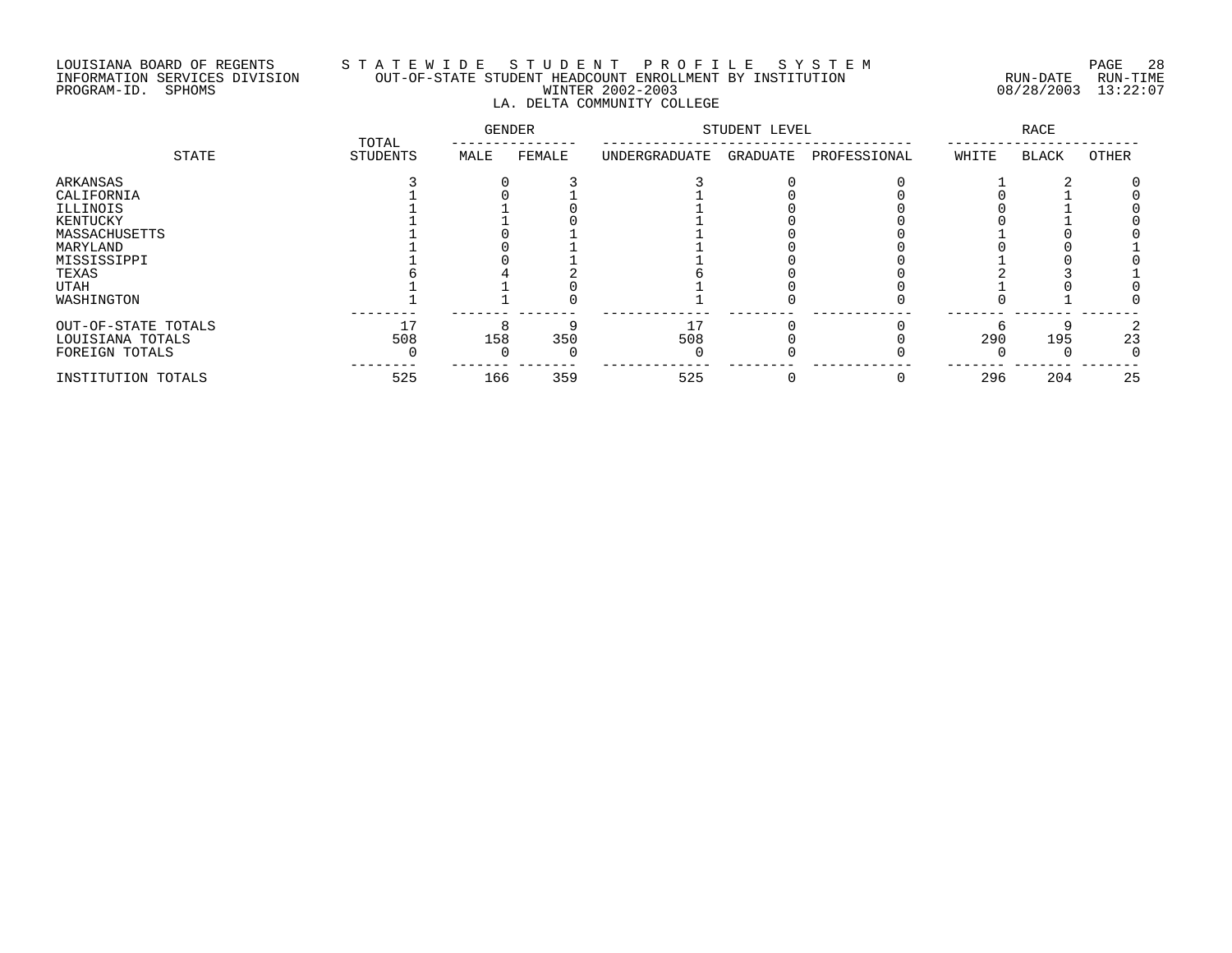## LOUISIANA BOARD OF REGENTS S T A T E W I D E S T U D E N T P R O F I L E S Y S T E M PAGE 28 INFORMATION SERVICES DIVISION OUT-OF-STATE STUDENT HEADCOUNT ENROLLMENT BY INSTITUTION RUN-DATE RUN-TIME PROGRAM-ID. SPHOMS WINTER 2002-2003 08/28/2003 13:22:07 LA. DELTA COMMUNITY COLLEGE

|                     |                          | <b>GENDER</b> |        | STUDENT LEVEL | <b>RACE</b> |              |       |              |       |
|---------------------|--------------------------|---------------|--------|---------------|-------------|--------------|-------|--------------|-------|
| STATE               | TOTAL<br><b>STUDENTS</b> | MALE          | FEMALE | UNDERGRADUATE | GRADUATE    | PROFESSIONAL | WHITE | <b>BLACK</b> | OTHER |
| ARKANSAS            |                          |               |        |               |             |              |       |              |       |
| CALIFORNIA          |                          |               |        |               |             |              |       |              |       |
| ILLINOIS            |                          |               |        |               |             |              |       |              |       |
| KENTUCKY            |                          |               |        |               |             |              |       |              |       |
| MASSACHUSETTS       |                          |               |        |               |             |              |       |              |       |
| MARYLAND            |                          |               |        |               |             |              |       |              |       |
| MISSISSIPPI         |                          |               |        |               |             |              |       |              |       |
| TEXAS               |                          |               |        |               |             |              |       |              |       |
| <b>UTAH</b>         |                          |               |        |               |             |              |       |              |       |
| WASHINGTON          |                          |               |        |               |             |              |       |              |       |
| OUT-OF-STATE TOTALS |                          |               |        | 17            |             |              |       |              |       |
| LOUISIANA TOTALS    | 508                      | 158           | 350    | 508           |             |              | 290   | 195          | 23    |
| FOREIGN TOTALS      |                          |               |        |               |             |              |       |              |       |
| INSTITUTION TOTALS  | 525                      | 166           | 359    | 525           |             |              | 296   | 204          | 25    |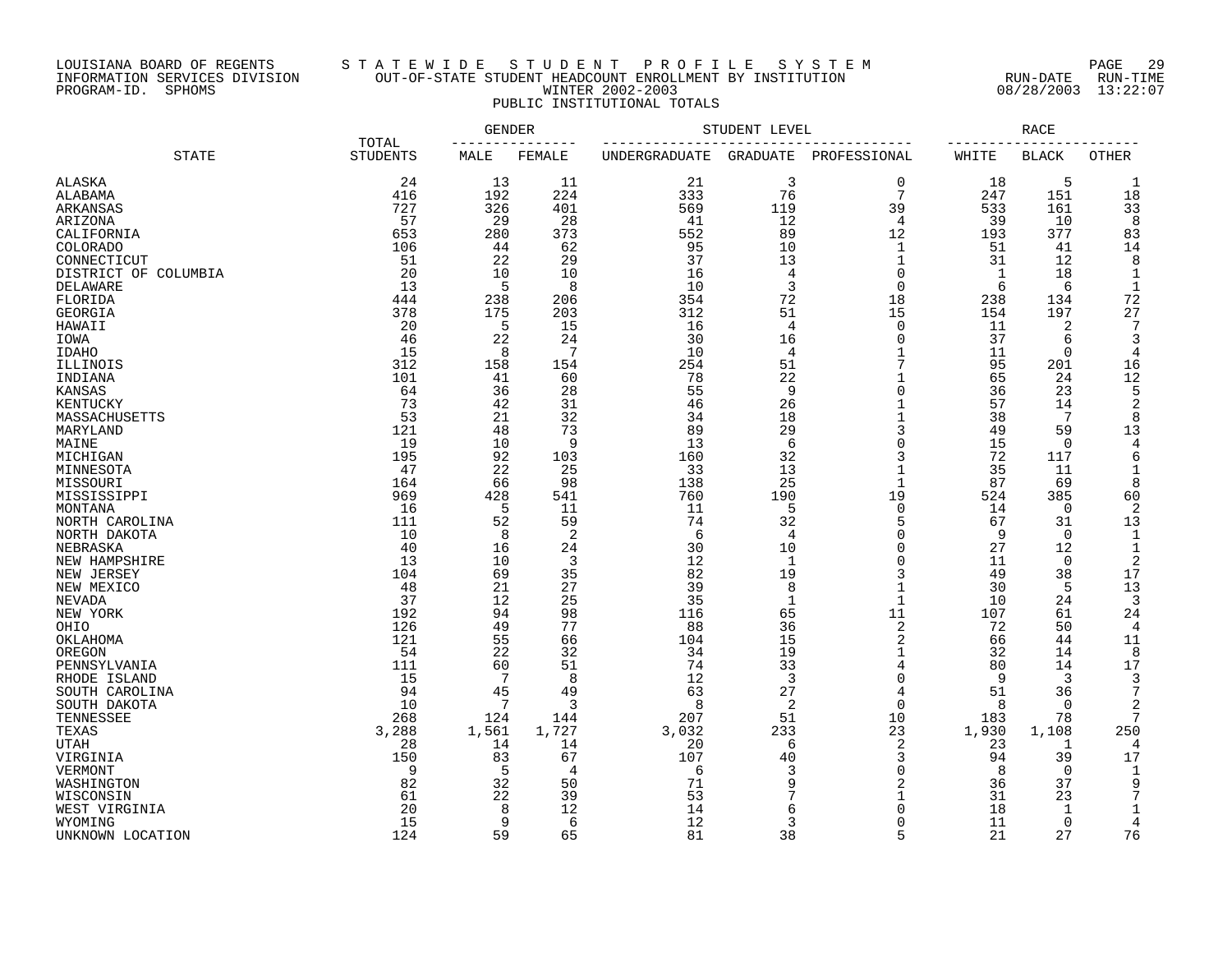## LOUISIANA BOARD OF REGENTS S T A T E W I D E S T U D E N T P R O F I L E S Y S T E M PAGE 29 INFORMATION SERVICES DIVISION OUT-OF-STATE STUDENT HEADCOUNT ENROLLMENT BY INSTITUTION RUN-DATE RUN-TIME PROGRAM-ID. SPHOMS WINTER 2002-2003 08/28/2003 13:22:07 PUBLIC INSTITUTIONAL TOTALS

|                      |                          | GENDER          |                | STUDENT LEVEL |                |                       | RACE         |               |                       |  |
|----------------------|--------------------------|-----------------|----------------|---------------|----------------|-----------------------|--------------|---------------|-----------------------|--|
| <b>STATE</b>         | TOTAL<br><b>STUDENTS</b> | MALE            | FEMALE         | UNDERGRADUATE |                | GRADUATE PROFESSIONAL | WHITE        | <b>BLACK</b>  | OTHER                 |  |
| ALASKA               | 24                       | 13              | 11             | 21            | 3              | 0                     | 18           | 5             | 1                     |  |
| ALABAMA              | 416                      | 192             | 224            | 333           | 76             | $\overline{7}$        | 247          | 151           | 18                    |  |
| ARKANSAS             | 727                      | 326             | 401            | 569           | 119            | 39                    | 533          | 161           | 33                    |  |
| ARIZONA              | 57                       | 29              | 28             | 41            | 12             | 4                     | 39           | 10            | 8                     |  |
| CALIFORNIA           | 653                      | 280             | 373            | 552           | 89             | 12                    | 193          | 377           | 83                    |  |
| <b>COLORADO</b>      | 106                      | 44              | 62             | 95            | 10             | 1                     | 51           | 41            | 14                    |  |
| CONNECTICUT          | 51                       | 22              | 29             | 37            | 13             | 1                     | 31           | 12            | 8                     |  |
| DISTRICT OF COLUMBIA | 20                       | 10              | 10             | 16            | $\overline{4}$ | $\Omega$              | $\mathbf{1}$ | 18            |                       |  |
| DELAWARE             | 13                       | 5               | 8              | 10            | 3              | $\mathbf 0$           | 6            | 6             | $\mathbf 1$           |  |
| FLORIDA              | 444                      | 238             | 206            | 354           | 72             | 18                    | 238          | 134           | 72                    |  |
| <b>GEORGIA</b>       | 378                      | 175             | 203            | 312           | 51             | 15                    | 154          | 197           | 27                    |  |
| HAWAII               | 20                       | 5               | 15             | 16            | $\overline{4}$ | 0                     | 11           | 2             | 7                     |  |
|                      | 46                       |                 |                | 30            |                | $\overline{0}$        |              |               | 3                     |  |
| IOWA                 |                          | 22              | 24<br>7        |               | 16             |                       | 37           | 6<br>$\Omega$ | 4                     |  |
| <b>IDAHO</b>         | 15                       | 8               |                | 10            | $\overline{4}$ | 1                     | 11           |               |                       |  |
| ILLINOIS             | 312                      | 158             | 154            | 254           | 51             | 7                     | 95           | 201           | 16                    |  |
| INDIANA              | 101                      | 41              | 60             | 78            | 22             | 1                     | 65           | 24            | 12                    |  |
| <b>KANSAS</b>        | 64                       | 36              | 28             | 55            | 9              | $\mathbf 0$           | 36           | 23            | 5                     |  |
| KENTUCKY             | 73                       | 42              | 31             | 46            | 26             | $\mathbf{1}$          | 57           | 14            | $\overline{2}$        |  |
| MASSACHUSETTS        | 53                       | 21              | 32             | 34            | 18             | $\mathbf{1}$          | 38           | 7             | 8                     |  |
| MARYLAND             | 121                      | 48              | 73             | 89            | 29             | 3                     | 49           | 59            | 13                    |  |
| MAINE                | 19                       | 10              | 9              | 13            | 6              | $\overline{0}$        | 15           | $\Omega$      | 4                     |  |
| MICHIGAN             | 195                      | 92              | 103            | 160           | 32             | 3                     | 72           | 117           | 6                     |  |
| MINNESOTA            | 47                       | 22              | 25             | 33            | 13             | $\mathbf{1}$          | 35           | 11            |                       |  |
| MISSOURI             | 164                      | 66              | 98             | 138           | 25             | $\mathbf 1$           | 87           | 69            | 8                     |  |
| MISSISSIPPI          | 969                      | 428             | 541            | 760           | 190            | 19                    | 524          | 385           | 60                    |  |
| MONTANA              | 16                       | 5               | 11             | 11            | 5              | $\overline{0}$        | 14           | 0             | 2                     |  |
| NORTH CAROLINA       | 111                      | 52              | 59             | 74            | 32             | 5                     | 67           | 31            | 13                    |  |
| NORTH DAKOTA         | 10                       | 8               | $\overline{2}$ | 6             | $\overline{4}$ | $\overline{0}$        | 9            | $\Omega$      | $\mathbf{1}$          |  |
| NEBRASKA             | 40                       | 16              | 24             | 30            | 10             | $\mathbf 0$           | 27           | 12            |                       |  |
| NEW HAMPSHIRE        | 13                       | 10              | $\overline{3}$ | 12            | 1              | $\Omega$              | 11           | $\Omega$      | $\overline{c}$        |  |
| NEW JERSEY           | 104                      | 69              | 35             | 82            | 19             | 3                     | 49           | 38            | 17                    |  |
| NEW MEXICO           | 48                       | 21              | 27             | 39            | 8              | 1                     | 30           | 5             | 13                    |  |
| NEVADA               | 37                       | 12              | 25             | 35            | $\mathbf{1}$   | $\mathbf 1$           | 10           | 24            | 3                     |  |
| NEW YORK             | 192                      | 94              | 98             | 116           | 65             | 11                    | 107          | 61            | 24                    |  |
| OHIO                 | 126                      | 49              | 77             | 88            | 36             | $\overline{2}$        | 72           | 50            | 4                     |  |
| OKLAHOMA             | 121                      | 55              | 66             | 104           | 15             | $\overline{2}$        | 66           | 44            | 11                    |  |
| OREGON               | 54                       | 22              | 32             | 34            | 19             | 1                     | 32           | 14            | 8                     |  |
| PENNSYLVANIA         | 111                      | 60              | 51             | 74            | 33             | 4                     | 80           | 14            | 17                    |  |
| RHODE ISLAND         | 15                       | $7\phantom{.0}$ | 8              | 12            | $\overline{3}$ | $\mathbf 0$           | 9            | 3             | 3                     |  |
| SOUTH CAROLINA       | 94                       | 45              | 49             | 63            | 27             | 4                     | 51           | 36            |                       |  |
| SOUTH DAKOTA         | 10                       | $7\phantom{.0}$ | $\overline{3}$ | 8             | 2              | $\Omega$              | 8            | 0             |                       |  |
| TENNESSEE            | 268                      | 124             | 144            | 207           | 51             | 10                    | 183          | 78            |                       |  |
|                      |                          |                 |                |               |                |                       |              |               |                       |  |
| TEXAS                | 3,288                    | 1,561           | 1,727          | 3,032         | 233            | 23                    | 1,930        | 1,108         | 250<br>$\overline{4}$ |  |
| <b>UTAH</b>          | 28                       | 14              | 14             | 20            | 6              | 2                     | 23           | 1             |                       |  |
| VIRGINIA             | 150                      | 83              | 67             | 107           | 40             | 3                     | 94           | 39            | 17                    |  |
| VERMONT              | 9                        | 5               | 4              | 6             | 3              | $\overline{0}$        | 8            | 0             |                       |  |
| WASHINGTON           | 82                       | 32              | 50             | 71            | 9              | 2                     | 36           | 37            | 9                     |  |
| WISCONSIN            | 61                       | 22              | 39             | 53            |                | 1                     | 31           | 23            |                       |  |
| WEST VIRGINIA        | 20                       | 8               | 12             | 14            | 6              | $\Omega$              | 18           | 1             |                       |  |
| WYOMING              | 15                       | 9               | 6              | 12            | 3              | $\Omega$              | 11           | $\mathbf 0$   |                       |  |
| UNKNOWN LOCATION     | 124                      | 59              | 65             | 81            | 38             | 5                     | 21           | 27            | 76                    |  |